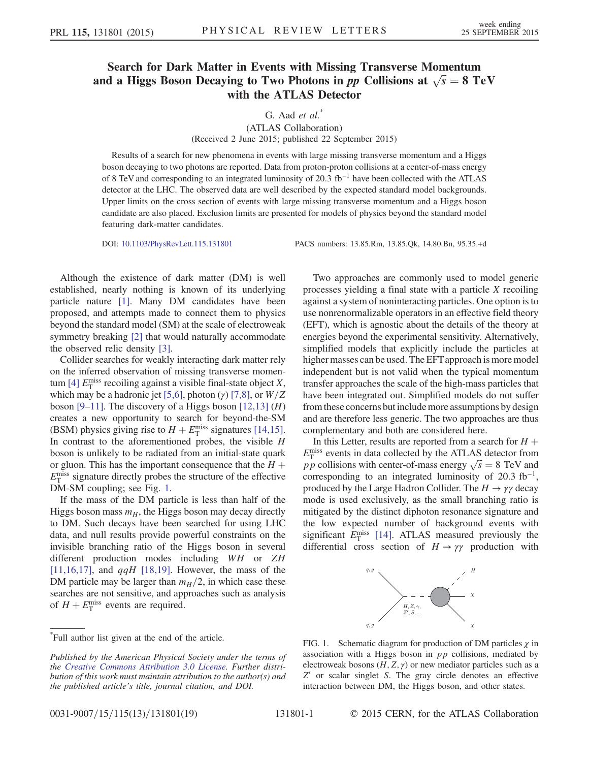## Search for Dark Matter in Events with Missing Transverse Momentum and a Higgs Boson Decaying to Two Photons in pp Collisions at  $\sqrt{s} = 8 \text{ TeV}$ with the ATLAS Detector

G. Aad  $et \ al.^*$ 

(ATLAS Collaboration)

(Received 2 June 2015; published 22 September 2015)

Results of a search for new phenomena in events with large missing transverse momentum and a Higgs boson decaying to two photons are reported. Data from proton-proton collisions at a center-of-mass energy of 8 TeV and corresponding to an integrated luminosity of 20.3 fb<sup>−</sup><sup>1</sup> have been collected with the ATLAS detector at the LHC. The observed data are well described by the expected standard model backgrounds. Upper limits on the cross section of events with large missing transverse momentum and a Higgs boson candidate are also placed. Exclusion limits are presented for models of physics beyond the standard model featuring dark-matter candidates.

DOI: [10.1103/PhysRevLett.115.131801](http://dx.doi.org/10.1103/PhysRevLett.115.131801) PACS numbers: 13.85.Rm, 13.85.Qk, 14.80.Bn, 95.35.+d

Although the existence of dark matter (DM) is well established, nearly nothing is known of its underlying particle nature [\[1\].](#page-4-0) Many DM candidates have been proposed, and attempts made to connect them to physics beyond the standard model (SM) at the scale of electroweak symmetry breaking [\[2\]](#page-4-1) that would naturally accommodate the observed relic density [\[3\]](#page-4-2).

Collider searches for weakly interacting dark matter rely on the inferred observation of missing transverse momen-tum [\[4\]](#page-4-3)  $E_T^{\text{miss}}$  recoiling against a visible final-state object X,<br>which may be a hadronic jet [5.6], photon (x) [7.8], or  $W/Z$ which may be a hadronic jet [\[5,6\],](#page-4-4) photon ( $\gamma$ ) [\[7,8\],](#page-4-5) or  $W/Z$ boson [9–[11\]](#page-4-6). The discovery of a Higgs boson  $[12,13]$  (*H*) creates a new opportunity to search for beyond-the-SM (BSM) physics giving rise to  $H + E_T^{\text{miss}}$  signatures [\[14,15\]](#page-4-8).<br>In contrast to the aforementioned probes, the visible H In contrast to the aforementioned probes, the visible  $H$ boson is unlikely to be radiated from an initial-state quark or gluon. This has the important consequence that the  $H +$  $E_{\rm T}^{\rm miss}$  signature directly probes the structure of the effective<br>DM-SM coupling: see Fig. 1 DM-SM coupling; see Fig. [1](#page-0-0).

If the mass of the DM particle is less than half of the Higgs boson mass  $m_H$ , the Higgs boson may decay directly to DM. Such decays have been searched for using LHC data, and null results provide powerful constraints on the invisible branching ratio of the Higgs boson in several different production modes including WH or ZH [\[11,16,17\]](#page-4-9), and  $qqH$  [\[18,19\].](#page-5-0) However, the mass of the DM particle may be larger than  $m_H/2$ , in which case these searches are not sensitive, and approaches such as analysis of  $H + E_{\text{T}}^{\text{miss}}$  events are required.

Two approaches are commonly used to model generic processes yielding a final state with a particle X recoiling against a system of noninteracting particles. One option is to use nonrenormalizable operators in an effective field theory (EFT), which is agnostic about the details of the theory at energies beyond the experimental sensitivity. Alternatively, simplified models that explicitly include the particles at higher masses can be used. The EFT approach is more model independent but is not valid when the typical momentum transfer approaches the scale of the high-mass particles that have been integrated out. Simplified models do not suffer from these concerns but include more assumptions by design and are therefore less generic. The two approaches are thus complementary and both are considered here.

In this Letter, results are reported from a search for  $H +$  $E_{\rm T}^{\rm miss}$  events in data collected by the ATLAS detector from  $n_{\rm P}$  collisions with center-of-mass energy  $\sqrt{s} = 8$  TeV and pp collisions with center-of-mass energy  $\sqrt{s} = 8$  TeV and<br>corresponding to an integrated luminosity of 20.3 fb<sup>-1</sup> corresponding to an integrated luminosity of 20.3 fb<sup>-1</sup>, produced by the Large Hadron Collider. The  $H \to \gamma \gamma$  decay mode is used exclusively, as the small branching ratio is mitigated by the distinct diphoton resonance signature and the low expected number of background events with significant  $E_T^{\text{miss}}$  [\[14\]](#page-4-8). ATLAS measured previously the differential cross section of  $H \rightarrow \gamma\gamma$  production with differential cross section of  $H \to \gamma \gamma$  production with

<span id="page-0-0"></span>

FIG. 1. Schematic diagram for production of DM particles  $\chi$  in association with a Higgs boson in  $pp$  collisions, mediated by electroweak bosons  $(H, Z, \gamma)$  or new mediator particles such as a  $Z'$  or scalar singlet S. The gray circle denotes an effective interaction between DM, the Higgs boson, and other states.

<sup>\*</sup> Full author list given at the end of the article.

Published by the American Physical Society under the terms of the [Creative Commons Attribution 3.0 License.](http://creativecommons.org/licenses/by/3.0/) Further distribution of this work must maintain attribution to the author(s) and the published article's title, journal citation, and DOI.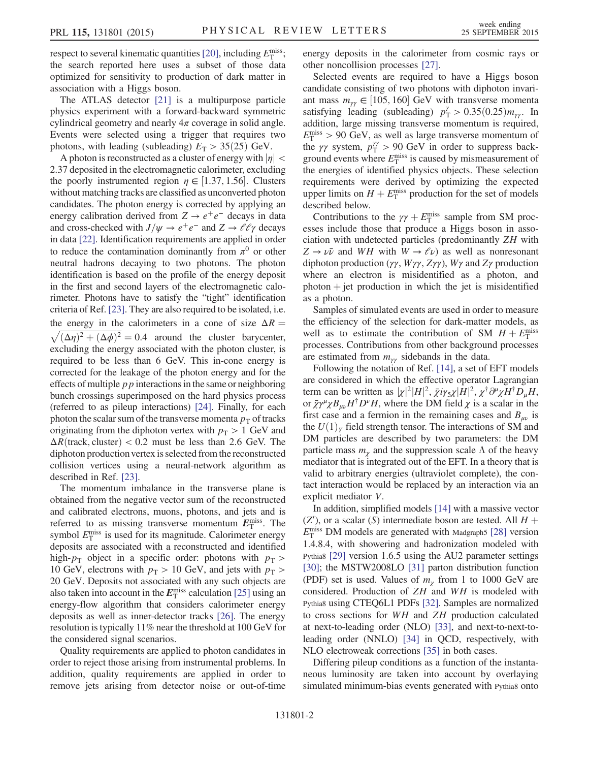respect to several kinematic quantities [\[20\]](#page-5-1), including  $E_T^{\text{miss}}$ ;<br>the search reported here uses a subset of those data the search reported here uses a subset of those data optimized for sensitivity to production of dark matter in association with a Higgs boson.

The ATLAS detector [\[21\]](#page-5-2) is a multipurpose particle physics experiment with a forward-backward symmetric cylindrical geometry and nearly  $4\pi$  coverage in solid angle. Events were selected using a trigger that requires two photons, with leading (subleading)  $E_T > 35(25)$  GeV.

A photon is reconstructed as a cluster of energy with  $|\eta|$  < 2.37 deposited in the electromagnetic calorimeter, excluding the poorly instrumented region  $\eta \in [1.37, 1.56]$ . Clusters<br>without matching tracks are classified as unconverted photon without matching tracks are classified as unconverted photon candidates. The photon energy is corrected by applying an energy calibration derived from  $Z \rightarrow e^+e^-$  decays in data and cross-checked with  $J/\psi \rightarrow e^+e^-$  and  $Z \rightarrow \ell \ell \gamma$  decays in data [\[22\]](#page-5-3). Identification requirements are applied in order to reduce the contamination dominantly from  $\pi^0$  or other neutral hadrons decaying to two photons. The photon identification is based on the profile of the energy deposit in the first and second layers of the electromagnetic calorimeter. Photons have to satisfy the "tight" identification criteria of Ref. [\[23\].](#page-5-4) They are also required to be isolated, i.e. the energy in the calorimeters in a cone of size  $\Delta R = \sqrt{(\Delta \eta)^2 + (\Delta \phi)^2} = 0.4$  around the cluster barycenter, excluding the energy associated with the photon cluster, is required to be less than 6 GeV. This in-cone energy is corrected for the leakage of the photon energy and for the effects of multiple  $p\,p$  interactions in the same or neighboring bunch crossings superimposed on the hard physics process (referred to as pileup interactions) [\[24\].](#page-5-5) Finally, for each photon the scalar sum of the transverse momenta  $p<sub>T</sub>$  of tracks originating from the diphoton vertex with  $p_T > 1$  GeV and  $\Delta R$ (track, cluster) < 0.2 must be less than 2.6 GeV. The diphoton production vertex is selected from the reconstructed collision vertices using a neural-network algorithm as described in Ref. [\[23\]](#page-5-4).

The momentum imbalance in the transverse plane is obtained from the negative vector sum of the reconstructed and calibrated electrons, muons, photons, and jets and is referred to as missing transverse momentum  $E_{\rm T}^{\rm miss}$ . The symbol  $E_T^{\text{miss}}$  is used for its magnitude. Calorimeter energy<br>deposits are associated with a reconstructed and identified deposits are associated with a reconstructed and identified high- $p_T$  object in a specific order: photons with  $p_T >$ 10 GeV, electrons with  $p_T > 10$  GeV, and jets with  $p_T > 10$ 20 GeV. Deposits not associated with any such objects are also taken into account in the  $E_{\rm T}^{\rm miss}$  calculation [\[25\]](#page-5-6) using an energy-flow algorithm that considers calorimeter energy deposits as well as inner-detector tracks [\[26\].](#page-5-7) The energy resolution is typically 11% near the threshold at 100 GeV for the considered signal scenarios.

Quality requirements are applied to photon candidates in order to reject those arising from instrumental problems. In addition, quality requirements are applied in order to remove jets arising from detector noise or out-of-time energy deposits in the calorimeter from cosmic rays or other noncollision processes [\[27\].](#page-5-8)

Selected events are required to have a Higgs boson candidate consisting of two photons with diphoton invariant mass  $m_{\gamma\gamma} \in [105, 160]$  GeV with transverse momenta<br>satisfying leading (subleading)  $n^{\gamma} > 0.35(0.25)$ m. In satisfying leading (subleading)  $p_T^{\gamma} > 0.35(0.25) m_{\gamma\gamma}$ . In addition Jarge missing transverse momentum is required addition, large missing transverse momentum is required,  $E_{\text{T}}^{\text{miss}} > 90 \text{ GeV}$ , as well as large transverse momentum of the *xx* system  $n^{\gamma\gamma} > 90 \text{ GeV}$  in order to suppress backthe  $\gamma \gamma$  system,  $p_T^{\gamma \gamma} > 90$  GeV in order to suppress back-<br>oround events where  $F^{\text{miss}}$  is caused by mismeasurement of ground events where  $E_{\text{T}}^{\text{miss}}$  is caused by mismeasurement of the energies of identified physics objects. These selection the energies of identified physics objects. These selection requirements were derived by optimizing the expected upper limits on  $H + E_{\text{T}}^{\text{miss}}$  production for the set of models<br>described below described below.

Contributions to the  $\gamma \gamma + E_{\rm T}^{\rm miss}$  sample from SM proc-<br>ses include those that produce a Higgs boson in assoesses include those that produce a Higgs boson in association with undetected particles (predominantly ZH with  $Z \rightarrow \nu\bar{\nu}$  and WH with  $W \rightarrow \ell \nu$ ) as well as nonresonant diphoton production ( $\gamma \gamma$ ,  $W \gamma \gamma$ ,  $Z \gamma \gamma$ ),  $W \gamma$  and  $Z \gamma$  production where an electron is misidentified as a photon, and  $photon + jet$  production in which the jet is misidentified as a photon.

Samples of simulated events are used in order to measure the efficiency of the selection for dark-matter models, as well as to estimate the contribution of SM  $H + E_T^{\text{miss}}$ <br>processes Contributions from other background processes processes. Contributions from other background processes are estimated from  $m_{\gamma\gamma}$  sidebands in the data.

Following the notation of Ref. [\[14\]](#page-4-8), a set of EFT models are considered in which the effective operator Lagrangian term can be written as  $|\chi|^2|H|^2$ ,  $\bar{\chi} i\gamma s\chi|H|^2$ ,  $\chi^{\dagger} \partial^{\mu} \chi H^{\dagger} D_{\mu} H$ ,<br>or  $\bar{\chi} \nu^{\mu} \gamma R$ ,  $H^{\dagger} D^{\nu} H$ , where the DM field x is a scalar in the or  $\bar{\chi}\gamma^{\mu}\chi B_{\mu\nu}H^{\dagger}D^{\nu}H$ , where the DM field  $\chi$  is a scalar in the first case and a fermion in the remaining cases and  $B_{\mu\nu}$  is the  $U(1)_Y$  field strength tensor. The interactions of SM and DM particles are described by two parameters: the DM particle mass  $m_{\chi}$  and the suppression scale  $\Lambda$  of the heavy mediator that is integrated out of the EFT. In a theory that is valid to arbitrary energies (ultraviolet complete), the contact interaction would be replaced by an interaction via an explicit mediator V.

In addition, simplified models [\[14\]](#page-4-8) with a massive vector  $(Z')$ , or a scalar (S) intermediate boson are tested. All  $H +$ <br> $F<sup>miss</sup>$  DM models are generated with Medgraph [28] version  $E_T^{\text{miss}}$  DM models are generated with Madgraph5 [\[28\]](#page-5-9) version  $1.484$  with showering and hadronization modeled with 1.4.8.4, with showering and hadronization modeled with Pythia8 [\[29\]](#page-5-10) version 1.6.5 using the AU2 parameter settings [\[30\]](#page-5-11); the MSTW2008LO [\[31\]](#page-5-12) parton distribution function (PDF) set is used. Values of  $m_{\gamma}$  from 1 to 1000 GeV are considered. Production of ZH and WH is modeled with Pythia8 using CTEQ6L1 PDFs [\[32\].](#page-5-13) Samples are normalized to cross sections for WH and ZH production calculated at next-to-leading order (NLO) [\[33\]](#page-5-14), and next-to-next-toleading order (NNLO) [\[34\]](#page-5-15) in QCD, respectively, with NLO electroweak corrections [\[35\]](#page-5-16) in both cases.

Differing pileup conditions as a function of the instantaneous luminosity are taken into account by overlaying simulated minimum-bias events generated with Pythia8 onto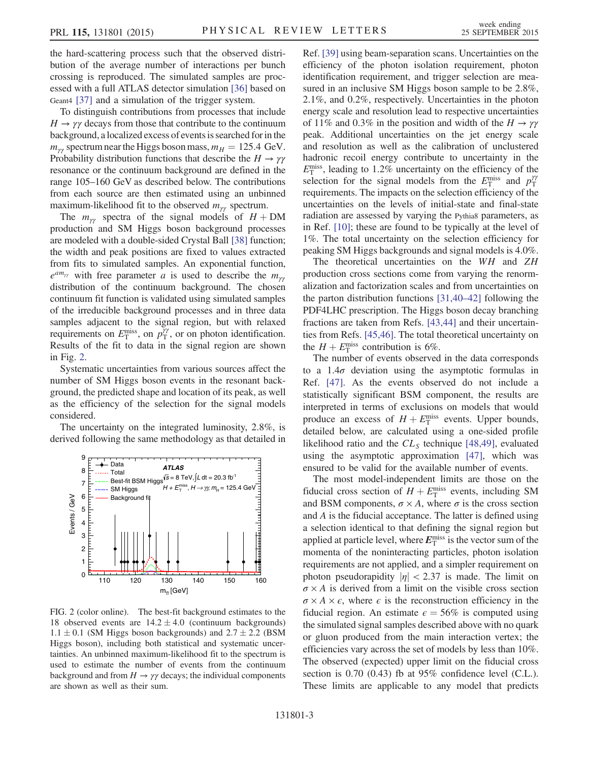the hard-scattering process such that the observed distribution of the average number of interactions per bunch crossing is reproduced. The simulated samples are processed with a full ATLAS detector simulation [\[36\]](#page-5-17) based on Geant4 [\[37\]](#page-5-18) and a simulation of the trigger system.

To distinguish contributions from processes that include  $H \to \gamma \gamma$  decays from those that contribute to the continuum background, a localized excess of events is searched for in the  $m_{\gamma\gamma}$  spectrum near the Higgs boson mass,  $m_H = 125.4 \text{ GeV}$ . Probability distribution functions that describe the  $H \to \gamma \gamma$ resonance or the continuum background are defined in the range 105–160 GeV as described below. The contributions from each source are then estimated using an unbinned maximum-likelihood fit to the observed  $m_{\gamma\gamma}$  spectrum.

The  $m_{\gamma\gamma}$  spectra of the signal models of  $H + DM$ production and SM Higgs boson background processes are modeled with a double-sided Crystal Ball [\[38\]](#page-5-19) function; the width and peak positions are fixed to values extracted from fits to simulated samples. An exponential function,  $e^{am_y}$  with free parameter a is used to describe the  $m_y$ distribution of the continuum background. The chosen continuum fit function is validated using simulated samples of the irreducible background processes and in three data samples adjacent to the signal region, but with relaxed requirements on  $E_T^{\text{miss}}$ , on  $p_T^{\gamma\gamma}$ , or on photon identification.<br>Results of the fit to data in the signal region are shown Results of the fit to data in the signal region are shown in Fig. [2.](#page-2-0)

Systematic uncertainties from various sources affect the number of SM Higgs boson events in the resonant background, the predicted shape and location of its peak, as well as the efficiency of the selection for the signal models considered.

The uncertainty on the integrated luminosity, 2.8%, is derived following the same methodology as that detailed in

<span id="page-2-0"></span>

FIG. 2 (color online). The best-fit background estimates to the 18 observed events are  $14.2 \pm 4.0$  (continuum backgrounds)  $1.1 \pm 0.1$  (SM Higgs boson backgrounds) and  $2.7 \pm 2.2$  (BSM Higgs boson), including both statistical and systematic uncertainties. An unbinned maximum-likelihood fit to the spectrum is used to estimate the number of events from the continuum background and from  $H \to \gamma\gamma$  decays; the individual components are shown as well as their sum.

Ref. [\[39\]](#page-5-20) using beam-separation scans. Uncertainties on the efficiency of the photon isolation requirement, photon identification requirement, and trigger selection are measured in an inclusive SM Higgs boson sample to be 2.8%, 2.1%, and 0.2%, respectively. Uncertainties in the photon energy scale and resolution lead to respective uncertainties of 11% and 0.3% in the position and width of the  $H \to \gamma\gamma$ peak. Additional uncertainties on the jet energy scale and resolution as well as the calibration of unclustered hadronic recoil energy contribute to uncertainty in the  $E_{\rm T}^{\rm miss}$ , leading to 1.2% uncertainty on the efficiency of the selection for the signal models from the  $F_{\rm T}^{\rm miss}$  and  $nZ$ selection for the signal models from the  $E_T^{\text{miss}}$  and  $p_T^{\gamma\gamma}$ <br>requirements. The impacts on the selection efficiency of the requirements. The impacts on the selection efficiency of the uncertainties on the levels of initial-state and final-state radiation are assessed by varying the Pythia8 parameters, as in Ref. [\[10\]](#page-4-10); these are found to be typically at the level of 1%. The total uncertainty on the selection efficiency for peaking SM Higgs backgrounds and signal models is 4.0%.

The theoretical uncertainties on the WH and ZH production cross sections come from varying the renormalization and factorization scales and from uncertainties on the parton distribution functions [\[31,40](#page-5-12)–42] following the PDF4LHC prescription. The Higgs boson decay branching fractions are taken from Refs. [\[43,44\]](#page-5-21) and their uncertainties from Refs. [\[45,46\]](#page-5-22). The total theoretical uncertainty on the  $H + E_{\rm T}^{\rm miss}$  contribution is 6%.<br>The number of events observed

The number of events observed in the data corresponds to a  $1.4\sigma$  deviation using the asymptotic formulas in Ref. [\[47\].](#page-5-23) As the events observed do not include a statistically significant BSM component, the results are interpreted in terms of exclusions on models that would produce an excess of  $H + E_T^{\text{miss}}$  events. Upper bounds,<br>detailed below, are calculated using a one-sided profile detailed below, are calculated using a one-sided profile likelihood ratio and the  $CL<sub>S</sub>$  technique [\[48,49\],](#page-5-24) evaluated using the asymptotic approximation [\[47\],](#page-5-23) which was ensured to be valid for the available number of events.

The most model-independent limits are those on the fiducial cross section of  $H + E_T^{\text{miss}}$  events, including SM<br>and BSM components  $\sigma \times A$  where  $\sigma$  is the cross section and BSM components,  $\sigma \times A$ , where  $\sigma$  is the cross section and A is the fiducial acceptance. The latter is defined using a selection identical to that defining the signal region but applied at particle level, where  $E_{\rm T}^{\rm miss}$  is the vector sum of the momenta of the noninteracting particles, photon isolation requirements are not applied, and a simpler requirement on photon pseudorapidity  $|\eta| < 2.37$  is made. The limit on  $\sigma \times A$  is derived from a limit on the visible cross section  $\sigma \times A \times \epsilon$ , where  $\epsilon$  is the reconstruction efficiency in the fiducial region. An estimate  $\epsilon = 56\%$  is computed using the simulated signal samples described above with no quark or gluon produced from the main interaction vertex; the efficiencies vary across the set of models by less than 10%. The observed (expected) upper limit on the fiducial cross section is 0.70 (0.43) fb at 95% confidence level (C.L.). These limits are applicable to any model that predicts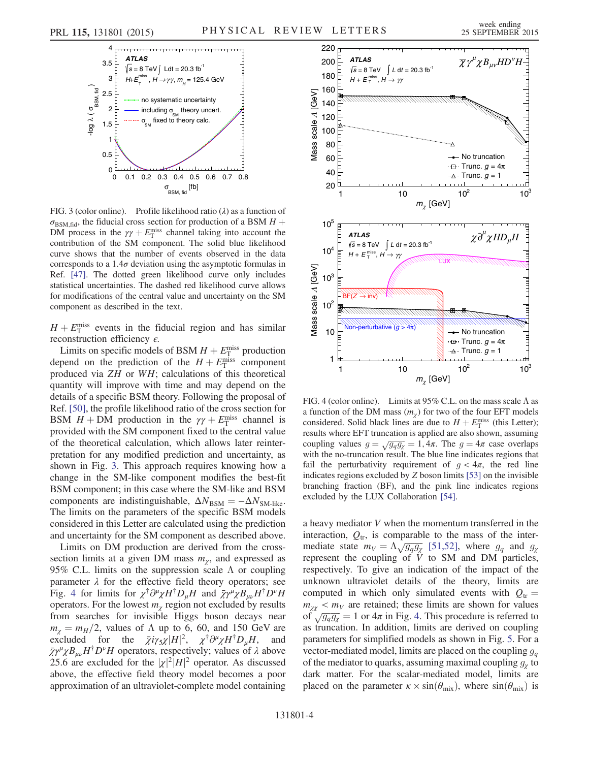<span id="page-3-0"></span>

FIG. 3 (color online). Profile likelihood ratio  $(\lambda)$  as a function of  $\sigma_{BSM, fid}$ , the fiducial cross section for production of a BSM  $H +$ DM process in the  $\gamma \gamma + E_{\rm T}^{\rm miss}$  channel taking into account the contribution of the SM component. The solid blue likelihood contribution of the SM component. The solid blue likelihood curve shows that the number of events observed in the data corresponds to a  $1.4\sigma$  deviation using the asymptotic formulas in Ref. [\[47\]](#page-5-23). The dotted green likelihood curve only includes statistical uncertainties. The dashed red likelihood curve allows for modifications of the central value and uncertainty on the SM component as described in the text.

 $H + E_{\text{T}}^{\text{miss}}$  events in the fiducial region and has similar reconstruction efficiency  $\epsilon$ reconstruction efficiency  $\epsilon$ .

Limits on specific models of BSM  $H + E_T^{\text{miss}}$  production<br>pend on the prediction of the  $H + E_T^{\text{miss}}$  component depend on the prediction of the  $H + E_T^{\text{miss}}$  component<br>produced via  $ZH$  or  $WH$ ; calculations of this theoretical produced via ZH or WH; calculations of this theoretical quantity will improve with time and may depend on the details of a specific BSM theory. Following the proposal of Ref. [\[50\]](#page-5-25), the profile likelihood ratio of the cross section for BSM  $H + DM$  production in the  $\gamma \gamma + E_{\rm T}^{\rm miss}$  channel is<br>provided with the SM component fixed to the central value provided with the SM component fixed to the central value of the theoretical calculation, which allows later reinterpretation for any modified prediction and uncertainty, as shown in Fig. [3](#page-3-0). This approach requires knowing how a change in the SM-like component modifies the best-fit BSM component; in this case where the SM-like and BSM components are indistinguishable,  $\Delta N_{\text{BSM}} = -\Delta N_{\text{SM-like}}$ . The limits on the parameters of the specific BSM models considered in this Letter are calculated using the prediction and uncertainty for the SM component as described above.

Limits on DM production are derived from the crosssection limits at a given DM mass  $m_{\chi}$ , and expressed as 95% C.L. limits on the suppression scale  $\Lambda$  or coupling parameter  $\lambda$  for the effective field theory operators; see Fig. [4](#page-3-1) for limits for  $\chi^{\dagger} \partial^{\mu} \chi H^{\dagger} D_{\mu} H$  and  $\bar{\chi} \gamma^{\mu} \chi B_{\mu\nu} H^{\dagger} D^{\nu} H$ operators. For the lowest  $m<sub>y</sub>$  region not excluded by results from searches for invisible Higgs boson decays near  $m_{\chi} = m_{H}/2$ , values of  $\Lambda$  up to 6, 60, and 150 GeV are excluded for the  $\bar{\chi} i\gamma_5 \chi |H|^2$ ,  $\chi^{\dagger} \partial^{\mu} \chi H^{\dagger} D_{\mu} H$ , and  $\bar{\chi} \gamma^{\mu} \gamma R$ ,  $H^{\dagger} D^{\nu} H$  operators respectively; values of  $\lambda$  above  $\bar{\chi}\gamma^{\mu}\chi B_{\mu\nu}H^{\dagger}D^{\nu}H$  operators, respectively; values of  $\lambda$  above 25.6 are excluded for the  $|\chi|^2|H|^2$  operator. As discussed<br>above the effective field theory model becomes a poor above, the effective field theory model becomes a poor approximation of an ultraviolet-complete model containing

<span id="page-3-1"></span>

FIG. 4 (color online). Limits at  $95\%$  C.L. on the mass scale  $\Lambda$  as a function of the DM mass  $(m<sub>x</sub>)$  for two of the four EFT models considered. Solid black lines are due to  $H + E_{\rm T}^{\rm miss}$  (this Letter);<br>results where EET truncation is applied are also shown assuming results where EFT truncation is applied are also shown, assuming coupling values  $g = \sqrt{g_q g_\chi} = 1$ ,  $4\pi$ . The  $g = 4\pi$  case overlaps with the no-truncation result. The blue line indicates regions that coupling values  $g = \sqrt{g_q g_\chi} = 1,4\pi$ . The  $g = 4\pi$  case overlaps<br>with the no-truncation result. The blue line indicates regions that fail the perturbativity requirement of  $q < 4\pi$ , the red line indicates regions excluded by Z boson limits [\[53\]](#page-5-27) on the invisible branching fraction (BF), and the pink line indicates regions excluded by the LUX Collaboration [\[54\].](#page-5-28)

a heavy mediator V when the momentum transferred in the interaction,  $Q_{tr}$ , is comparable to the mass of the intermediate state  $m_V = \Lambda \sqrt{g_q g_\chi}$  [\[51,52\],](#page-5-26) where  $g_q$  and  $g_\chi$ <br>represent the coupling of V to SM and DM particles represent the coupling of  $V$  to SM and DM particles, respectively. To give an indication of the impact of the respectively. To give an indication of the impact of the unknown ultraviolet details of the theory, limits are computed in which only simulated events with  $Q_{tr} =$  $m_{\chi\chi}$  <  $m_V$  are retained; these limits are shown for values of  $\sqrt{g_q g_\chi} = 1$  or  $4\pi$  $4\pi$  in Fig. 4. This procedure is referred to or  $\sqrt{g_q g_\chi} = 1$  or  $4\pi$  in Fig. 4. This procedure is referred to as truncation. In addition, limits are derived on coupling parameters for simplified models as shown in Fig. [5.](#page-4-11) For a vector-mediated model, limits are placed on the coupling  $g_a$ of the mediator to quarks, assuming maximal coupling  $g<sub>x</sub>$  to dark matter. For the scalar-mediated model, limits are placed on the parameter  $\kappa \times \sin(\theta_{mix})$ , where  $\sin(\theta_{mix})$  is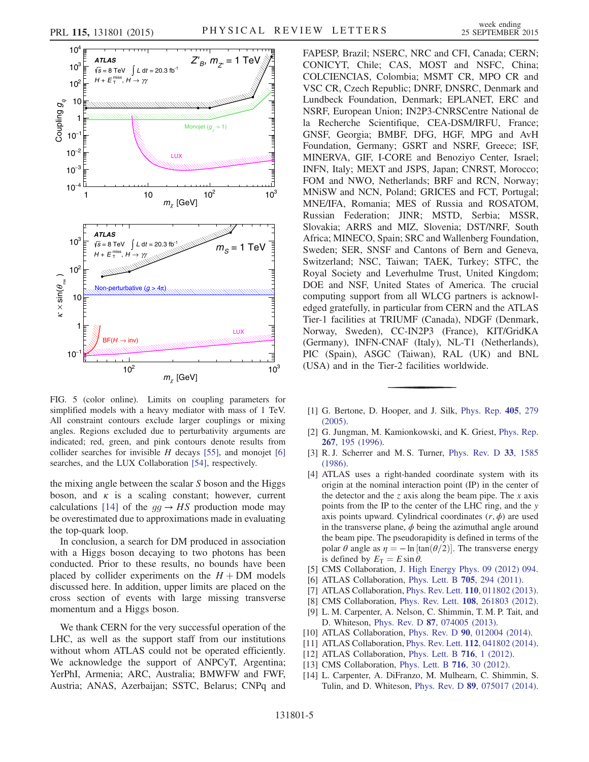<span id="page-4-11"></span>

FIG. 5 (color online). Limits on coupling parameters for simplified models with a heavy mediator with mass of 1 TeV. All constraint contours exclude larger couplings or mixing angles. Regions excluded due to perturbativity arguments are indicated; red, green, and pink contours denote results from collider searches for invisible  $H$  decays [\[55\],](#page-5-29) and monojet [\[6\]](#page-4-12) searches, and the LUX Collaboration [\[54\],](#page-5-28) respectively.

the mixing angle between the scalar S boson and the Higgs boson, and  $\kappa$  is a scaling constant; however, current calculations [\[14\]](#page-4-8) of the  $gg \to HS$  production mode may be overestimated due to approximations made in evaluating the top-quark loop.

In conclusion, a search for DM produced in association with a Higgs boson decaying to two photons has been conducted. Prior to these results, no bounds have been placed by collider experiments on the  $H + DM$  models discussed here. In addition, upper limits are placed on the cross section of events with large missing transverse momentum and a Higgs boson.

We thank CERN for the very successful operation of the LHC, as well as the support staff from our institutions without whom ATLAS could not be operated efficiently. We acknowledge the support of ANPCyT, Argentina; YerPhI, Armenia; ARC, Australia; BMWFW and FWF, Austria; ANAS, Azerbaijan; SSTC, Belarus; CNPq and FAPESP, Brazil; NSERC, NRC and CFI, Canada; CERN; CONICYT, Chile; CAS, MOST and NSFC, China; COLCIENCIAS, Colombia; MSMT CR, MPO CR and VSC CR, Czech Republic; DNRF, DNSRC, Denmark and Lundbeck Foundation, Denmark; EPLANET, ERC and NSRF, European Union; IN2P3-CNRSCentre National de la Recherche Scientifique, CEA-DSM/IRFU, France; GNSF, Georgia; BMBF, DFG, HGF, MPG and AvH Foundation, Germany; GSRT and NSRF, Greece; ISF, MINERVA, GIF, I-CORE and Benoziyo Center, Israel; INFN, Italy; MEXT and JSPS, Japan; CNRST, Morocco; FOM and NWO, Netherlands; BRF and RCN, Norway; MNiSW and NCN, Poland; GRICES and FCT, Portugal; MNE/IFA, Romania; MES of Russia and ROSATOM, Russian Federation; JINR; MSTD, Serbia; MSSR, Slovakia; ARRS and MIZ, Slovenia; DST/NRF, South Africa; MINECO, Spain; SRC and Wallenberg Foundation, Sweden; SER, SNSF and Cantons of Bern and Geneva, Switzerland; NSC, Taiwan; TAEK, Turkey; STFC, the Royal Society and Leverhulme Trust, United Kingdom; DOE and NSF, United States of America. The crucial computing support from all WLCG partners is acknowledged gratefully, in particular from CERN and the ATLAS Tier-1 facilities at TRIUMF (Canada), NDGF (Denmark, Norway, Sweden), CC-IN2P3 (France), KIT/GridKA (Germany), INFN-CNAF (Italy), NL-T1 (Netherlands), PIC (Spain), ASGC (Taiwan), RAL (UK) and BNL (USA) and in the Tier-2 facilities worldwide.

- <span id="page-4-0"></span>[1] G. Bertone, D. Hooper, and J. Silk, [Phys. Rep.](http://dx.doi.org/10.1016/j.physrep.2004.08.031) 405, 279  $(2005)$ .
- <span id="page-4-1"></span>[2] G. Jungman, M. Kamionkowski, and K. Griest, [Phys. Rep.](http://dx.doi.org/10.1016/0370-1573(95)00058-5) 267[, 195 \(1996\)](http://dx.doi.org/10.1016/0370-1573(95)00058-5).
- <span id="page-4-2"></span>[3] R. J. Scherrer and M. S. Turner, [Phys. Rev. D](http://dx.doi.org/10.1103/PhysRevD.33.1585) 33, 1585 [\(1986\).](http://dx.doi.org/10.1103/PhysRevD.33.1585)
- <span id="page-4-3"></span>[4] ATLAS uses a right-handed coordinate system with its origin at the nominal interaction point (IP) in the center of the detector and the z axis along the beam pipe. The x axis points from the IP to the center of the LHC ring, and the y axis points upward. Cylindrical coordinates  $(r, \phi)$  are used in the transverse plane,  $\phi$  being the azimuthal angle around the beam pipe. The pseudorapidity is defined in terms of the polar  $\theta$  angle as  $\eta = -\ln [\tan(\theta/2)]$ . The transverse energy is defined by  $F_x = F \sin \theta$ is defined by  $E_T = E \sin \theta$ .
- <span id="page-4-12"></span><span id="page-4-4"></span>[5] CMS Collaboration, [J. High Energy Phys. 09 \(2012\) 094.](http://dx.doi.org/10.1007/JHEP09(2012)094)
- <span id="page-4-5"></span>[6] ATLAS Collaboration, [Phys. Lett. B](http://dx.doi.org/10.1016/j.physletb.2011.10.006) 705, 294 (2011).
- [7] ATLAS Collaboration, Phys. Rev. Lett. 110[, 011802 \(2013\).](http://dx.doi.org/10.1103/PhysRevLett.110.011802)
- <span id="page-4-6"></span>[8] CMS Collaboration, Phys. Rev. Lett. **108**[, 261803 \(2012\).](http://dx.doi.org/10.1103/PhysRevLett.108.261803)
- [9] L. M. Carpenter, A. Nelson, C. Shimmin, T. M. P. Tait, and D. Whiteson, Phys. Rev. D 87[, 074005 \(2013\).](http://dx.doi.org/10.1103/PhysRevD.87.074005)
- <span id="page-4-10"></span><span id="page-4-9"></span>[10] ATLAS Collaboration, Phys. Rev. D 90[, 012004 \(2014\).](http://dx.doi.org/10.1103/PhysRevD.90.012004)
- <span id="page-4-7"></span>[11] ATLAS Collaboration, Phys. Rev. Lett. 112[, 041802 \(2014\).](http://dx.doi.org/10.1103/PhysRevLett.112.041802)
- [12] ATLAS Collaboration, [Phys. Lett. B](http://dx.doi.org/10.1016/j.physletb.2012.08.020) **716**, 1 (2012).
- <span id="page-4-8"></span>[13] CMS Collaboration, [Phys. Lett. B](http://dx.doi.org/10.1016/j.physletb.2012.08.021) **716**, 30 (2012).
- [14] L. Carpenter, A. DiFranzo, M. Mulhearn, C. Shimmin, S. Tulin, and D. Whiteson, Phys. Rev. D 89[, 075017 \(2014\).](http://dx.doi.org/10.1103/PhysRevD.89.075017)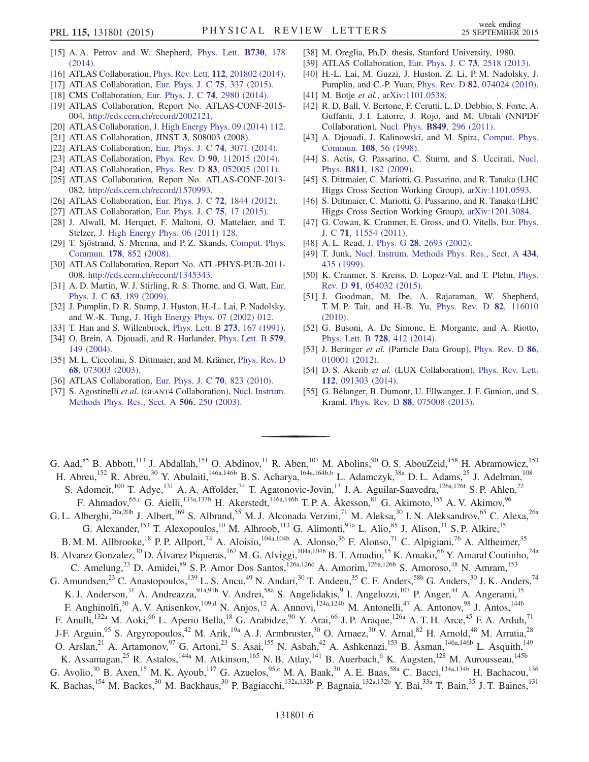- [15] A. A. Petrov and W. Shepherd, [Phys. Lett.](http://dx.doi.org/10.1016/j.physletb.2014.01.051) **B730**, 178 [\(2014\).](http://dx.doi.org/10.1016/j.physletb.2014.01.051)
- [16] ATLAS Collaboration, *Phys. Rev. Lett.* **112**[, 201802 \(2014\).](http://dx.doi.org/10.1103/PhysRevLett.112.201802)
- [17] ATLAS Collaboration, [Eur. Phys. J. C](http://dx.doi.org/10.1140/epjc/s10052-015-3551-1) 75, 337 (2015).
- <span id="page-5-0"></span>[18] CMS Collaboration, [Eur. Phys. J. C](http://dx.doi.org/10.1140/epjc/s10052-014-2980-6) 74, 2980 (2014).
- [19] ATLAS Collaboration, Report No. ATLAS-CONF-2015- 004, [http://cds.cern.ch/record/2002121.](http://cds.cern.ch/record/2002121)
- <span id="page-5-1"></span>[20] ATLAS Collaboration, [J. High Energy Phys. 09 \(2014\) 112.](http://dx.doi.org/10.1007/JHEP09(2014)112)
- <span id="page-5-2"></span>[21] ATLAS Collaboration, JINST 3, S08003 (2008).
- <span id="page-5-3"></span>[22] ATLAS Collaboration, [Eur. Phys. J. C](http://dx.doi.org/10.1140/epjc/s10052-014-3071-4) 74, 3071 (2014).
- <span id="page-5-4"></span>[23] ATLAS Collaboration, Phys. Rev. D 90[, 112015 \(2014\).](http://dx.doi.org/10.1103/PhysRevD.90.112015)
- <span id="page-5-5"></span>[24] ATLAS Collaboration, Phys. Rev. D 83[, 052005 \(2011\).](http://dx.doi.org/10.1103/PhysRevD.83.052005)
- <span id="page-5-6"></span>[25] ATLAS Collaboration, Report No. ATLAS-CONF-2013-082, [http://cds.cern.ch/record/1570993.](http://cds.cern.ch/record/1570993)
- <span id="page-5-7"></span>[26] ATLAS Collaboration, [Eur. Phys. J. C](http://dx.doi.org/10.1140/epjc/s10052-011-1844-6) 72, 1844 (2012).
- <span id="page-5-8"></span>[27] ATLAS Collaboration, [Eur. Phys. J. C](http://dx.doi.org/10.1140/epjc/s10052-014-3190-y) 75, 17 (2015).
- <span id="page-5-9"></span>[28] J. Alwall, M. Herquet, F. Maltoni, O. Mattelaer, and T. Stelzer, [J. High Energy Phys. 06 \(2011\) 128.](http://dx.doi.org/10.1007/JHEP06(2011)128)
- <span id="page-5-10"></span>[29] T. Sjöstrand, S. Mrenna, and P. Z. Skands, [Comput. Phys.](http://dx.doi.org/10.1016/j.cpc.2008.01.036) Commun. 178[, 852 \(2008\)](http://dx.doi.org/10.1016/j.cpc.2008.01.036).
- <span id="page-5-11"></span>[30] ATLAS Collaboration, Report No. ATL-PHYS-PUB-2011- 008, [http://cds.cern.ch/record/1345343.](http://cds.cern.ch/record/1345343)
- <span id="page-5-12"></span>[31] A. D. Martin, W. J. Stirling, R. S. Thorne, and G. Watt, [Eur.](http://dx.doi.org/10.1140/epjc/s10052-009-1072-5) Phys. J. C 63[, 189 \(2009\).](http://dx.doi.org/10.1140/epjc/s10052-009-1072-5)
- <span id="page-5-13"></span>[32] J. Pumplin, D. R. Stump, J. Huston, H.-L. Lai, P. Nadolsky, and W.-K. Tung, [J. High Energy Phys. 07 \(2002\) 012.](http://dx.doi.org/10.1088/1126-6708/2002/07/012)
- <span id="page-5-14"></span>[33] T. Han and S. Willenbrock, [Phys. Lett. B](http://dx.doi.org/10.1016/0370-2693(91)90572-8) 273, 167 (1991).
- <span id="page-5-15"></span>[34] O. Brein, A. Djouadi, and R. Harlander, [Phys. Lett. B](http://dx.doi.org/10.1016/j.physletb.2003.10.112) 579, [149 \(2004\)](http://dx.doi.org/10.1016/j.physletb.2003.10.112).
- <span id="page-5-16"></span>[35] M. L. Ciccolini, S. Dittmaier, and M. Krämer, [Phys. Rev. D](http://dx.doi.org/10.1103/PhysRevD.68.073003) 68[, 073003 \(2003\).](http://dx.doi.org/10.1103/PhysRevD.68.073003)
- <span id="page-5-17"></span>[36] ATLAS Collaboration, [Eur. Phys. J. C](http://dx.doi.org/10.1140/epjc/s10052-010-1429-9) 70, 823 (2010).
- <span id="page-5-18"></span>[37] S. Agostinelli et al. (GEANT4 Collaboration), [Nucl. Instrum.](http://dx.doi.org/10.1016/S0168-9002(03)01368-8) [Methods Phys. Res., Sect. A](http://dx.doi.org/10.1016/S0168-9002(03)01368-8) 506, 250 (2003).
- <span id="page-5-19"></span>[38] M. Oreglia, Ph.D. thesis, Stanford University, 1980.
- <span id="page-5-20"></span>[39] ATLAS Collaboration, [Eur. Phys. J. C](http://dx.doi.org/10.1140/epjc/s10052-013-2518-3) 73, 2518 (2013).
- [40] H.-L. Lai, M. Guzzi, J. Huston, Z. Li, P. M. Nadolsky, J. Pumplin, and C.-P. Yuan, Phys. Rev. D 82[, 074024 \(2010\).](http://dx.doi.org/10.1103/PhysRevD.82.074024)
- [41] M. Botje et al., [arXiv:1101.0538.](http://arXiv.org/abs/1101.0538)
- [42] R. D. Ball, V. Bertone, F. Cerutti, L. D. Debbio, S. Forte, A. Guffanti, J. I. Latorre, J. Rojo, and M. Ubiali (NNPDF Collaboration), Nucl. Phys. B849[, 296 \(2011\).](http://dx.doi.org/10.1016/j.nuclphysb.2011.03.021)
- <span id="page-5-21"></span>[43] A. Djouadi, J. Kalinowski, and M. Spira, [Comput. Phys.](http://dx.doi.org/10.1016/S0010-4655(97)00123-9) Commun. 108[, 56 \(1998\).](http://dx.doi.org/10.1016/S0010-4655(97)00123-9)
- [44] S. Actis, G. Passarino, C. Sturm, and S. Uccirati, [Nucl.](http://dx.doi.org/10.1016/j.nuclphysb.2008.11.024) Phys. B811[, 182 \(2009\).](http://dx.doi.org/10.1016/j.nuclphysb.2008.11.024)
- <span id="page-5-22"></span>[45] S. Dittmaier, C. Mariotti, G. Passarino, and R. Tanaka (LHC Higgs Cross Section Working Group), [arXiv:1101.0593.](http://arXiv.org/abs/1101.0593)
- [46] S. Dittmaier, C. Mariotti, G. Passarino, and R. Tanaka (LHC Higgs Cross Section Working Group), [arXiv:1201.3084.](http://arXiv.org/abs/1201.3084)
- <span id="page-5-23"></span>[47] G. Cowan, K. Cranmer, E. Gross, and O. Vitells, [Eur. Phys.](http://dx.doi.org/10.1140/epjc/s10052-011-1554-0) J. C 71[, 11554 \(2011\)](http://dx.doi.org/10.1140/epjc/s10052-011-1554-0).
- <span id="page-5-24"></span>[48] A.L. Read, J. Phys. G **28**[, 2693 \(2002\).](http://dx.doi.org/10.1088/0954-3899/28/10/313)
- [49] T. Junk, [Nucl. Instrum. Methods Phys. Res., Sect. A](http://dx.doi.org/10.1016/S0168-9002(99)00498-2) 434, [435 \(1999\)](http://dx.doi.org/10.1016/S0168-9002(99)00498-2).
- <span id="page-5-25"></span>[50] K. Cranmer, S. Kreiss, D. Lopez-Val, and T. Plehn, [Phys.](http://dx.doi.org/10.1103/PhysRevD.91.054032) Rev. D 91[, 054032 \(2015\)](http://dx.doi.org/10.1103/PhysRevD.91.054032).
- <span id="page-5-26"></span>[51] J. Goodman, M. Ibe, A. Rajaraman, W. Shepherd, T. M. P. Tait, and H.-B. Yu, [Phys. Rev. D](http://dx.doi.org/10.1103/PhysRevD.82.116010) 82, 116010 [\(2010\).](http://dx.doi.org/10.1103/PhysRevD.82.116010)
- [52] G. Busoni, A. De Simone, E. Morgante, and A. Riotto, [Phys. Lett. B](http://dx.doi.org/10.1016/j.physletb.2013.11.069) 728, 412 (2014).
- <span id="page-5-27"></span>[53] J. Beringer et al. (Particle Data Group), [Phys. Rev. D](http://dx.doi.org/10.1103/PhysRevD.86.010001) 86, [010001 \(2012\).](http://dx.doi.org/10.1103/PhysRevD.86.010001)
- <span id="page-5-28"></span>[54] D. S. Akerib et al. (LUX Collaboration), [Phys. Rev. Lett.](http://dx.doi.org/10.1103/PhysRevLett.112.091303) 112[, 091303 \(2014\).](http://dx.doi.org/10.1103/PhysRevLett.112.091303)
- <span id="page-5-29"></span>[55] G. Bélanger, B. Dumont, U. Ellwanger, J. F. Gunion, and S. Kraml, Phys. Rev. D 88[, 075008 \(2013\)](http://dx.doi.org/10.1103/PhysRevD.88.075008).

<span id="page-5-31"></span><span id="page-5-30"></span>G. Aad,<sup>85</sup> B. Abbott,<sup>113</sup> J. Abdallah,<sup>151</sup> O. Abdinov,<sup>11</sup> R. Aben,<sup>107</sup> M. Abolins,<sup>90</sup> O. S. AbouZeid,<sup>158</sup> H. Abramowicz,<sup>153</sup> H. Abreu,<sup>152</sup> R. Abreu,<sup>30</sup> Y. Abulaiti,<sup>146a,146b</sup> B. S. Acharya,<sup>164a,164[b,b](#page-17-0)</sup> L. Adamczyk,<sup>38a</sup> D. L. Adams,<sup>25</sup> J. Adelman,<sup>108</sup> S. Adomeit,<sup>100</sup> T. Adye,<sup>131</sup> A. A. Affolder,<sup>74</sup> T. Agatonovic-Jovin,<sup>13</sup> J. A. Aguilar-Saavedra,<sup>126a,126f</sup> S. P. Ahlen,<sup>22</sup> F. Ahmadov,<sup>65[,c](#page-17-1)</sup> G. Aielli,<sup>133a,133b</sup> H. Akerstedt,<sup>146a,146b</sup> T. P. A. Åkesson,<sup>81</sup> G. Akimoto,<sup>155</sup> A. V. Akimov,<sup>96</sup> G. L. Alberghi,<sup>20a,20b</sup> J. Albert,<sup>169</sup> S. Albrand,<sup>55</sup> M. J. Alconada Verzini,<sup>71</sup> M. Aleksa,<sup>30</sup> I. N. Aleksandrov,<sup>65</sup> C. Alexa,<sup>26a</sup> G. Alexander, <sup>153</sup> T. Alexopoulos, <sup>10</sup> M. Alhroob, <sup>113</sup> G. Alimonti, <sup>91a</sup> L. Alio, <sup>85</sup> J. Alison, <sup>31</sup> S. P. Alkire, <sup>35</sup> B. M. M. Allbrooke,<sup>18</sup> P. P. Allport,<sup>74</sup> A. Aloisio,<sup>104a,104b</sup> A. Alonso,<sup>36</sup> F. Alonso,<sup>71</sup> C. Alpigiani,<sup>76</sup> A. Altheimer,<sup>35</sup> B. Alvarez Gonzalez,<sup>30</sup> D. Álvarez Piqueras,<sup>167</sup> M. G. Alviggi,<sup>104a,104b</sup> B. T. Amadio,<sup>15</sup> K. Amako,<sup>66</sup> Y. Amaral Coutinho,<sup>24a</sup> C. Amelung,<sup>23</sup> D. Amidei,<sup>89</sup> S. P. Amor Dos Santos,<sup>126a,126c</sup> A. Amorim,<sup>126a,126b</sup> S. Amoroso,<sup>48</sup> N. Amram,<sup>153</sup> G. Amundsen,<sup>23</sup> C. Anastopoulos,<sup>139</sup> L. S. Ancu,<sup>49</sup> N. Andari,<sup>30</sup> T. Andeen,<sup>35</sup> C. F. Anders,<sup>58b</sup> G. Anders,<sup>30</sup> J. K. Anders,<sup>74</sup> K. J. Anderson,<sup>31</sup> A. Andreazza,<sup>91a,91b</sup> V. Andrei,<sup>58a</sup> S. Angelidakis,<sup>9</sup> I. Angelozzi,<sup>107</sup> P. Anger,<sup>44</sup> A. Angerami,<sup>35</sup> F. Anghinolfi,<sup>30</sup> A. V. Anisenkov,<sup>109[,d](#page-17-2)</sup> N. Anjos,<sup>12</sup> A. Annovi,<sup>124a,124b</sup> M. Antonelli,<sup>47</sup> A. Antonov,<sup>98</sup> J. Antos,<sup>144b</sup> F. Anulli,<sup>132a</sup> M. Aoki,<sup>66</sup> L. Aperio Bella,<sup>18</sup> G. Arabidze,<sup>90</sup> Y. Arai,<sup>66</sup> J. P. Araque,<sup>126a</sup> A. T. H. Arce,<sup>45</sup> F. A. Arduh,<sup>71</sup> J-F. Arguin,<sup>95</sup> S. Argyropoulos,<sup>42</sup> M. Arik,<sup>19a</sup> A. J. Armbruster,<sup>30</sup> O. Arnaez,<sup>30</sup> V. Arnal,<sup>82</sup> H. Arnold,<sup>48</sup> M. Arratia,<sup>28</sup> O. Arslan,<sup>21</sup> A. Artamonov,<sup>97</sup> G. Artoni,<sup>23</sup> S. Asai,<sup>155</sup> N. Asbah,<sup>42</sup> A. Ashkenazi,<sup>153</sup> B. Åsman,<sup>146a,146b</sup> L. Asquith,<sup>149</sup> K. Assamagan,<sup>25</sup> R. Astalos,<sup>144a</sup> M. Atkinson,<sup>165</sup> N. B. Atlay,<sup>141</sup> B. Auerbach,<sup>6</sup> K. Augsten,<sup>128</sup> M. Aurousseau,<sup>145b</sup>

<span id="page-5-33"></span><span id="page-5-32"></span>G. Avolio,<sup>30</sup> B. Axen,<sup>15</sup> M. K. Ayoub,<sup>117</sup> G. Azuelos,<sup>9[5,e](#page-17-3)</sup> M. A. Baak,<sup>30</sup> A. E. Baas,<sup>58a</sup> C. Bacci,<sup>134a,134b</sup> H. Bachacou,<sup>136</sup> K. Bachas,<sup>154</sup> M. Backes,<sup>30</sup> M. Backhaus,<sup>30</sup> P. Bagiacchi,<sup>132a,132b</sup> P. Bagnaia,<sup>132a,132b</sup> Y. Bai,<sup>33a</sup> T. Bain,<sup>35</sup> J. T. Baines,<sup>131</sup>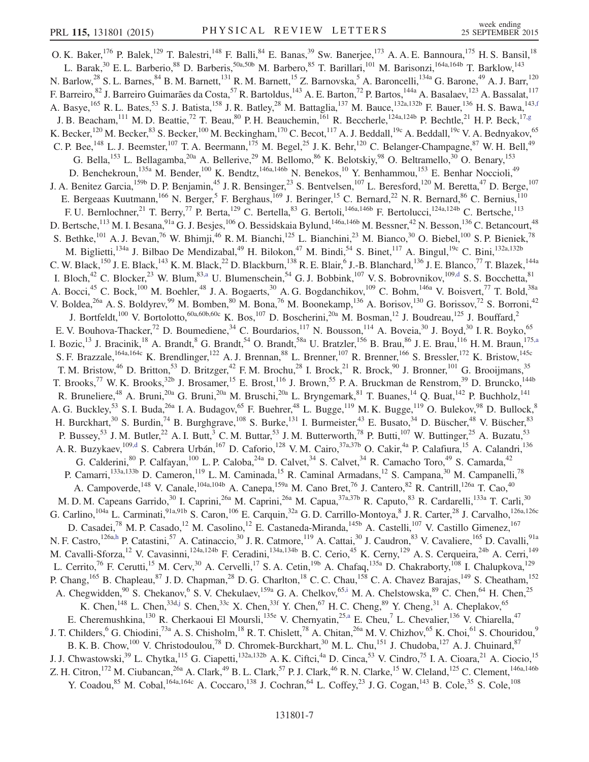<span id="page-6-5"></span><span id="page-6-4"></span><span id="page-6-3"></span><span id="page-6-2"></span><span id="page-6-1"></span><span id="page-6-0"></span>O. K. Baker, <sup>176</sup> P. Balek, <sup>129</sup> T. Balestri, <sup>148</sup> F. Balli, <sup>84</sup> E. Banas, <sup>39</sup> Sw. Banerjee, <sup>173</sup> A. A. E. Bannoura, <sup>175</sup> H. S. Bansil, <sup>18</sup> L. Barak,<sup>30</sup> E. L. Barberio,<sup>88</sup> D. Barberis,<sup>50a,50b</sup> M. Barbero,<sup>85</sup> T. Barillari,<sup>101</sup> M. Barisonzi,<sup>164a,164b</sup> T. Barklow,<sup>143</sup> N. Barlow,<sup>28</sup> S. L. Barnes,<sup>84</sup> B. M. Barnett,<sup>131</sup> R. M. Barnett,<sup>15</sup> Z. Barnovska,<sup>5</sup> A. Baroncelli,<sup>134a</sup> G. Barone,<sup>49</sup> A. J. Barr,<sup>120</sup> F. Barreiro,<sup>82</sup> J. Barreiro Guimarães da Costa,<sup>57</sup> R. Bartoldus,<sup>143</sup> A. E. Barton,<sup>72</sup> P. Bartos,<sup>144a</sup> A. Basalaev,<sup>123</sup> A. Bassalat,<sup>117</sup> A. Basye,<sup>165</sup> R. L. Bates,<sup>53</sup> S. J. Batista,<sup>158</sup> J. R. Batley,<sup>28</sup> M. Battaglia,<sup>137</sup> M. Bauce,<sup>132a,132b</sup> F. Bauer,<sup>136</sup> H. S. Bawa,<sup>143[,f](#page-17-4)</sup> J. B. Beacham,  $^{111}$  M. D. Beattie,  $^{72}$  T. Beau,  $^{80}$  P. H. Beauchemin,  $^{161}$  R. Beccherle,  $^{124}$ <sub>4</sub>,  $^{124b}$  P. Bechtle,  $^{21}$  H. P. Beck,  $^{17,g}$  $^{17,g}$  $^{17,g}$ K. Becker,<sup>120</sup> M. Becker,<sup>83</sup> S. Becker,<sup>100</sup> M. Beckingham,<sup>170</sup> C. Becot,<sup>117</sup> A. J. Beddall,<sup>19c</sup> A. Beddall,<sup>19c</sup> V. A. Bednyakov,<sup>65</sup> C. P. Bee,  $^{148}$  L. J. Beemster,  $^{107}$  T. A. Beermann,  $^{175}$  M. Begel,  $^{25}$  J. K. Behr,  $^{120}$  C. Belanger-Champagne,  $^{87}$  W. H. Bell,  $^{49}$ G. Bella,<sup>153</sup> L. Bellagamba,<sup>20a</sup> A. Bellerive,<sup>29</sup> M. Bellomo,<sup>86</sup> K. Belotskiy,<sup>98</sup> O. Beltramello,<sup>30</sup> O. Benary,<sup>153</sup> D. Benchekroun, <sup>135a</sup> M. Bender, <sup>100</sup> K. Bendtz, <sup>146a, 146b</sup> N. Benekos, <sup>10</sup> Y. Benhammou, <sup>153</sup> E. Benhar Noccioli, <sup>49</sup> J. A. Benitez Garcia,<sup>159b</sup> D. P. Benjamin,<sup>45</sup> J. R. Bensinger,<sup>23</sup> S. Bentvelsen,<sup>107</sup> L. Beresford,<sup>120</sup> M. Beretta,<sup>47</sup> D. Berge,<sup>107</sup> E. Bergeaas Kuutmann,<sup>166</sup> N. Berger,<sup>5</sup> F. Berghaus,<sup>169</sup> J. Beringer,<sup>15</sup> C. Bernard,<sup>22</sup> N. R. Bernard,<sup>86</sup> C. Bernius,<sup>110</sup> F. U. Bernlochner,  $^{21}$  T. Berry,  $^{77}$  P. Berta,  $^{129}$  C. Bertella,  $^{83}$  G. Bertoli,  $^{146a,146b}$  F. Bertolucci,  $^{124a,124b}$  C. Bertsche,  $^{113}$ D. Bertsche,<sup>113</sup> M. I. Besana,<sup>91a</sup> G. J. Besjes,<sup>106</sup> O. Bessidskaia Bylund,<sup>146a,146b</sup> M. Bessner,<sup>42</sup> N. Besson,<sup>136</sup> C. Betancourt,<sup>48</sup> S. Bethke,<sup>101</sup> A. J. Bevan,<sup>76</sup> W. Bhimji,<sup>46</sup> R. M. Bianchi,<sup>125</sup> L. Bianchini,<sup>23</sup> M. Bianco,<sup>30</sup> O. Biebel,<sup>100</sup> S. P. Bieniek,<sup>78</sup> M. Biglietti,<sup>134a</sup> J. Bilbao De Mendizabal,<sup>49</sup> H. Bilokon,<sup>47</sup> M. Bindi,<sup>54</sup> S. Binet,<sup>117</sup> A. Bingul,<sup>19c</sup> C. Bini,<sup>132a,132b</sup> C. W. Black,<sup>150</sup> J. E. Black,<sup>143</sup> K. M. Black,<sup>22</sup> D. Blackburn,<sup>138</sup> R. E. Blair,<sup>6</sup> J.-B. Blanchard,<sup>136</sup> J. E. Blanco,<sup>77</sup> T. Blazek,<sup>144a</sup> I. Bloch,<sup>42</sup> C. Blocker,<sup>23</sup> W. Blum,<sup>83[,a](#page-17-6)</sup> U. Blumenschein,<sup>54</sup> G. J. Bobbink,<sup>107</sup> V. S. Bobrovnikov,<sup>109[,d](#page-17-2)</sup> S. S. Bocchetta,<sup>81</sup> A. Bocci,<sup>45</sup> C. Bock,<sup>100</sup> M. Boehler,<sup>48</sup> J. A. Bogaerts,<sup>30</sup> A. G. Bogdanchikov,<sup>109</sup> C. Bohm,<sup>146a</sup> V. Boisvert,<sup>77</sup> T. Bold,<sup>38a</sup> V. Boldea,<sup>26a</sup> A. S. Boldyrev,<sup>99</sup> M. Bomben,<sup>80</sup> M. Bona,<sup>76</sup> M. Boonekamp,<sup>136</sup> A. Borisov,<sup>130</sup> G. Borissov,<sup>72</sup> S. Borroni,<sup>42</sup> J. Bortfeldt,<sup>100</sup> V. Bortolotto,<sup>60a,60b,60c</sup> K. Bos,<sup>107</sup> D. Boscherini,<sup>20a</sup> M. Bosman,<sup>12</sup> J. Boudreau,<sup>125</sup> J. Bouffard,<sup>2</sup> E. V. Bouhova-Thacker,<sup>72</sup> D. Boumediene,<sup>34</sup> C. Bourdarios,<sup>117</sup> N. Bousson,<sup>114</sup> A. Boveia,<sup>30</sup> J. Boyd,<sup>30</sup> I. R. Boyko,<sup>65</sup> I. Bozic,<sup>13</sup> J. Bracinik,<sup>18</sup> A. Brandt,<sup>8</sup> G. Brandt,<sup>54</sup> O. Brandt,<sup>58a</sup> U. Bratzler,<sup>156</sup> B. Brau,<sup>86</sup> J. E. Brau,<sup>116</sup> H. M. Braun,<sup>17[5,a](#page-17-6)</sup> S. F. Brazzale, <sup>164a, 164c</sup> K. Brendlinger, <sup>122</sup> A. J. Brennan, <sup>88</sup> L. Brenner, <sup>107</sup> R. Brenner, <sup>166</sup> S. Bressler, <sup>172</sup> K. Bristow, <sup>145c</sup> T. M. Bristow,  $^{46}$  D. Britton,  $^{53}$  D. Britzger,  $^{42}$  F. M. Brochu,  $^{28}$  I. Brock,  $^{21}$  R. Brock,  $^{90}$  J. Bronner,  $^{101}$  G. Brooijmans,  $^{35}$ T. Brooks,<sup>77</sup> W. K. Brooks,<sup>32b</sup> J. Brosamer,<sup>15</sup> E. Brost,<sup>116</sup> J. Brown,<sup>55</sup> P. A. Bruckman de Renstrom,<sup>39</sup> D. Bruncko,<sup>144b</sup> R. Bruneliere,<sup>48</sup> A. Bruni,<sup>20a</sup> G. Bruni,<sup>20a</sup> M. Bruschi,<sup>20a</sup> L. Bryngemark,<sup>81</sup> T. Buanes,<sup>14</sup> Q. Buat,<sup>142</sup> P. Buchholz,<sup>141</sup> A. G. Buckley,<sup>53</sup> S. I. Buda,<sup>26a</sup> I. A. Budagov,<sup>65</sup> F. Buehrer,<sup>48</sup> L. Bugge,<sup>119</sup> M. K. Bugge,<sup>119</sup> O. Bulekov,<sup>98</sup> D. Bullock,<sup>8</sup> H. Burckhart,<sup>30</sup> S. H. Burdin,<sup>74</sup> B. Burghgrave,<sup>108</sup> S. Burke,<sup>131</sup> I. Burmeister,<sup>43</sup> E. Busato,<sup>34</sup> D. Büscher,<sup>48</sup> V. Büscher,<sup>83</sup> P. Bussey,<sup>53</sup> J. M. Butler,<sup>22</sup> A. I. Butt,<sup>3</sup> C. M. Buttar,<sup>53</sup> J. M. Butterworth,<sup>78</sup> P. Butti,<sup>107</sup> W. Buttinger,<sup>25</sup> A. Buzatu,<sup>53</sup> A. R. Buzykaev, 109[,d](#page-17-2) S. Cabrera Urbán, <sup>167</sup> D. Caforio, <sup>128</sup> V. M. Cairo, <sup>37a, 37b</sup> O. Cakir, <sup>4a</sup> P. Calafiura, <sup>15</sup> A. Calandri, <sup>136</sup> G. Calderini,<sup>80</sup> P. Calfayan,<sup>100</sup> L. P. Caloba,<sup>24a</sup> D. Calvet,<sup>34</sup> S. Calvet,<sup>34</sup> R. Camacho Toro,<sup>49</sup> S. Camarda,<sup>42</sup> P. Camarri,<sup>133a,133b</sup> D. Cameron,<sup>119</sup> L. M. Caminada,<sup>15</sup> R. Caminal Armadans,<sup>12</sup> S. Campana,<sup>30</sup> M. Campanelli,<sup>78</sup> A. Campoverde,<sup>148</sup> V. Canale,<sup>104a,104b</sup> A. Canepa,<sup>159a</sup> M. Cano Bret,<sup>76</sup> J. Cantero,<sup>82</sup> R. Cantrill,<sup>126a</sup> T. Cao,<sup>40</sup> M. D. M. Capeans Garrido,<sup>30</sup> I. Caprini,<sup>26a</sup> M. Caprini,<sup>26a</sup> M. Capua,<sup>37a,37b</sup> R. Caputo,<sup>83</sup> R. Cardarelli,<sup>133a</sup> T. Carli,<sup>30</sup> G. Carlino,  $^{104a}$  L. Carminati,  $^{91a,91b}$  S. Caron,  $^{106}$  E. Carquin,  $^{32a}$  G. D. Carrillo-Montoya,  $^8$  J. R. Carter,  $^{28}$  J. Carvalho,  $^{126a,126c}$ D. Casadei,<sup>78</sup> M. P. Casado,<sup>12</sup> M. Casolino,<sup>12</sup> E. Castaneda-Miranda,<sup>145b</sup> A. Castelli,<sup>107</sup> V. Castillo Gimenez,<sup>167</sup> N. F. Castro, <sup>126[a,h](#page-17-7)</sup> P. Catastini,<sup>57</sup> A. Catinaccio,<sup>30</sup> J. R. Catmore, <sup>119</sup> A. Cattai, <sup>30</sup> J. Caudron, <sup>83</sup> V. Cavaliere, <sup>165</sup> D. Cavalli, <sup>91a</sup> M. Cavalli-Sforza,<sup>12</sup> V. Cavasinni,<sup>124a,124b</sup> F. Ceradini,<sup>134a,134b</sup> B. C. Cerio,<sup>45</sup> K. Cerny,<sup>129</sup> A. S. Cerqueira,<sup>24b</sup> A. Cerri,<sup>149</sup> L. Cerrito,<sup>76</sup> F. Cerutti,<sup>15</sup> M. Cerv,<sup>30</sup> A. Cervelli,<sup>17</sup> S. A. Cetin,<sup>19b</sup> A. Chafaq,<sup>135a</sup> D. Chakraborty,<sup>108</sup> I. Chalupkova,<sup>129</sup> P. Chang, <sup>165</sup> B. Chapleau,<sup>87</sup> J. D. Chapman,<sup>28</sup> D. G. Charlton, <sup>18</sup> C. C. Chau, <sup>158</sup> C. A. Chavez Barajas, <sup>149</sup> S. Cheatham, <sup>152</sup> A. Chegwidden,<sup>90</sup> S. Chekanov,<sup>6</sup> S. V. Chekulaev,<sup>159a</sup> G. A. Chelkov,<sup>6[5,i](#page-17-8)</sup> M. A. Chelstowska,<sup>89</sup> C. Chen,<sup>64</sup> H. Chen,<sup>25</sup> K. Chen,<sup>148</sup> L. Chen,<sup>33d[,j](#page-17-9)</sup> S. Chen,<sup>33c</sup> X. Chen,<sup>33f</sup> Y. Chen,<sup>67</sup> H. C. Cheng,<sup>89</sup> Y. Cheng,<sup>31</sup> A. Cheplakov,<sup>65</sup> E. Cheremushkina, <sup>130</sup> R. Cherkaoui El Moursli, <sup>135e</sup> V. Chernyatin, <sup>2[5,a](#page-17-6)</sup> E. Cheu, <sup>7</sup> L. Chevalier, <sup>136</sup> V. Chiarella, <sup>47</sup> J. T. Childers, <sup>6</sup> G. Chiodini, <sup>73a</sup> A. S. Chisholm, <sup>18</sup> R. T. Chislett, <sup>78</sup> A. Chitan, <sup>26a</sup> M. V. Chizhov, <sup>65</sup> K. Choi, <sup>61</sup> S. Chouridou, <sup>9</sup> B. K. B. Chow,<sup>100</sup> V. Christodoulou,<sup>78</sup> D. Chromek-Burckhart,<sup>30</sup> M. L. Chu,<sup>151</sup> J. Chudoba,<sup>127</sup> A. J. Chuinard,<sup>87</sup> J. J. Chwastowski,<sup>39</sup> L. Chytka,<sup>115</sup> G. Ciapetti,<sup>132a,132b</sup> A. K. Ciftci,<sup>4a</sup> D. Cinca,<sup>53</sup> V. Cindro,<sup>75</sup> I. A. Cioara,<sup>21</sup> A. Ciocio,<sup>15</sup> Z. H. Citron,<sup>172</sup> M. Ciubancan,<sup>26a</sup> A. Clark,<sup>49</sup> B. L. Clark,<sup>57</sup> P. J. Clark,<sup>46</sup> R. N. Clarke,<sup>15</sup> W. Cleland,<sup>125</sup> C. Clement,<sup>146a,146b</sup> Y. Coadou,  $85$  M. Cobal,  $164a,164c$  A. Coccaro,  $138$  J. Cochran,  $64$  L. Coffey,  $23$  J. G. Cogan,  $143$  B. Cole,  $35$  S. Cole,  $108$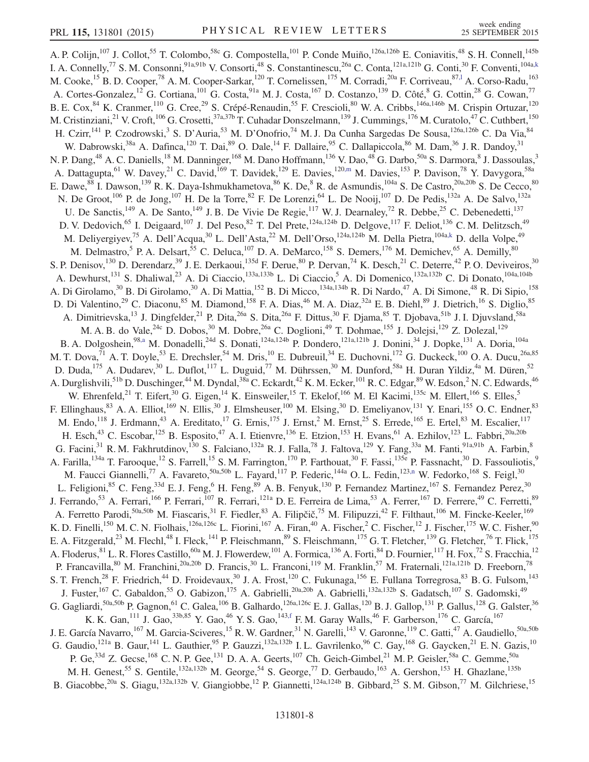<span id="page-7-3"></span><span id="page-7-2"></span><span id="page-7-1"></span><span id="page-7-0"></span>A. P. Colijn,<sup>107</sup> J. Collot,<sup>55</sup> T. Colombo,<sup>58c</sup> G. Compostella,<sup>101</sup> P. Conde Muiño,<sup>126a,126b</sup> E. Coniavitis,<sup>48</sup> S. H. Connell,<sup>145b</sup> I. A. Connelly,<sup>77</sup> S. M. Consonni,<sup>91a,91b</sup> V. Consorti,<sup>48</sup> S. Constantinescu,<sup>26a</sup> C. Conta,<sup>121a,121b</sup> G. Conti,<sup>30</sup> F. Conventi,<sup>104a[,k](#page-17-10)</sup> M. Cooke,<sup>15</sup> B. D. Cooper,<sup>78</sup> A. M. Cooper-Sarkar,<sup>120</sup> T. Cornelissen,<sup>175</sup> M. Corradi,<sup>20a</sup> F. Corriveau,<sup>87,1</sup> A. Corso-Radu,<sup>163</sup> A. Cortes-Gonzalez,<sup>12</sup> G. Cortiana,<sup>101</sup> G. Costa,<sup>91a</sup> M. J. Costa,<sup>167</sup> D. Costanzo,<sup>139</sup> D. Côté,<sup>8</sup> G. Cottin,<sup>28</sup> G. Cowan,<sup>77</sup> B. E. Cox, <sup>84</sup> K. Cranmer, <sup>110</sup> G. Cree, <sup>29</sup> S. Crépé-Renaudin, <sup>55</sup> F. Crescioli, <sup>80</sup> W. A. Cribbs, <sup>146a, 146b</sup> M. Crispin Ortuzar, <sup>120</sup> M. Cristinziani,<sup>21</sup> V. Croft,<sup>106</sup> G. Crosetti,<sup>37a,37b</sup> T. Cuhadar Donszelmann,<sup>139</sup> J. Cummings,<sup>176</sup> M. Curatolo,<sup>47</sup> C. Cuthbert,<sup>150</sup> H. Czirr,<sup>141</sup> P. Czodrowski,<sup>3</sup> S. D'Auria,<sup>53</sup> M. D'Onofrio,<sup>74</sup> M. J. Da Cunha Sargedas De Sousa,<sup>126a,126b</sup> C. Da Via,<sup>84</sup> W. Dabrowski,<sup>38a</sup> A. Dafinca,<sup>120</sup> T. Dai,<sup>89</sup> O. Dale,<sup>14</sup> F. Dallaire,<sup>95</sup> C. Dallapiccola,<sup>86</sup> M. Dam,<sup>36</sup> J. R. Dandoy,<sup>31</sup> N. P. Dang,<sup>48</sup> A. C. Daniells,<sup>18</sup> M. Danninger,<sup>168</sup> M. Dano Hoffmann,<sup>136</sup> V. Dao,<sup>48</sup> G. Darbo,<sup>50a</sup> S. Darmora,<sup>8</sup> J. Dassoulas,<sup>3</sup> A. Dattagupta, <sup>61</sup> W. Davey, <sup>21</sup> C. David, <sup>169</sup> T. Davidek, <sup>129</sup> E. Davies, <sup>12[0,m](#page-17-12)</sup> M. Davies, <sup>153</sup> P. Davison, <sup>78</sup> Y. Davygora, <sup>58a</sup> E. Dawe,  $88$  I. Dawson,  $^{139}$  R. K. Daya-Ishmukhametova,  $^{86}$  K. De,  $^8$  R. de Asmundis,  $^{104a}$  S. De Castro,  $^{20a,20b}$  S. De Cecco,  $^{80}$ N. De Groot,<sup>106</sup> P. de Jong,<sup>107</sup> H. De la Torre,  $82$  F. De Lorenzi,  $64$  L. De Nooij,  $107$  D. De Pedis,  $132a$  A. De Salvo,  $132a$ U. De Sanctis,<sup>149</sup> A. De Santo,<sup>149</sup> J. B. De Vivie De Regie,<sup>117</sup> W. J. Dearnaley,<sup>72</sup> R. Debbe,<sup>25</sup> C. Debenedetti,<sup>137</sup> D. V. Dedovich,<sup>65</sup> I. Deigaard,<sup>107</sup> J. Del Peso,<sup>82</sup> T. Del Prete,<sup>124a,124b</sup> D. Delgove,<sup>117</sup> F. Deliot,<sup>136</sup> C. M. Delitzsch,<sup>49</sup> M. Deliyergiyev,<sup>75</sup> A. Dell'Acqua,<sup>30</sup> L. Dell'Asta,<sup>22</sup> M. Dell'Orso,<sup>124a,124b</sup> M. Della Pietra,<sup>104[a,k](#page-17-10)</sup> D. della Volpe,<sup>49</sup> M. Delmastro,<sup>5</sup> P. A. Delsart,<sup>55</sup> C. Deluca,<sup>107</sup> D. A. DeMarco,<sup>158</sup> S. Demers,<sup>176</sup> M. Demichev,<sup>65</sup> A. Demilly,<sup>80</sup> S. P. Denisov,<sup>130</sup> D. Derendarz,<sup>39</sup> J. E. Derkaoui,<sup>135d</sup> F. Derue,<sup>80</sup> P. Dervan,<sup>74</sup> K. Desch,<sup>21</sup> C. Deterre,<sup>42</sup> P. O. Deviveiros,<sup>30</sup> A. Dewhurst,<sup>131</sup> S. Dhaliwal,<sup>23</sup> A. Di Ciaccio,<sup>133a,133b</sup> L. Di Ciaccio,<sup>5</sup> A. Di Domenico,<sup>132a,132b</sup> C. Di Donato,<sup>104a,104b</sup> A. Di Girolamo,<sup>30</sup> B. Di Girolamo,<sup>30</sup> A. Di Mattia,<sup>152</sup> B. Di Micco,<sup>134a,134b</sup> R. Di Nardo,<sup>47</sup> A. Di Simone,<sup>48</sup> R. Di Sipio,<sup>158</sup> D. Di Valentino,<sup>29</sup> C. Diaconu,<sup>85</sup> M. Diamond,<sup>158</sup> F. A. Dias,<sup>46</sup> M. A. Diaz,<sup>32a</sup> E. B. Diehl,<sup>89</sup> J. Dietrich,<sup>16</sup> S. Diglio,<sup>85</sup> A. Dimitrievska,<sup>13</sup> J. Dingfelder,<sup>21</sup> P. Dita,<sup>26a</sup> S. Dita,<sup>26a</sup> F. Dittus,<sup>30</sup> F. Djama,<sup>85</sup> T. Djobava,<sup>51b</sup> J. I. Djuvsland,<sup>58a</sup> M. A. B. do Vale,<sup>24c</sup> D. Dobos,<sup>30</sup> M. Dobre,<sup>26a</sup> C. Doglioni,<sup>49</sup> T. Dohmae,<sup>155</sup> J. Dolejsi,<sup>129</sup> Z. Dolezal,<sup>129</sup> B. A. Dolgoshein,<sup>98[,a](#page-17-6)</sup> M. Donadelli,<sup>24d</sup> S. Donati,<sup>124a,124b</sup> P. Dondero,<sup>121a,121b</sup> J. Donini,<sup>34</sup> J. Dopke,<sup>131</sup> A. Doria,<sup>104a</sup> M. T. Dova,  $^{71}$  A. T. Doyle,  $^{53}$  E. Drechsler,  $^{54}$  M. Dris,  $^{10}$  E. Dubreuil,  $^{34}$  E. Duchovni,  $^{172}$  G. Duckeck,  $^{100}$  O. A. Ducu,  $^{26a,85}$ D. Duda,<sup>175</sup> A. Dudarev,<sup>30</sup> L. Duflot,<sup>117</sup> L. Duguid,<sup>77</sup> M. Dührssen,<sup>30</sup> M. Dunford,<sup>58a</sup> H. Duran Yildiz,<sup>4a</sup> M. Düren,<sup>52</sup> A. Durglishvili,<sup>51b</sup> D. Duschinger,<sup>44</sup> M. Dyndal,<sup>38a</sup> C. Eckardt,<sup>42</sup> K. M. Ecker,<sup>101</sup> R. C. Edgar,<sup>89</sup> W. Edson,<sup>2</sup> N. C. Edwards,<sup>46</sup> W. Ehrenfeld,<sup>21</sup> T. Eifert,<sup>30</sup> G. Eigen,<sup>14</sup> K. Einsweiler,<sup>15</sup> T. Ekelof,<sup>166</sup> M. El Kacimi,<sup>135c</sup> M. Ellert,<sup>166</sup> S. Elles,<sup>5</sup> F. Ellinghaus,<sup>83</sup> A. A. Elliot,<sup>169</sup> N. Ellis,<sup>30</sup> J. Elmsheuser,<sup>100</sup> M. Elsing,<sup>30</sup> D. Emeliyanov,<sup>131</sup> Y. Enari,<sup>155</sup> O. C. Endner,<sup>83</sup> M. Endo,<sup>118</sup> J. Erdmann,<sup>43</sup> A. Ereditato,<sup>17</sup> G. Ernis,<sup>175</sup> J. Ernst,<sup>2</sup> M. Ernst,<sup>25</sup> S. Errede,<sup>165</sup> E. Ertel,<sup>83</sup> M. Escalier,<sup>117</sup> H. Esch,<sup>43</sup> C. Escobar,<sup>125</sup> B. Esposito,<sup>47</sup> A. I. Etienvre,<sup>136</sup> E. Etzion,<sup>153</sup> H. Evans,<sup>61</sup> A. Ezhilov,<sup>123</sup> L. Fabbri,<sup>20a,20b</sup> G. Facini,<sup>31</sup> R. M. Fakhrutdinov,<sup>130</sup> S. Falciano,<sup>132a</sup> R. J. Falla,<sup>78</sup> J. Faltova,<sup>129</sup> Y. Fang,<sup>33a</sup> M. Fanti,<sup>91a,91b</sup> A. Farbin,<sup>8</sup> A. Farilla,<sup>134a</sup> T. Farooque,<sup>12</sup> S. Farrell,<sup>15</sup> S. M. Farrington,<sup>170</sup> P. Farthouat,<sup>30</sup> F. Fassi,<sup>135e</sup> P. Fassnacht,<sup>30</sup> D. Fassouliotis,<sup>9</sup> M. Faucci Giannelli,<sup>77</sup> A. Favareto,<sup>50a,50b</sup> L. Fayard,<sup>117</sup> P. Federic,<sup>144a</sup> O.L. Fedin,<sup>12[3,n](#page-17-13)</sup> W. Fedorko,<sup>168</sup> S. Feigl,<sup>30</sup> L. Feligioni,<sup>85</sup> C. Feng,<sup>33d</sup> E. J. Feng,<sup>6</sup> H. Feng,<sup>89</sup> A. B. Fenyuk,<sup>130</sup> P. Fernandez Martinez,<sup>167</sup> S. Fernandez Perez,<sup>30</sup> J. Ferrando,<sup>53</sup> A. Ferrari,<sup>166</sup> P. Ferrari,<sup>107</sup> R. Ferrari,<sup>121a</sup> D. E. Ferreira de Lima,<sup>53</sup> A. Ferrer,<sup>167</sup> D. Ferrere,<sup>49</sup> C. Ferretti,<sup>89</sup> A. Ferretto Parodi, <sup>50a,50b</sup> M. Fiascaris, <sup>31</sup> F. Fiedler, <sup>83</sup> A. Filipčič, <sup>75</sup> M. Filipuzzi, <sup>42</sup> F. Filthaut, <sup>106</sup> M. Fincke-Keeler, <sup>169</sup> K. D. Finelli,<sup>150</sup> M. C. N. Fiolhais,<sup>126a,126c</sup> L. Fiorini,<sup>167</sup> A. Firan,<sup>40</sup> A. Fischer,<sup>2</sup> C. Fischer,<sup>12</sup> J. Fischer,<sup>175</sup> W. C. Fisher,<sup>90</sup> E. A. Fitzgerald,<sup>23</sup> M. Flechl,<sup>48</sup> I. Fleck,<sup>141</sup> P. Fleischmann,<sup>89</sup> S. Fleischmann,<sup>175</sup> G. T. Fletcher,<sup>139</sup> G. Fletcher,<sup>76</sup> T. Flick,<sup>175</sup> A. Floderus,  $^{81}$  L. R. Flores Castillo,  $^{60a}$  M. J. Flowerdew,  $^{101}$  A. Formica,  $^{136}$  A. Forti,  $^{84}$  D. Fournier,  $^{117}$  H. Fox,  $^{72}$  S. Fracchia,  $^{12}$ P. Francavilla,  $^{80}$  M. Franchini,  $^{20a,20b}$  D. Francis,  $^{30}$  L. Franconi,  $^{119}$  M. Franklin,  $^{57}$  M. Fraternali,  $^{121a,121b}$  D. Freeborn,  $^{78}$ S. T. French,<sup>28</sup> F. Friedrich,<sup>44</sup> D. Froidevaux,<sup>30</sup> J. A. Frost,<sup>120</sup> C. Fukunaga,<sup>156</sup> E. Fullana Torregrosa,<sup>83</sup> B. G. Fulsom,<sup>143</sup> J. Fuster,<sup>167</sup> C. Gabaldon,<sup>55</sup> O. Gabizon,<sup>175</sup> A. Gabrielli,<sup>20a,20b</sup> A. Gabrielli,<sup>132a,132b</sup> S. Gadatsch,<sup>107</sup> S. Gadomski,<sup>49</sup> G. Gagliardi,<sup>50a,50b</sup> P. Gagnon,<sup>61</sup> C. Galea,<sup>106</sup> B. Galhardo,<sup>126a,126c</sup> E. J. Gallas,<sup>120</sup> B. J. Gallop,<sup>131</sup> P. Gallus,<sup>128</sup> G. Galster,<sup>36</sup> K. K. Gan,  $^{111}$  J. Gao,  $^{33b,85}$  Y. Gao,  $^{46}$  Y. S. Gao,  $^{143,f}$  $^{143,f}$  $^{143,f}$  F. M. Garay Walls,  $^{46}$  F. Garberson,  $^{176}$  C. García,  $^{167}$ J. E. García Navarro,<sup>167</sup> M. Garcia-Sciveres,<sup>15</sup> R. W. Gardner,<sup>31</sup> N. Garelli,<sup>143</sup> V. Garonne,<sup>119</sup> C. Gatti,<sup>47</sup> A. Gaudiello,<sup>50a,50b</sup> G. Gaudio,  $^{121a}$  B. Gaur,  $^{141}$  L. Gauthier,  $^{95}$  P. Gauzzi,  $^{132a,132b}$  I. L. Gavrilenko,  $^{96}$  C. Gay,  $^{168}$  G. Gaycken,  $^{21}$  E. N. Gazis,  $^{10}$ P. Ge,<sup>33d</sup> Z. Gecse,<sup>168</sup> C. N. P. Gee,<sup>131</sup> D. A. A. Geerts,<sup>107</sup> Ch. Geich-Gimbel,<sup>21</sup> M. P. Geisler,<sup>58a</sup> C. Gemme,<sup>50a</sup> M. H. Genest,<sup>55</sup> S. Gentile,<sup>132a,132b</sup> M. George,<sup>54</sup> S. George,<sup>77</sup> D. Gerbaudo,<sup>163</sup> A. Gershon,<sup>153</sup> H. Ghazlane,<sup>135b</sup> B. Giacobbe,<sup>20a</sup> S. Giagu,<sup>132a,132b</sup> V. Giangiobbe,<sup>12</sup> P. Giannetti,<sup>124a,124b</sup> B. Gibbard,<sup>25</sup> S. M. Gibson,<sup>77</sup> M. Gilchriese,<sup>15</sup>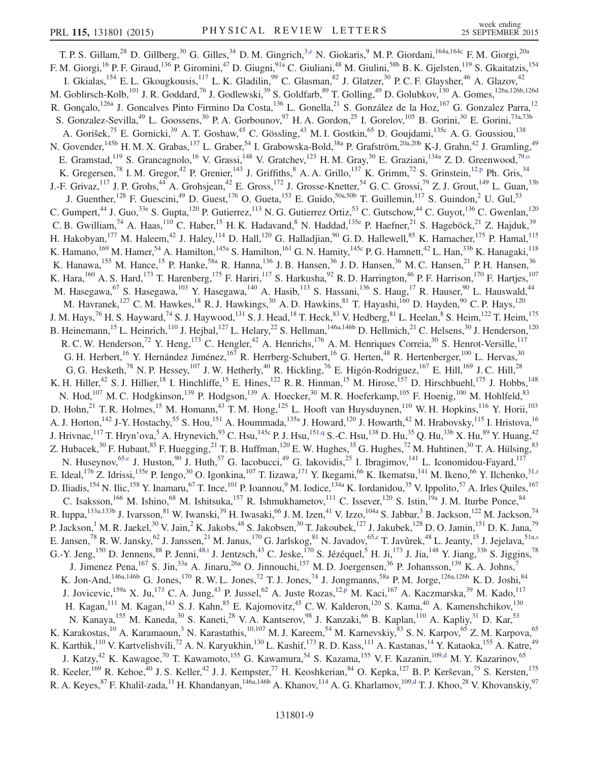<span id="page-8-5"></span><span id="page-8-4"></span><span id="page-8-3"></span><span id="page-8-2"></span><span id="page-8-1"></span><span id="page-8-0"></span>T. P. S. Gillam,<sup>28</sup> D. Gillberg,<sup>30</sup> G. Gilles,<sup>34</sup> D. M. Gingrich,<sup>3[,e](#page-17-3)</sup> N. Giokaris,<sup>9</sup> M. P. Giordani,<sup>164a,164c</sup> F. M. Giorgi,<sup>20a</sup> F. M. Giorgi,<sup>16</sup> P. F. Giraud,<sup>136</sup> P. Giromini,<sup>47</sup> D. Giugni,<sup>91a</sup> C. Giuliani,<sup>48</sup> M. Giulini,<sup>58b</sup> B. K. Gjelsten,<sup>119</sup> S. Gkaitatzis,<sup>154</sup> I. Gkialas,<sup>154</sup> E. L. Gkougkousis,<sup>117</sup> L. K. Gladilin,<sup>99</sup> C. Glasman,<sup>82</sup> J. Glatzer,<sup>30</sup> P. C. F. Glaysher,<sup>46</sup> A. Glazov,<sup>42</sup> M. Goblirsch-Kolb,<sup>101</sup> J. R. Goddard,<sup>76</sup> J. Godlewski,<sup>39</sup> S. Goldfarb,<sup>89</sup> T. Golling,<sup>49</sup> D. Golubkov,<sup>130</sup> A. Gomes,<sup>126a,126b,126d</sup> R. Gonçalo,<sup>126a</sup> J. Goncalves Pinto Firmino Da Costa,<sup>136</sup> L. Gonella,<sup>21</sup> S. González de la Hoz,<sup>167</sup> G. Gonzalez Parra,<sup>12</sup> S. Gonzalez-Sevilla,<sup>49</sup> L. Goossens,<sup>30</sup> P. A. Gorbounov,<sup>97</sup> H. A. Gordon,<sup>25</sup> I. Gorelov,<sup>105</sup> B. Gorini,<sup>30</sup> E. Gorini,<sup>73a,73b</sup> A. Gorišek,<sup>75</sup> E. Gornicki,<sup>39</sup> A. T. Goshaw,<sup>45</sup> C. Gössling,<sup>43</sup> M. I. Gostkin,<sup>65</sup> D. Goujdami,<sup>135c</sup> A. G. Goussiou,<sup>138</sup> N. Govender,<sup>145b</sup> H. M. X. Grabas,<sup>137</sup> L. Graber,<sup>54</sup> I. Grabowska-Bold,<sup>38a</sup> P. Grafström,<sup>20a,20b</sup> K-J. Grahn,<sup>42</sup> J. Gramling,<sup>49</sup> E. Gramstad,<sup>119</sup> S. Grancagnolo,<sup>16</sup> V. Grassi,<sup>148</sup> V. Gratchev,<sup>123</sup> H. M. Gray,<sup>30</sup> E. Graziani,<sup>134a</sup> Z. D. Greenwood,<sup>79,0</sup> K. Gregersen,<sup>78</sup> I. M. Gregor,<sup>42</sup> P. Grenier,<sup>143</sup> J. Griffiths,<sup>8</sup> A. A. Grillo,<sup>137</sup> K. Grimm,<sup>72</sup> S. Grinstein,<sup>12[,p](#page-17-15)</sup> Ph. Gris,<sup>34</sup> J.-F. Grivaz,<sup>117</sup> J. P. Grohs,<sup>44</sup> A. Grohsjean,<sup>42</sup> E. Gross,<sup>172</sup> J. Grosse-Knetter,<sup>54</sup> G. C. Grossi,<sup>79</sup> Z. J. Grout,<sup>149</sup> L. Guan,<sup>33b</sup> J. Guenther,<sup>128</sup> F. Guescini,<sup>49</sup> D. Guest,<sup>176</sup> O. Gueta,<sup>153</sup> E. Guido,<sup>50a,50b</sup> T. Guillemin,<sup>117</sup> S. Guindon,<sup>2</sup> U. Gul,<sup>53</sup> C. Gumpert,<sup>44</sup> J. Guo,<sup>33e</sup> S. Gupta,<sup>120</sup> P. Gutierrez,<sup>113</sup> N. G. Gutierrez Ortiz,<sup>53</sup> C. Gutschow,<sup>44</sup> C. Guyot,<sup>136</sup> C. Gwenlan,<sup>120</sup> C. B. Gwilliam,<sup>74</sup> A. Haas,<sup>110</sup> C. Haber,<sup>15</sup> H. K. Hadavand,<sup>8</sup> N. Haddad,<sup>135e</sup> P. Haefner,<sup>21</sup> S. Hageböck,<sup>21</sup> Z. Hajduk,<sup>39</sup> H. Hakobyan,<sup>177</sup> M. Haleem,<sup>42</sup> J. Haley,<sup>114</sup> D. Hall,<sup>120</sup> G. Halladjian,<sup>90</sup> G. D. Hallewell,<sup>85</sup> K. Hamacher,<sup>175</sup> P. Hamal,<sup>115</sup> K. Hamano,  $^{169}$  M. Hamer,  $^{54}$  A. Hamilton,  $^{145a}$  S. Hamilton,  $^{161}$  G. N. Hamity,  $^{145c}$  P. G. Hamnett,  $^{42}$  L. Han,  $^{33b}$  K. Hanagaki,  $^{118}$ K. Hanawa, <sup>155</sup> M. Hance, <sup>15</sup> P. Hanke, <sup>58a</sup> R. Hanna, <sup>136</sup> J. B. Hansen, <sup>36</sup> J. D. Hansen, <sup>36</sup> M. C. Hansen, <sup>21</sup> P. H. Hansen, <sup>36</sup> K. Hara,<sup>160</sup> A. S. Hard,<sup>173</sup> T. Harenberg,<sup>175</sup> F. Hariri,<sup>117</sup> S. Harkusha,<sup>92</sup> R. D. Harrington,<sup>46</sup> P. F. Harrison,<sup>170</sup> F. Hartjes,<sup>107</sup> M. Hasegawa,  $^{67}$  S. Hasegawa,  $^{103}$  Y. Hasegawa,  $^{140}$  A. Hasib,  $^{113}$  S. Hassani,  $^{136}$  S. Haug,  $^{17}$  R. Hauser,  $^{90}$  L. Hauswald,  $^{44}$ M. Havranek,<sup>127</sup> C. M. Hawkes,<sup>18</sup> R. J. Hawkings,<sup>30</sup> A. D. Hawkins,<sup>81</sup> T. Hayashi,<sup>160</sup> D. Hayden,<sup>90</sup> C. P. Hays,<sup>120</sup> J. M. Hays,<sup>76</sup> H. S. Hayward,<sup>74</sup> S. J. Haywood,<sup>131</sup> S. J. Head,<sup>18</sup> T. Heck,<sup>83</sup> V. Hedberg,<sup>81</sup> L. Heelan,<sup>8</sup> S. Heim,<sup>122</sup> T. Heim,<sup>175</sup> B. Heinemann,<sup>15</sup> L. Heinrich,<sup>110</sup> J. Hejbal,<sup>127</sup> L. Helary,<sup>22</sup> S. Hellman,<sup>146a,146b</sup> D. Hellmich,<sup>21</sup> C. Helsens,<sup>30</sup> J. Henderson,<sup>120</sup> R. C. W. Henderson,<sup>72</sup> Y. Heng,<sup>173</sup> C. Hengler,<sup>42</sup> A. Henrichs,<sup>176</sup> A. M. Henriques Correia,<sup>30</sup> S. Henrot-Versille,<sup>117</sup> G. H. Herbert,  $^{16}$  Y. Hernández Jiménez,  $^{167}$  R. Herrberg-Schubert,  $^{16}$  G. Herten,  $^{48}$  R. Hertenberger,  $^{100}$  L. Hervas,  $^{30}$ G. G. Hesketh,<sup>78</sup> N. P. Hessey,<sup>107</sup> J. W. Hetherly,<sup>40</sup> R. Hickling,<sup>76</sup> E. Higón-Rodriguez,<sup>167</sup> E. Hill,<sup>169</sup> J. C. Hill,<sup>28</sup> K. H. Hiller,<sup>42</sup> S. J. Hillier,<sup>18</sup> I. Hinchliffe,<sup>15</sup> E. Hines,<sup>122</sup> R. R. Hinman,<sup>15</sup> M. Hirose,<sup>157</sup> D. Hirschbuehl,<sup>175</sup> J. Hobbs,<sup>148</sup> N. Hod,<sup>107</sup> M. C. Hodgkinson,<sup>139</sup> P. Hodgson,<sup>139</sup> A. Hoecker,<sup>30</sup> M. R. Hoeferkamp,<sup>105</sup> F. Hoenig,<sup>100</sup> M. Hohlfeld,<sup>83</sup> D. Hohn,<sup>21</sup> T. R. Holmes,<sup>15</sup> M. Homann,<sup>43</sup> T. M. Hong,<sup>125</sup> L. Hooft van Huysduynen,<sup>110</sup> W. H. Hopkins,<sup>116</sup> Y. Horii,<sup>103</sup> A. J. Horton,<sup>142</sup> J-Y. Hostachy,<sup>55</sup> S. Hou,<sup>151</sup> A. Hoummada,<sup>135a</sup> J. Howard,<sup>120</sup> J. Howarth,<sup>42</sup> M. Hrabovsky,<sup>115</sup> I. Hristova,<sup>16</sup> J. Hrivnac, 117 T. Hryn'ova, 5A. Hrynevich, 93 C. Hsu, 145c P. J. Hsu, 15[1,q](#page-17-16) S.-C. Hsu, 138 D. Hu, 35 Q. Hu, 33b X. Hu, 89 Y. Huang, 42 Z. Hubacek,<sup>30</sup> F. Hubaut,<sup>85</sup> F. Huegging,<sup>21</sup> T. B. Huffman,<sup>120</sup> E. W. Hughes,<sup>35</sup> G. Hughes,<sup>72</sup> M. Huhtinen,<sup>30</sup> T. A. Hülsing,<sup>83</sup> N. Huseynov,<sup>65[,c](#page-17-1)</sup> J. Huston,<sup>90</sup> J. Huth,<sup>57</sup> G. Iacobucci,<sup>49</sup> G. Iakovidis,<sup>25</sup> I. Ibragimov,<sup>141</sup> L. Iconomidou-Fayard,<sup>117</sup> E. Ideal,<sup>176</sup> Z. Idrissi,<sup>135e</sup> P. Iengo,<sup>30</sup> O. Igonkina,<sup>107</sup> T. Iizawa,<sup>171</sup> Y. Ikegami,<sup>66</sup> K. Ikematsu,<sup>141</sup> M. Ikeno,<sup>66</sup> Y. Ilchenko,<sup>31[,r](#page-17-17)</sup> D. Iliadis, <sup>154</sup> N. Ilic, <sup>158</sup> Y. Inamaru, <sup>67</sup> T. Ince, <sup>101</sup> P. Ioannou, <sup>9</sup> M. Iodice, <sup>134a</sup> K. Iordanidou, <sup>35</sup> V. Ippolito, <sup>57</sup> A. Irles Quiles, <sup>167</sup> C. Isaksson,<sup>166</sup> M. Ishino,<sup>68</sup> M. Ishitsuka,<sup>157</sup> R. Ishmukhametov,<sup>111</sup> C. Issever,<sup>120</sup> S. Istin,<sup>19a</sup> J. M. Iturbe Ponce,<sup>84</sup> R. Iuppa, $^{133a,133b}$  J. Ivarsson, $^{81}$  W. Iwanski, $^{39}$  H. Iwasaki, $^{66}$  J. M. Izen, $^{41}$  V. Izzo, $^{104a}$  S. Jabbar, $^3$  B. Jackson, $^{122}$  M. Jackson, $^{74}$ P. Jackson,<sup>1</sup> M. R. Jaekel,<sup>30</sup> V. Jain,<sup>2</sup> K. Jakobs,<sup>48</sup> S. Jakobsen,<sup>30</sup> T. Jakoubek,<sup>127</sup> J. Jakubek,<sup>128</sup> D. O. Jamin,<sup>151</sup> D. K. Jana,<sup>79</sup> E. Jansen,<sup>78</sup> R. W. Jansky,<sup>62</sup> J. Janssen,<sup>21</sup> M. Janus,<sup>170</sup> G. Jarlskog,<sup>81</sup> N. Javadov,<sup>6[5,c](#page-17-1)</sup> T. Javůrek,<sup>48</sup> L. Jeanty,<sup>15</sup> J. Jejelava,<sup>51a[,s](#page-17-18)</sup> G.-Y. Jeng,<sup>150</sup> D. Jennens,<sup>88</sup> P. Jenni,<sup>48[,t](#page-17-19)</sup> J. Jentzsch,<sup>43</sup> C. Jeske,<sup>170</sup> S. Jézéquel,<sup>5</sup> H. Ji,<sup>173</sup> J. Jia,<sup>148</sup> Y. Jiang,<sup>33b</sup> S. Jiggins,<sup>78</sup> J. Jimenez Pena,<sup>167</sup> S. Jin,<sup>33a</sup> A. Jinaru,<sup>26a</sup> O. Jinnouchi,<sup>157</sup> M. D. Joergensen,<sup>36</sup> P. Johansson,<sup>139</sup> K. A. Johns,<sup>7</sup> K. Jon-And,  $^{146a,146b}$  G. Jones,  $^{170}$  R. W. L. Jones,  $^{72}$  T. J. Jones,  $^{74}$  J. Jongmanns,  $^{58a}$  P. M. Jorge,  $^{126a,126b}$  K. D. Joshi,  $^{84}$ J. Jovicevic,<sup>159a</sup> X. Ju,<sup>173</sup> C. A. Jung,<sup>43</sup> P. Jussel,<sup>62</sup> A. Juste Rozas,<sup>12[,p](#page-17-15)</sup> M. Kaci,<sup>167</sup> A. Kaczmarska,<sup>39</sup> M. Kado,<sup>117</sup> H. Kagan,<sup>111</sup> M. Kagan,<sup>143</sup> S. J. Kahn,<sup>85</sup> E. Kajomovitz,<sup>45</sup> C. W. Kalderon,<sup>120</sup> S. Kama,<sup>40</sup> A. Kamenshchikov,<sup>130</sup> N. Kanaya, <sup>155</sup> M. Kaneda, <sup>30</sup> S. Kaneti, <sup>28</sup> V. A. Kantserov, <sup>98</sup> J. Kanzaki, <sup>66</sup> B. Kaplan, <sup>110</sup> A. Kapliy, <sup>31</sup> D. Kar, <sup>53</sup> K. Karakostas,<sup>10</sup> A. Karamaoun,<sup>3</sup> N. Karastathis,<sup>10,107</sup> M. J. Kareem,<sup>54</sup> M. Karnevskiy,<sup>83</sup> S. N. Karpov,<sup>65</sup> Z. M. Karpova,<sup>65</sup> K. Karthik,<sup>110</sup> V. Kartvelishvili,<sup>72</sup> A. N. Karyukhin,<sup>130</sup> L. Kashif,<sup>173</sup> R. D. Kass,<sup>111</sup> A. Kastanas,<sup>14</sup> Y. Kataoka,<sup>155</sup> A. Katre,<sup>49</sup> J. Katzy,<sup>42</sup> K. Kawagoe,<sup>70</sup> T. Kawamoto,<sup>155</sup> G. Kawamura,<sup>54</sup> S. Kazama,<sup>155</sup> V. F. Kazanin,<sup>10[9,d](#page-17-2)</sup> M. Y. Kazarinov,<sup>65</sup> R. Keeler, <sup>169</sup> R. Kehoe, <sup>40</sup> J. S. Keller, <sup>42</sup> J. J. Kempster, <sup>77</sup> H. Keoshkerian, <sup>84</sup> O. Kepka, <sup>127</sup> B. P. Kerševan, <sup>75</sup> S. Kersten, <sup>175</sup> R. A. Keyes,  $^{87}$  F. Khalil-zada,  $^{11}$  H. Khandanyan,  $^{146a,146b}$  A. Khanov,  $^{114}$  A. G. Kharlamov,  $^{109,d}$  $^{109,d}$  $^{109,d}$  T. J. Khoo,  $^{28}$  V. Khovanskiy,  $^{97}$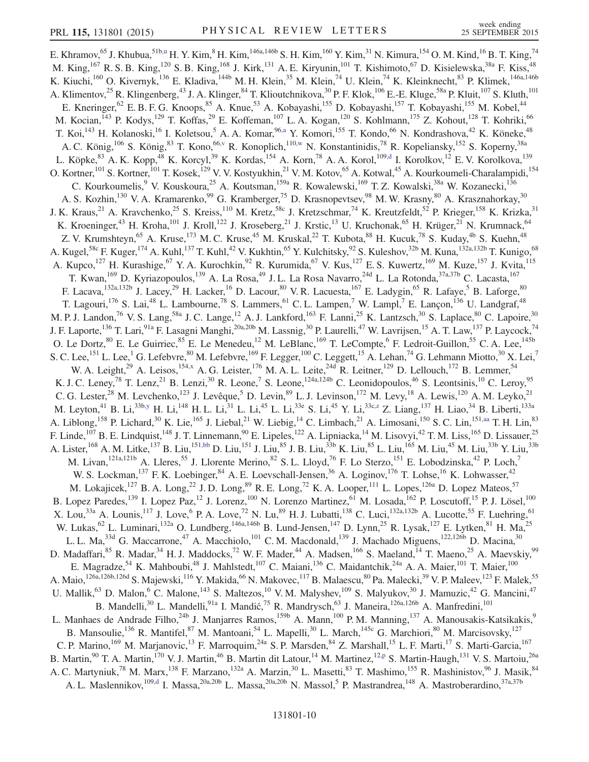<span id="page-9-5"></span><span id="page-9-4"></span><span id="page-9-3"></span><span id="page-9-2"></span><span id="page-9-1"></span><span id="page-9-0"></span>E. Khramov,  $^{65}$  J. Khubua,  $^{51b,u}$  $^{51b,u}$  $^{51b,u}$  H. Y. Kim,  $^{8}$  H. Kim,  $^{146a,146b}$  S. H. Kim,  $^{160}$  Y. Kim,  $^{31}$  N. Kimura,  $^{154}$  O. M. Kind,  $^{16}$  B. T. King,  $^{74}$ M. King,<sup>167</sup> R. S. B. King,<sup>120</sup> S. B. King,<sup>168</sup> J. Kirk,<sup>131</sup> A. E. Kiryunin,<sup>101</sup> T. Kishimoto,<sup>67</sup> D. Kisielewska,<sup>38a</sup> F. Kiss,<sup>48</sup> K. Kiuchi,<sup>160</sup> O. Kivernyk,<sup>136</sup> E. Kladiva,<sup>144b</sup> M. H. Klein,<sup>35</sup> M. Klein,<sup>74</sup> U. Klein,<sup>74</sup> K. Kleinknecht,<sup>83</sup> P. Klimek,<sup>146a,146b</sup> A. Klimentov,<sup>25</sup> R. Klingenberg,<sup>43</sup> J. A. Klinger,<sup>84</sup> T. Klioutchnikova,<sup>30</sup> P. F. Klok,<sup>106</sup> E.-E. Kluge,<sup>58a</sup> P. Kluit,<sup>107</sup> S. Kluth,<sup>101</sup> E. Kneringer,<sup>62</sup> E. B. F. G. Knoops,<sup>85</sup> A. Knue,<sup>53</sup> A. Kobayashi,<sup>155</sup> D. Kobayashi,<sup>157</sup> T. Kobayashi,<sup>155</sup> M. Kobel,<sup>44</sup> M. Kocian,<sup>143</sup> P. Kodys,<sup>129</sup> T. Koffas,<sup>29</sup> E. Koffeman,<sup>107</sup> L. A. Kogan,<sup>120</sup> S. Kohlmann,<sup>175</sup> Z. Kohout,<sup>128</sup> T. Kohriki,<sup>66</sup> T. Koi,<sup>143</sup> H. Kolanoski,<sup>16</sup> I. Koletsou,<sup>5</sup> A. A. Komar,<sup>9[6,a](#page-17-6)</sup> Y. Komori,<sup>155</sup> T. Kondo,<sup>66</sup> N. Kondrashova,<sup>42</sup> K. Köneke,<sup>48</sup> A. C. König,<sup>106</sup> S. König,<sup>83</sup> T. Kono,<sup>66[,v](#page-17-21)</sup> R. Konoplich,<sup>110[,w](#page-17-22)</sup> N. Konstantinidis,<sup>78</sup> R. Kopeliansky,<sup>152</sup> S. Koperny,<sup>38a</sup> L. Köpke,<sup>83</sup> A. K. Kopp,<sup>48</sup> K. Korcyl,<sup>39</sup> K. Kordas,<sup>154</sup> A. Korn,<sup>78</sup> A. A. Korol,<sup>10[9,d](#page-17-2)</sup> I. Korolkov,<sup>12</sup> E. V. Korolkova,<sup>139</sup> O. Kortner,<sup>101</sup> S. Kortner,<sup>101</sup> T. Kosek,<sup>129</sup> V. V. Kostyukhin,<sup>21</sup> V. M. Kotov,<sup>65</sup> A. Kotwal,<sup>45</sup> A. Kourkoumeli-Charalampidi,<sup>154</sup> C. Kourkoumelis, <sup>9</sup> V. Kouskoura, <sup>25</sup> A. Koutsman, <sup>159a</sup> R. Kowalewski, <sup>169</sup> T. Z. Kowalski, <sup>38a</sup> W. Kozanecki, <sup>136</sup> A. S. Kozhin,<sup>130</sup> V. A. Kramarenko,<sup>99</sup> G. Kramberger,<sup>75</sup> D. Krasnopevtsev,<sup>98</sup> M. W. Krasny,<sup>80</sup> A. Krasznahorkay,<sup>30</sup> J. K. Kraus,<sup>21</sup> A. Kravchenko,<sup>25</sup> S. Kreiss,<sup>110</sup> M. Kretz,<sup>58c</sup> J. Kretzschmar,<sup>74</sup> K. Kreutzfeldt,<sup>52</sup> P. Krieger,<sup>158</sup> K. Krizka,<sup>31</sup> K. Kroeninger,<sup>43</sup> H. Kroha,<sup>101</sup> J. Kroll,<sup>122</sup> J. Kroseberg,<sup>21</sup> J. Krstic,<sup>13</sup> U. Kruchonak,<sup>65</sup> H. Krüger,<sup>21</sup> N. Krumnack,<sup>64</sup> Z. V. Krumshteyn,<sup>65</sup> A. Kruse,<sup>173</sup> M. C. Kruse,<sup>45</sup> M. Kruskal,<sup>22</sup> T. Kubota,<sup>88</sup> H. Kucuk,<sup>78</sup> S. Kuday,<sup>4b</sup> S. Kuehn,<sup>48</sup> A. Kugel,<sup>58c</sup> F. Kuger,<sup>174</sup> A. Kuhl,<sup>137</sup> T. Kuhl,<sup>42</sup> V. Kukhtin,<sup>65</sup> Y. Kulchitsky,<sup>92</sup> S. Kuleshov,<sup>32b</sup> M. Kuna,<sup>132a,132b</sup> T. Kunigo,<sup>68</sup> A. Kupco,<sup>127</sup> H. Kurashige,<sup>67</sup> Y. A. Kurochkin,<sup>92</sup> R. Kurumida,<sup>67</sup> V. Kus,<sup>127</sup> E. S. Kuwertz,<sup>169</sup> M. Kuze,<sup>157</sup> J. Kvita,<sup>115</sup> T. Kwan,<sup>169</sup> D. Kyriazopoulos,<sup>139</sup> A. La Rosa,<sup>49</sup> J. L. La Rosa Navarro,<sup>24d</sup> L. La Rotonda,<sup>37a,37b</sup> C. Lacasta,<sup>167</sup> F. Lacava, <sup>132a, 132b</sup> J. Lacey, <sup>29</sup> H. Lacker, <sup>16</sup> D. Lacour, <sup>80</sup> V. R. Lacuesta, <sup>167</sup> E. Ladygin, <sup>65</sup> R. Lafaye, <sup>5</sup> B. Laforge, <sup>80</sup> T. Lagouri,<sup>176</sup> S. Lai,<sup>48</sup> L. Lambourne,<sup>78</sup> S. Lammers,<sup>61</sup> C.L. Lampen,<sup>7</sup> W. Lampl,<sup>7</sup> E. Lançon,<sup>136</sup> U. Landgraf,<sup>48</sup> M. P. J. Landon,<sup>76</sup> V. S. Lang,<sup>58a</sup> J. C. Lange,<sup>12</sup> A. J. Lankford,<sup>163</sup> F. Lanni,<sup>25</sup> K. Lantzsch,<sup>30</sup> S. Laplace,<sup>80</sup> C. Lapoire,<sup>30</sup> J. F. Laporte,<sup>136</sup> T. Lari,<sup>91a</sup> F. Lasagni Manghi,<sup>20a,20b</sup> M. Lassnig,<sup>30</sup> P. Laurelli,<sup>47</sup> W. Lavrijsen,<sup>15</sup> A. T. Law,<sup>137</sup> P. Laycock,<sup>74</sup> O. Le Dortz,  $80$  E. Le Guirriec,  $85$  E. Le Menedeu,  $12$  M. LeBlanc,  $169$  T. LeCompte,  $6$  F. Ledroit-Guillon,  $55$  C. A. Lee,  $145b$ S. C. Lee,<sup>151</sup> L. Lee,<sup>1</sup> G. Lefebvre,<sup>80</sup> M. Lefebvre,<sup>169</sup> F. Legger,<sup>100</sup> C. Leggett,<sup>15</sup> A. Lehan,<sup>74</sup> G. Lehmann Miotto,<sup>30</sup> X. Lei,<sup>7</sup> W. A. Leight,<sup>29</sup> A. Leisos,<sup>154[,x](#page-17-23)</sup> A. G. Leister,<sup>176</sup> M. A. L. Leite,<sup>24d</sup> R. Leitner,<sup>129</sup> D. Lellouch,<sup>172</sup> B. Lemmer,<sup>54</sup> K. J. C. Leney,<sup>78</sup> T. Lenz,<sup>21</sup> B. Lenzi,<sup>30</sup> R. Leone,<sup>7</sup> S. Leone,<sup>124a,124b</sup> C. Leonidopoulos,<sup>46</sup> S. Leontsinis,<sup>10</sup> C. Leroy,<sup>95</sup> C. G. Lester,<sup>28</sup> M. Levchenko,<sup>123</sup> J. Levêque,<sup>5</sup> D. Levin,<sup>89</sup> L. J. Levinson,<sup>172</sup> M. Levy,<sup>18</sup> A. Lewis,<sup>120</sup> A. M. Leyko,<sup>21</sup> M. Leyton,<sup>41</sup> B. Li,<sup>33[b,y](#page-17-24)</sup> H. Li,<sup>148</sup> H. L. Li,<sup>31</sup> L. Li,<sup>45</sup> L. Li,<sup>33e</sup> S. Li,<sup>45</sup> Y. Li,<sup>33[c,z](#page-17-25)</sup> Z. Liang,<sup>137</sup> H. Liao,<sup>34</sup> B. Liberti,<sup>133a</sup> A. Liblong,  $^{158}$  P. Lichard,  $^{30}$  K. Lie,  $^{165}$  J. Liebal,  $^{21}$  W. Liebig,  $^{14}$  C. Limbach,  $^{21}$  A. Limosani,  $^{150}$  S. C. Lin,  $^{151,aa}$  $^{151,aa}$  $^{151,aa}$  T. H. Lin,  $^{83}$ F. Linde, <sup>107</sup> B. E. Lindquist, <sup>148</sup> J. T. Linnemann, <sup>90</sup> E. Lipeles, <sup>122</sup> A. Lipniacka, <sup>14</sup> M. Lisovyi, <sup>42</sup> T. M. Liss, <sup>165</sup> D. Lissauer, <sup>25</sup> A. Lister,<sup>168</sup> A. M. Litke,<sup>137</sup> B. Liu,<sup>15[1,bb](#page-17-27)</sup> D. Liu,<sup>151</sup> J. Liu,<sup>85</sup> J. B. Liu,<sup>33b</sup> K. Liu,<sup>85</sup> L. Liu,<sup>165</sup> M. Liu,<sup>45</sup> M. Liu,<sup>33b</sup> Y. Liu,<sup>33b</sup> M. Livan,<sup>121a,121b</sup> A. Lleres,<sup>55</sup> J. Llorente Merino,<sup>82</sup> S. L. Lloyd,<sup>76</sup> F. Lo Sterzo,<sup>151</sup> E. Lobodzinska,<sup>42</sup> P. Loch,<sup>7</sup> W. S. Lockman,<sup>137</sup> F. K. Loebinger,<sup>84</sup> A. E. Loevschall-Jensen,<sup>36</sup> A. Loginov,<sup>176</sup> T. Lohse,<sup>16</sup> K. Lohwasser,<sup>42</sup> M. Lokajicek,<sup>127</sup> B. A. Long,<sup>22</sup> J. D. Long,<sup>89</sup> R. E. Long,<sup>72</sup> K. A. Looper,<sup>111</sup> L. Lopes,<sup>126a</sup> D. Lopez Mateos,<sup>57</sup> B. Lopez Paredes,<sup>139</sup> I. Lopez Paz,<sup>12</sup> J. Lorenz,<sup>100</sup> N. Lorenzo Martinez,<sup>61</sup> M. Losada,<sup>162</sup> P. Loscutoff,<sup>15</sup> P. J. Lösel,<sup>100</sup> X. Lou,<sup>33a</sup> A. Lounis,<sup>117</sup> J. Love,<sup>6</sup> P. A. Love,<sup>72</sup> N. Lu,<sup>89</sup> H. J. Lubatti,<sup>138</sup> C. Luci,<sup>132a,132b</sup> A. Lucotte,<sup>55</sup> F. Luehring,<sup>61</sup> W. Lukas,<sup>62</sup> L. Luminari,<sup>132a</sup> O. Lundberg,<sup>146a,146b</sup> B. Lund-Jensen,<sup>147</sup> D. Lynn,<sup>25</sup> R. Lysak,<sup>127</sup> E. Lytken,<sup>81</sup> H. Ma,<sup>25</sup> L. L. Ma,<sup>33d</sup> G. Maccarrone,<sup>47</sup> A. Macchiolo,<sup>101</sup> C. M. Macdonald,<sup>139</sup> J. Machado Miguens,<sup>122,126b</sup> D. Macina,<sup>30</sup> D. Madaffari,<sup>85</sup> R. Madar,<sup>34</sup> H. J. Maddocks,<sup>72</sup> W. F. Mader,<sup>44</sup> A. Madsen,<sup>166</sup> S. Maeland,<sup>14</sup> T. Maeno,<sup>25</sup> A. Maevskiy,<sup>99</sup> E. Magradze,<sup>54</sup> K. Mahboubi,<sup>48</sup> J. Mahlstedt,<sup>107</sup> C. Maiani,<sup>136</sup> C. Maidantchik,<sup>24a</sup> A. A. Maier,<sup>101</sup> T. Maier,<sup>100</sup> A. Maio,<sup>126a,126b,126d</sup> S. Majewski,<sup>116</sup> Y. Makida,<sup>66</sup> N. Makovec,<sup>117</sup> B. Malaescu,<sup>80</sup> Pa. Malecki,<sup>39</sup> V. P. Maleev,<sup>123</sup> F. Malek,<sup>55</sup> U. Mallik,<sup>63</sup> D. Malon,<sup>6</sup> C. Malone,<sup>143</sup> S. Maltezos,<sup>10</sup> V. M. Malyshev,<sup>109</sup> S. Malyukov,<sup>30</sup> J. Mamuzic,<sup>42</sup> G. Mancini,<sup>47</sup> B. Mandelli,<sup>30</sup> L. Mandelli,<sup>91a</sup> I. Mandić,<sup>75</sup> R. Mandrysch,<sup>63</sup> J. Maneira, 126a,126b A. Manfredini, 101 L. Manhaes de Andrade Filho,<sup>24b</sup> J. Manjarres Ramos,<sup>159b</sup> A. Mann,<sup>100</sup> P. M. Manning,<sup>137</sup> A. Manousakis-Katsikakis,<sup>9</sup> B. Mansoulie,<sup>136</sup> R. Mantifel,<sup>87</sup> M. Mantoani,<sup>54</sup> L. Mapelli,<sup>30</sup> L. March,<sup>145c</sup> G. Marchiori,<sup>80</sup> M. Marcisovsky,<sup>127</sup> C. P. Marino,<sup>169</sup> M. Marjanovic,<sup>13</sup> F. Marroquim,<sup>24a</sup> S. P. Marsden,<sup>84</sup> Z. Marshall,<sup>15</sup> L. F. Marti,<sup>17</sup> S. Marti-Garcia,<sup>167</sup> B. Martin,<sup>90</sup> T. A. Martin,<sup>170</sup> V. J. Martin,<sup>46</sup> B. Martin dit Latour,<sup>14</sup> M. Martinez,<sup>12[,p](#page-17-15)</sup> S. Martin-Haugh,<sup>131</sup> V. S. Martoiu,<sup>26a</sup> A. C. Martyniuk,<sup>78</sup> M. Marx,<sup>138</sup> F. Marzano,<sup>132a</sup> A. Marzin,<sup>30</sup> L. Masetti,<sup>83</sup> T. Mashimo,<sup>155</sup> R. Mashinistov,<sup>96</sup> J. Masik,<sup>84</sup> A. L. Maslennikov, <sup>10[9,d](#page-17-2)</sup> I. Massa, <sup>20a, 20b</sup> L. Massa, <sup>20a, 20b</sup> N. Massol, <sup>5</sup> P. Mastrandrea, <sup>148</sup> A. Mastroberardino, <sup>37a, 37b</sup>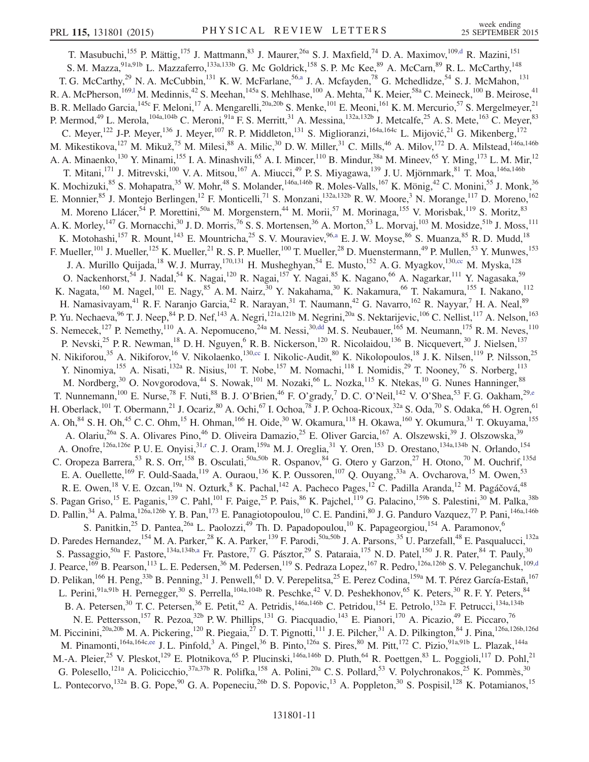<span id="page-10-2"></span><span id="page-10-1"></span><span id="page-10-0"></span>T. Masubuchi,<sup>155</sup> P. Mättig,<sup>175</sup> J. Mattmann,<sup>83</sup> J. Maurer,<sup>26a</sup> S. J. Maxfield,<sup>74</sup> D. A. Maximov,<sup>10[9,d](#page-17-2)</sup> R. Mazini,<sup>151</sup> S. M. Mazza,<sup>91a,91b</sup> L. Mazzaferro,<sup>133a,133b</sup> G. Mc Goldrick,<sup>158</sup> S. P. Mc Kee,<sup>89</sup> A. McCarn,<sup>89</sup> R. L. McCarthy,<sup>148</sup> T. G. McCarthy,<sup>29</sup> N. A. McCubbin,<sup>131</sup> K. W. McFarlane,<sup>5[6,a](#page-17-6)</sup> J. A. Mcfayden,<sup>78</sup> G. Mchedlidze,<sup>54</sup> S. J. McMahon,<sup>131</sup> R. A. McPherson,  $^{169,1}$  M. Medinnis,  $^{42}$  S. Meehan,  $^{145a}$  S. Mehlhase,  $^{100}$  A. Mehta,  $^{74}$  K. Meier,  $^{58a}$  C. Meineck,  $^{100}$  B. Meirose,  $^{41}$ B. R. Mellado Garcia, <sup>145c</sup> F. Meloni, <sup>17</sup> A. Mengarelli, <sup>20a, 20b</sup> S. Menke, <sup>101</sup> E. Meoni, <sup>161</sup> K. M. Mercurio, <sup>57</sup> S. Mergelmeyer, <sup>21</sup> P. Mermod,<sup>49</sup> L. Merola, <sup>104a, 104b</sup> C. Meroni, <sup>91a</sup> F. S. Merritt, <sup>31</sup> A. Messina, <sup>132a, 132b</sup> J. Metcalfe, <sup>25</sup> A. S. Mete, <sup>163</sup> C. Meyer, <sup>83</sup> C. Meyer,<sup>122</sup> J-P. Meyer,<sup>136</sup> J. Meyer,<sup>107</sup> R. P. Middleton,<sup>131</sup> S. Miglioranzi,<sup>164a,164c</sup> L. Mijović,<sup>21</sup> G. Mikenberg,<sup>172</sup> M. Mikestikova, <sup>127</sup> M. Mikuž,<sup>75</sup> M. Milesi,<sup>88</sup> A. Milic,<sup>30</sup> D. W. Miller,<sup>31</sup> C. Mills,<sup>46</sup> A. Milov, <sup>172</sup> D. A. Milstead, <sup>146a, 146b</sup> A. A. Minaenko,<sup>130</sup> Y. Minami,<sup>155</sup> I. A. Minashvili,<sup>65</sup> A. I. Mincer,<sup>110</sup> B. Mindur,<sup>38a</sup> M. Mineev,<sup>65</sup> Y. Ming,<sup>173</sup> L. M. Mir,<sup>12</sup> T. Mitani,<sup>171</sup> J. Mitrevski,<sup>100</sup> V. A. Mitsou,<sup>167</sup> A. Miucci,<sup>49</sup> P. S. Miyagawa,<sup>139</sup> J. U. Mjörnmark,<sup>81</sup> T. Moa,<sup>146a,146b</sup> K. Mochizuki, <sup>85</sup> S. Mohapatra, <sup>35</sup> W. Mohr, <sup>48</sup> S. Molander, <sup>146a, 146b</sup> R. Moles-Valls, <sup>167</sup> K. Mönig, <sup>42</sup> C. Monini, <sup>55</sup> J. Monk, <sup>36</sup> E. Monnier, <sup>85</sup> J. Montejo Berlingen, <sup>12</sup> F. Monticelli, <sup>71</sup> S. Monzani, <sup>132a, 132b</sup> R. W. Moore, <sup>3</sup> N. Morange, <sup>117</sup> D. Moreno, <sup>162</sup> M. Moreno Llácer,<sup>54</sup> P. Morettini,<sup>50a</sup> M. Morgenstern,<sup>44</sup> M. Morii,<sup>57</sup> M. Morinaga,<sup>155</sup> V. Morisbak,<sup>119</sup> S. Moritz,<sup>83</sup> A. K. Morley, <sup>147</sup> G. Mornacchi, <sup>30</sup> J. D. Morris, <sup>76</sup> S. S. Mortensen, <sup>36</sup> A. Morton, <sup>53</sup> L. Morvaj, <sup>103</sup> M. Mosidze, <sup>51b</sup> J. Moss, <sup>111</sup> K. Motohashi,<sup>157</sup> R. Mount,<sup>143</sup> E. Mountricha,<sup>25</sup> S. V. Mouraviev,<sup>9[6,a](#page-17-6)</sup> E. J. W. Moyse,<sup>86</sup> S. Muanza,<sup>85</sup> R. D. Mudd,<sup>18</sup> F. Mueller,<sup>101</sup> J. Mueller,<sup>125</sup> K. Mueller,<sup>21</sup> R. S. P. Mueller,<sup>100</sup> T. Mueller,<sup>28</sup> D. Muenstermann,<sup>49</sup> P. Mullen,<sup>53</sup> Y. Munwes,<sup>153</sup> J. A. Murillo Quijada,<sup>18</sup> W. J. Murray,<sup>170,131</sup> H. Musheghyan,<sup>54</sup> E. Musto,<sup>152</sup> A. G. Myagkov,<sup>13[0,cc](#page-17-28)</sup> M. Myska,<sup>128</sup> O. Nackenhorst,<sup>54</sup> J. Nadal,<sup>54</sup> K. Nagai,<sup>120</sup> R. Nagai,<sup>157</sup> Y. Nagai,<sup>85</sup> K. Nagano,<sup>66</sup> A. Nagarkar,<sup>111</sup> Y. Nagasaka,<sup>59</sup> K. Nagata,<sup>160</sup> M. Nagel,<sup>101</sup> E. Nagy,<sup>85</sup> A. M. Nairz,<sup>30</sup> Y. Nakahama,<sup>30</sup> K. Nakamura,<sup>66</sup> T. Nakamura,<sup>155</sup> I. Nakano,<sup>112</sup> H. Namasivayam,<sup>41</sup> R. F. Naranjo Garcia,<sup>42</sup> R. Narayan,<sup>31</sup> T. Naumann,<sup>42</sup> G. Navarro,<sup>162</sup> R. Nayyar,<sup>7</sup> H. A. Neal,<sup>89</sup> P. Yu. Nechaeva, <sup>96</sup> T. J. Neep, <sup>84</sup> P. D. Nef, <sup>143</sup> A. Negri, <sup>121a,121b</sup> M. Negrini, <sup>20a</sup> S. Nektarijevic, <sup>106</sup> C. Nellist, <sup>117</sup> A. Nelson, <sup>163</sup> S. Nemecek,<sup>127</sup> P. Nemethy,<sup>110</sup> A. A. Nepomuceno,<sup>24a</sup> M. Nessi,<sup>3[0,dd](#page-17-29)</sup> M. S. Neubauer,<sup>165</sup> M. Neumann,<sup>175</sup> R. M. Neves,<sup>110</sup> P. Nevski,<sup>25</sup> P. R. Newman,<sup>18</sup> D. H. Nguyen,<sup>6</sup> R. B. Nickerson,<sup>120</sup> R. Nicolaidou,<sup>136</sup> B. Nicquevert,<sup>30</sup> J. Nielsen,<sup>137</sup> N. Nikiforou,<sup>35</sup> A. Nikiforov,<sup>16</sup> V. Nikolaenko,<sup>13[0,cc](#page-17-28)</sup> I. Nikolic-Audit,<sup>80</sup> K. Nikolopoulos,<sup>18</sup> J. K. Nilsen,<sup>119</sup> P. Nilsson,<sup>25</sup> Y. Ninomiya,<sup>155</sup> A. Nisati,<sup>132a</sup> R. Nisius,<sup>101</sup> T. Nobe,<sup>157</sup> M. Nomachi,<sup>118</sup> I. Nomidis,<sup>29</sup> T. Nooney,<sup>76</sup> S. Norberg,<sup>113</sup> M. Nordberg,<sup>30</sup> O. Novgorodova,<sup>44</sup> S. Nowak,<sup>101</sup> M. Nozaki,<sup>66</sup> L. Nozka,<sup>115</sup> K. Ntekas,<sup>10</sup> G. Nunes Hanninger,<sup>88</sup> T. Nunnemann,<sup>100</sup> E. Nurse,<sup>78</sup> F. Nuti,<sup>88</sup> B. J. O'Brien,<sup>46</sup> F. O'grady,<sup>7</sup> D. C. O'Neil,<sup>142</sup> V. O'Shea,<sup>53</sup> F. G. Oakham,<sup>29[,e](#page-17-3)</sup> H. Oberlack,<sup>101</sup> T. Obermann,<sup>21</sup> J. Ocariz,<sup>80</sup> A. Ochi,<sup>67</sup> I. Ochoa,<sup>78</sup> J. P. Ochoa-Ricoux,<sup>32a</sup> S. Oda,<sup>70</sup> S. Odaka,<sup>66</sup> H. Ogren,<sup>61</sup> A. Oh,  $84$  S. H. Oh,  $45$  C. C. Ohm,  $15$  H. Ohman,  $166$  H. Oide,  $30$  W. Okamura,  $118$  H. Okawa,  $160$  Y. Okumura,  $31$  T. Okuyama,  $155$ A. Olariu,<sup>26a</sup> S. A. Olivares Pino,<sup>46</sup> D. Oliveira Damazio,<sup>25</sup> E. Oliver Garcia,<sup>167</sup> A. Olszewski,<sup>39</sup> J. Olszowska,<sup>39</sup> A. Onofre,<sup>126a,126e</sup> P. U. E. Onyisi,<sup>31[,r](#page-17-17)</sup> C. J. Oram,<sup>159a</sup> M. J. Oreglia,<sup>31</sup> Y. Oren,<sup>153</sup> D. Orestano,<sup>134a,134b</sup> N. Orlando,<sup>154</sup> C. Oropeza Barrera,<sup>53</sup> R. S. Orr,<sup>158</sup> B. Osculati,<sup>50a,50b</sup> R. Ospanov,<sup>84</sup> G. Otero y Garzon,<sup>27</sup> H. Otono,<sup>70</sup> M. Ouchrif,<sup>135d</sup> E. A. Ouellette,<sup>169</sup> F. Ould-Saada,<sup>119</sup> A. Ouraou,<sup>136</sup> K. P. Oussoren,<sup>107</sup> Q. Ouyang,<sup>33a</sup> A. Ovcharova,<sup>15</sup> M. Owen,<sup>53</sup> R. E. Owen,<sup>18</sup> V. E. Ozcan,<sup>19a</sup> N. Ozturk,<sup>8</sup> K. Pachal,<sup>142</sup> A. Pacheco Pages,<sup>12</sup> C. Padilla Aranda,<sup>12</sup> M. Pagáčová,<sup>48</sup> S. Pagan Griso,<sup>15</sup> E. Paganis,<sup>139</sup> C. Pahl,<sup>101</sup> F. Paige,<sup>25</sup> P. Pais,<sup>86</sup> K. Pajchel,<sup>119</sup> G. Palacino,<sup>159b</sup> S. Palestini,<sup>30</sup> M. Palka,<sup>38b</sup> D. Pallin,<sup>34</sup> A. Palma,<sup>126a,126b</sup> Y. B. Pan,<sup>173</sup> E. Panagiotopoulou,<sup>10</sup> C. E. Pandini,<sup>80</sup> J. G. Panduro Vazquez,<sup>77</sup> P. Pani,<sup>146a,146b</sup> S. Panitkin,<sup>25</sup> D. Pantea,<sup>26a</sup> L. Paolozzi,<sup>49</sup> Th. D. Papadopoulou,<sup>10</sup> K. Papageorgiou,<sup>154</sup> A. Paramonov,<sup>6</sup> D. Paredes Hernandez, <sup>154</sup> M. A. Parker, <sup>28</sup> K. A. Parker, <sup>139</sup> F. Parodi, <sup>50a, 50b</sup> J. A. Parsons, <sup>35</sup> U. Parzefall, <sup>48</sup> E. Pasqualucci, <sup>132a</sup> S. Passaggio,<sup>50a</sup> F. Pastore,<sup>134a,134b[,a](#page-17-6)</sup> Fr. Pastore,<sup>77</sup> G. Pásztor,<sup>29</sup> S. Pataraia,<sup>175</sup> N.D. Patel,<sup>150</sup> J.R. Pater,<sup>84</sup> T. Pauly,<sup>30</sup> J. Pearce,<sup>169</sup> B. Pearson,<sup>113</sup> L. E. Pedersen,<sup>36</sup> M. Pedersen,<sup>119</sup> S. Pedraza Lopez,<sup>167</sup> R. Pedro,<sup>126a,126b</sup> S. V. Peleganchuk,<sup>109[,d](#page-17-2)</sup> D. Pelikan, <sup>166</sup> H. Peng, <sup>33b</sup> B. Penning, <sup>31</sup> J. Penwell, <sup>61</sup> D. V. Perepelitsa, <sup>25</sup> E. Perez Codina, <sup>159a</sup> M. T. Pérez García-Estañ, <sup>167</sup> L. Perini,<sup>91a,91b</sup> H. Pernegger,<sup>30</sup> S. Perrella,<sup>104a,104b</sup> R. Peschke,<sup>42</sup> V.D. Peshekhonov,<sup>65</sup> K. Peters,<sup>30</sup> R. F. Y. Peters,<sup>84</sup> B. A. Petersen,<sup>30</sup> T. C. Petersen,<sup>36</sup> E. Petit,<sup>42</sup> A. Petridis,<sup>146a,146b</sup> C. Petridou,<sup>154</sup> E. Petrolo,<sup>132a</sup> F. Petrucci,<sup>134a,134b</sup> N. E. Pettersson,<sup>157</sup> R. Pezoa,<sup>32b</sup> P. W. Phillips,<sup>131</sup> G. Piacquadio,<sup>143</sup> E. Pianori,<sup>170</sup> A. Picazio,<sup>49</sup> E. Piccaro,<sup>76</sup> M. Piccinini,<sup>20a,20b</sup> M. A. Pickering,<sup>120</sup> R. Piegaia,<sup>27</sup> D. T. Pignotti,<sup>111</sup> J. E. Pilcher,<sup>31</sup> A. D. Pilkington,<sup>84</sup> J. Pina,<sup>126a,126b,126d</sup> M. Pinamonti, <sup>164a, 164[c,ee](#page-17-30)</sup> J. L. Pinfold,<sup>3</sup> A. Pingel,<sup>36</sup> B. Pinto, <sup>126a</sup> S. Pires, <sup>80</sup> M. Pitt, <sup>172</sup> C. Pizio, <sup>91a, 91b</sup> L. Plazak, <sup>144a</sup> M.-A. Pleier,<sup>25</sup> V. Pleskot,<sup>129</sup> E. Plotnikova,<sup>65</sup> P. Plucinski,<sup>146a,146b</sup> D. Pluth,<sup>64</sup> R. Poettgen,<sup>83</sup> L. Poggioli,<sup>117</sup> D. Pohl,<sup>21</sup> G. Polesello,<sup>121a</sup> A. Policicchio,<sup>37a,37b</sup> R. Polifka,<sup>158</sup> A. Polini,<sup>20a</sup> C. S. Pollard,<sup>53</sup> V. Polychronakos,<sup>25</sup> K. Pommès,<sup>30</sup> L. Pontecorvo,<sup>132a</sup> B. G. Pope,<sup>90</sup> G. A. Popeneciu,<sup>26b</sup> D. S. Popovic,<sup>13</sup> A. Poppleton,<sup>30</sup> S. Pospisil,<sup>128</sup> K. Potamianos,<sup>15</sup>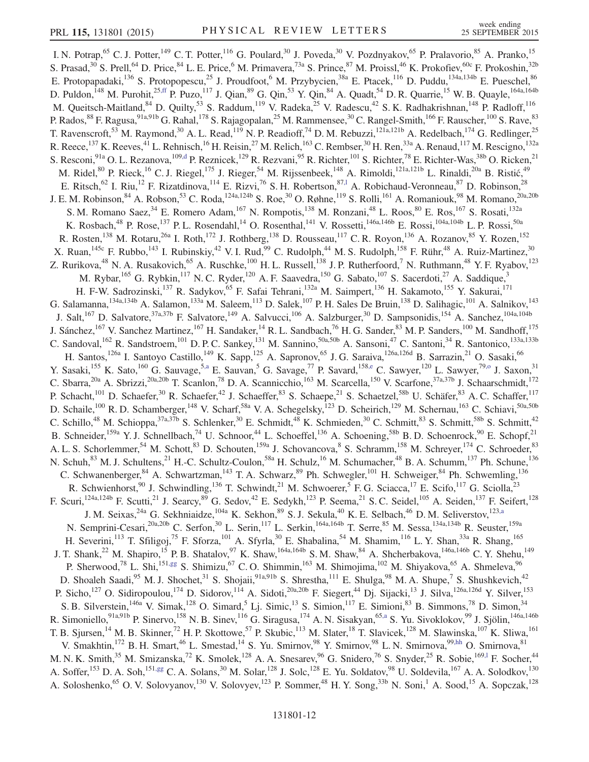<span id="page-11-2"></span><span id="page-11-1"></span><span id="page-11-0"></span>I. N. Potrap,<sup>65</sup> C. J. Potter,<sup>149</sup> C. T. Potter,<sup>116</sup> G. Poulard,<sup>30</sup> J. Poveda,<sup>30</sup> V. Pozdnyakov,<sup>65</sup> P. Pralavorio,<sup>85</sup> A. Pranko,<sup>15</sup> S. Prasad,  $30$  S. Prell,  $^{64}$  D. Price,  $^{84}$  L. E. Price,  $^{6}$  M. Primavera,  $^{73a}$  S. Prince,  $^{87}$  M. Proissl,  $^{46}$  K. Prokofiev,  $^{60c}$  F. Prokoshin,  $^{32b}$ E. Protopapadaki,<sup>136</sup> S. Protopopescu,<sup>25</sup> J. Proudfoot,<sup>6</sup> M. Przybycien,<sup>38a</sup> E. Ptacek,<sup>116</sup> D. Puddu,<sup>134a,134b</sup> E. Pueschel,<sup>86</sup> D. Puldon,<sup>148</sup> M. Purohit,<sup>25[,ff](#page-17-31)</sup> P. Puzo,<sup>117</sup> J. Qian,<sup>89</sup> G. Qin,<sup>53</sup> Y. Qin,<sup>84</sup> A. Quadt,<sup>54</sup> D. R. Quarrie,<sup>15</sup> W. B. Quayle,<sup>164a,164b</sup> M. Queitsch-Maitland, <sup>84</sup> D. Quilty, <sup>53</sup> S. Raddum, <sup>119</sup> V. Radeka, <sup>25</sup> V. Radescu, <sup>42</sup> S. K. Radhakrishnan, <sup>148</sup> P. Radloff, <sup>116</sup> P. Rados, $^{88}$  F. Ragusa, $^{91a,91b}$  G. Rahal, $^{178}$  S. Rajagopalan, $^{25}$  M. Rammensee, $^{30}$  C. Rangel-Smith, $^{166}$  F. Rauscher, $^{100}$  S. Rave, $^{83}$ T. Ravenscroft,<sup>53</sup> M. Raymond,<sup>30</sup> A. L. Read,<sup>119</sup> N. P. Readioff,<sup>74</sup> D. M. Rebuzzi,<sup>121a,121b</sup> A. Redelbach,<sup>174</sup> G. Redlinger,<sup>25</sup> R. Reece,<sup>137</sup> K. Reeves,<sup>41</sup> L. Rehnisch,<sup>16</sup> H. Reisin,<sup>27</sup> M. Relich,<sup>163</sup> C. Rembser,<sup>30</sup> H. Ren,<sup>33a</sup> A. Renaud,<sup>117</sup> M. Rescigno,<sup>132a</sup> S. Resconi, <sup>91a</sup> O. L. Rezanova, <sup>10[9,d](#page-17-2)</sup> P. Reznicek, <sup>129</sup> R. Rezvani, <sup>95</sup> R. Richter, <sup>101</sup> S. Richter, <sup>78</sup> E. Richter-Was, <sup>38b</sup> O. Ricken, <sup>21</sup> M. Ridel,<sup>80</sup> P. Rieck,<sup>16</sup> C. J. Riegel,<sup>175</sup> J. Rieger,<sup>54</sup> M. Rijssenbeek,<sup>148</sup> A. Rimoldi,<sup>121a,121b</sup> L. Rinaldi,<sup>20a</sup> B. Ristić,<sup>49</sup> E. Ritsch,<sup>62</sup> I. Riu,<sup>12</sup> F. Rizatdinova,<sup>114</sup> E. Rizvi,<sup>76</sup> S. H. Robertson,<sup>87,1</sup> A. Robichaud-Veronneau,<sup>87</sup> D. Robinson,<sup>28</sup> J. E. M. Robinson,  $8^4$  A. Robson,  $5^3$  C. Roda,  $124a,124b$  S. Roe,  $30$  O. Røhne,  $119$  S. Rolli,  $161$  A. Romaniouk,  $98$  M. Romano,  $20a,20b$ S. M. Romano Saez,<sup>34</sup> E. Romero Adam, <sup>167</sup> N. Rompotis, <sup>138</sup> M. Ronzani, <sup>48</sup> L. Roos, <sup>80</sup> E. Ros, <sup>167</sup> S. Rosati, <sup>132a</sup> K. Rosbach,<sup>48</sup> P. Rose,<sup>137</sup> P. L. Rosendahl,<sup>14</sup> O. Rosenthal,<sup>141</sup> V. Rossetti,<sup>146a,146b</sup> E. Rossi,<sup>104a,104b</sup> L. P. Rossi,<sup>50a</sup> R. Rosten,<sup>138</sup> M. Rotaru,<sup>26a</sup> I. Roth,<sup>172</sup> J. Rothberg,<sup>138</sup> D. Rousseau,<sup>117</sup> C. R. Royon,<sup>136</sup> A. Rozanov,<sup>85</sup> Y. Rozen,<sup>152</sup> X. Ruan,  $145c$  F. Rubbo,  $143$  I. Rubinskiy,  $42$  V. I. Rud,  $99$  C. Rudolph,  $44$  M. S. Rudolph,  $158$  F. Rühr,  $48$  A. Ruiz-Martinez,  $30$ Z. Rurikova,<sup>48</sup> N. A. Rusakovich,<sup>65</sup> A. Ruschke,<sup>100</sup> H. L. Russell,<sup>138</sup> J. P. Rutherfoord,<sup>7</sup> N. Ruthmann,<sup>48</sup> Y. F. Ryabov,<sup>123</sup> M. Rybar, <sup>165</sup> G. Rybkin, <sup>117</sup> N. C. Ryder, <sup>120</sup> A. F. Saavedra, <sup>150</sup> G. Sabato, <sup>107</sup> S. Sacerdoti, <sup>27</sup> A. Saddique,<sup>3</sup> H. F-W. Sadrozinski,<sup>137</sup> R. Sadykov,<sup>65</sup> F. Safai Tehrani,<sup>132a</sup> M. Saimpert,<sup>136</sup> H. Sakamoto,<sup>155</sup> Y. Sakurai,<sup>171</sup> G. Salamanna,  $^{134a,134b}$  A. Salamon,  $^{133a}$  M. Saleem,  $^{113}$  D. Salek,  $^{107}$  P. H. Sales De Bruin,  $^{138}$  D. Salihagic,  $^{101}$  A. Salnikov,  $^{143}$ J. Salt,<sup>167</sup> D. Salvatore,<sup>37a,37b</sup> F. Salvatore,<sup>149</sup> A. Salvucci,<sup>106</sup> A. Salzburger,<sup>30</sup> D. Sampsonidis,<sup>154</sup> A. Sanchez,<sup>104a,104b</sup> J. Sánchez,<sup>167</sup> V. Sanchez Martinez,<sup>167</sup> H. Sandaker,<sup>14</sup> R. L. Sandbach,<sup>76</sup> H. G. Sander,<sup>83</sup> M. P. Sanders,<sup>100</sup> M. Sandhoff,<sup>175</sup> C. Sandoval,  $^{162}$  R. Sandstroem,  $^{101}$  D. P. C. Sankey,  $^{131}$  M. Sannino,  $^{50a,50b}$  A. Sansoni,  $^{47}$  C. Santoni,  $^{34}$  R. Santonico,  $^{133a,133b}$ H. Santos,<sup>126a</sup> I. Santoyo Castillo,<sup>149</sup> K. Sapp,<sup>125</sup> A. Sapronov,<sup>65</sup> J. G. Saraiva,<sup>126a,126d</sup> B. Sarrazin,<sup>21</sup> O. Sasaki,<sup>66</sup> Y. Sasaki,<sup>155</sup> K. Sato,<sup>160</sup> G. Sauvage,<sup>[5,a](#page-17-6)</sup> E. Sauvan,<sup>5</sup> G. Savage,<sup>77</sup> P. Savard,<sup>158[,e](#page-17-3)</sup> C. Sawyer,<sup>120</sup> L. Sawyer,<sup>7[9,o](#page-17-14)</sup> J. Saxon,<sup>31</sup> C. Sbarra,  $^{20a}$  A. Sbrizzi,  $^{20a,20b}$  T. Scanlon,  $^{78}$  D. A. Scannicchio,  $^{163}$  M. Scarcella,  $^{150}$  V. Scarfone,  $^{37a,37b}$  J. Schaarschmidt,  $^{172}$ P. Schacht,<sup>101</sup> D. Schaefer,<sup>30</sup> R. Schaefer,<sup>42</sup> J. Schaeffer,<sup>83</sup> S. Schaepe,<sup>21</sup> S. Schaetzel,<sup>58b</sup> U. Schäfer,<sup>83</sup> A. C. Schaffer,<sup>117</sup> D. Schaile,<sup>100</sup> R. D. Schamberger,<sup>148</sup> V. Scharf,<sup>58a</sup> V. A. Schegelsky,<sup>123</sup> D. Scheirich,<sup>129</sup> M. Schernau,<sup>163</sup> C. Schiavi,<sup>50a,50b</sup> C. Schillo,<sup>48</sup> M. Schioppa,<sup>37a,37b</sup> S. Schlenker,<sup>30</sup> E. Schmidt,<sup>48</sup> K. Schmieden,<sup>30</sup> C. Schmitt,<sup>83</sup> S. Schmitt,<sup>58b</sup> S. Schmitt,<sup>42</sup> B. Schneider,<sup>159a</sup> Y. J. Schnellbach,<sup>74</sup> U. Schnoor,<sup>44</sup> L. Schoeffel,<sup>136</sup> A. Schoening,<sup>58b</sup> B. D. Schoenrock,<sup>90</sup> E. Schopf,<sup>21</sup> A. L. S. Schorlemmer,<sup>54</sup> M. Schott,<sup>83</sup> D. Schouten,<sup>159a</sup> J. Schovancova,<sup>8</sup> S. Schramm,<sup>158</sup> M. Schreyer,<sup>174</sup> C. Schroeder,<sup>83</sup> N. Schuh,<sup>83</sup> M. J. Schultens,<sup>21</sup> H.-C. Schultz-Coulon,<sup>58a</sup> H. Schulz,<sup>16</sup> M. Schumacher,<sup>48</sup> B. A. Schumm,<sup>137</sup> Ph. Schune,<sup>136</sup> C. Schwanenberger,<sup>84</sup> A. Schwartzman,<sup>143</sup> T. A. Schwarz,<sup>89</sup> Ph. Schwegler,<sup>101</sup> H. Schweiger,<sup>84</sup> Ph. Schwemling,<sup>136</sup> R. Schwienhorst, $90$  J. Schwindling,<sup>136</sup> T. Schwindt,<sup>21</sup> M. Schwoerer,<sup>5</sup> F. G. Sciacca,<sup>17</sup> E. Scifo,<sup>117</sup> G. Sciolla,<sup>23</sup> F. Scuri,<sup>124a,124b</sup> F. Scutti,<sup>21</sup> J. Searcy,<sup>89</sup> G. Sedov,<sup>42</sup> E. Sedykh,<sup>123</sup> P. Seema,<sup>21</sup> S. C. Seidel,<sup>105</sup> A. Seiden,<sup>137</sup> F. Seifert,<sup>128</sup> J. M. Seixas,<sup>24a</sup> G. Sekhniaidze,<sup>104a</sup> K. Sekhon,<sup>89</sup> S. J. Sekula,<sup>40</sup> K. E. Selbach,<sup>46</sup> D. M. Seliverstov,<sup>12[3,a](#page-17-6)</sup> N. Semprini-Cesari,<sup>20a,20b</sup> C. Serfon,<sup>30</sup> L. Serin,<sup>117</sup> L. Serkin,<sup>164a,164b</sup> T. Serre,<sup>85</sup> M. Sessa,<sup>134a,134b</sup> R. Seuster,<sup>159a</sup> H. Severini,<sup>113</sup> T. Sfiligoj,<sup>75</sup> F. Sforza,<sup>101</sup> A. Sfyrla,<sup>30</sup> E. Shabalina,<sup>54</sup> M. Shamim,<sup>116</sup> L. Y. Shan,<sup>33a</sup> R. Shang,<sup>165</sup> J. T. Shank,<sup>22</sup> M. Shapiro,<sup>15</sup> P. B. Shatalov,<sup>97</sup> K. Shaw,<sup>164a,164b</sup> S. M. Shaw,<sup>84</sup> A. Shcherbakova,<sup>146a,146b</sup> C. Y. Shehu,<sup>149</sup> P. Sherwood,<sup>78</sup> L. Shi,<sup>15[1,gg](#page-17-32)</sup> S. Shimizu,<sup>67</sup> C.O. Shimmin,<sup>163</sup> M. Shimojima,<sup>102</sup> M. Shiyakova,<sup>65</sup> A. Shmeleva,<sup>96</sup> D. Shoaleh Saadi,<sup>95</sup> M. J. Shochet,<sup>31</sup> S. Shojaii,<sup>91a,91b</sup> S. Shrestha,<sup>111</sup> E. Shulga,<sup>98</sup> M. A. Shupe,<sup>7</sup> S. Shushkevich,<sup>42</sup> P. Sicho,<sup>127</sup> O. Sidiropoulou,<sup>174</sup> D. Sidorov,<sup>114</sup> A. Sidoti,<sup>20a,20b</sup> F. Siegert,<sup>44</sup> Dj. Sijacki,<sup>13</sup> J. Silva,<sup>126a,126d</sup> Y. Silver,<sup>153</sup> S. B. Silverstein, <sup>146a</sup> V. Simak, <sup>128</sup> O. Simard, <sup>5</sup> Lj. Simic, <sup>13</sup> S. Simion, <sup>117</sup> E. Simioni, <sup>83</sup> B. Simmons, <sup>78</sup> D. Simon, <sup>34</sup> R. Simoniello,<sup>91a,91b</sup> P. Sinervo,<sup>158</sup> N. B. Sinev,<sup>116</sup> G. Siragusa,<sup>174</sup> A. N. Sisakyan,<sup>65[,a](#page-17-6)</sup> S. Yu. Sivoklokov,<sup>99</sup> J. Sjölin,<sup>146a,146b</sup> T. B. Sjursen,<sup>14</sup> M. B. Skinner,<sup>72</sup> H. P. Skottowe,<sup>57</sup> P. Skubic,<sup>113</sup> M. Slater,<sup>18</sup> T. Slavicek,<sup>128</sup> M. Slawinska,<sup>107</sup> K. Sliwa,<sup>161</sup> V. Smakhtin,<sup>172</sup> B. H. Smart,<sup>46</sup> L. Smestad,<sup>14</sup> S. Yu. Smirnov,<sup>98</sup> Y. Smirnov,<sup>98</sup> L. N. Smirnova,<sup>99[,hh](#page-17-33)</sup> O. Smirnova,<sup>81</sup> M. N. K. Smith,<sup>35</sup> M. Smizanska,<sup>72</sup> K. Smolek,<sup>128</sup> A. A. Snesarev,<sup>96</sup> G. Snidero,<sup>76</sup> S. Snyder,<sup>25</sup> R. Sobie,<sup>169,1</sup> F. Socher,<sup>44</sup> A. Soffer,<sup>153</sup> D. A. Soh,<sup>151[,gg](#page-17-32)</sup> C. A. Solans,<sup>30</sup> M. Solar,<sup>128</sup> J. Solc,<sup>128</sup> E. Yu. Soldatov,<sup>98</sup> U. Soldevila,<sup>167</sup> A. A. Solodkov,<sup>130</sup> A. Soloshenko,<sup>65</sup> O. V. Solovyanov,<sup>130</sup> V. Solovyev,<sup>123</sup> P. Sommer,<sup>48</sup> H. Y. Song,<sup>33b</sup> N. Soni,<sup>1</sup> A. Sood,<sup>15</sup> A. Sopczak,<sup>128</sup>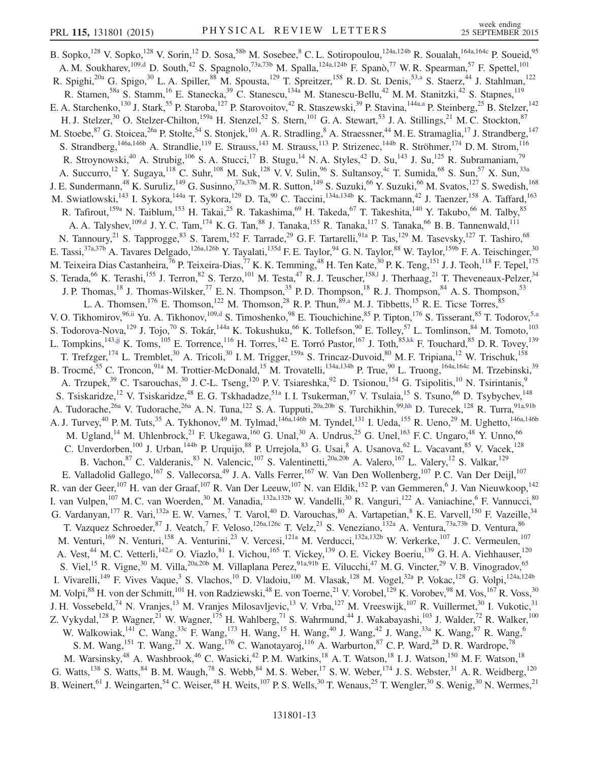<span id="page-12-1"></span><span id="page-12-0"></span>B. Sopko,<sup>128</sup> V. Sopko,<sup>128</sup> V. Sorin,<sup>12</sup> D. Sosa,<sup>58b</sup> M. Sosebee, <sup>8</sup> C. L. Sotiropoulou,<sup>124a,124b</sup> R. Soualah,<sup>164a,164c</sup> P. Soueid,<sup>95</sup> A. M. Soukharev,  $^{109,d}$  $^{109,d}$  $^{109,d}$  D. South,  $^{42}$  S. Spagnolo,  $^{73a,73b}$  M. Spalla,  $^{124a,124b}$  F. Spanò,  $^{77}$  W. R. Spearman,  $^{57}$  F. Spettel,  $^{101}$ R. Spighi,<sup>20a</sup> G. Spigo,<sup>30</sup> L. A. Spiller,<sup>88</sup> M. Spousta,<sup>129</sup> T. Spreitzer,<sup>158</sup> R. D. St. Denis,<sup>5[3,a](#page-17-6)</sup> S. Staerz,<sup>44</sup> J. Stahlman,<sup>122</sup> R. Stamen,<sup>58a</sup> S. Stamm,<sup>16</sup> E. Stanecka,<sup>39</sup> C. Stanescu,<sup>134a</sup> M. Stanescu-Bellu,<sup>42</sup> M. M. Stanitzki,<sup>42</sup> S. Stapnes,<sup>119</sup> E. A. Starchenko,<sup>130</sup> J. Stark,<sup>55</sup> P. Staroba,<sup>127</sup> P. Starovoitov,<sup>42</sup> R. Staszewski,<sup>39</sup> P. Stavina,<sup>144a[,a](#page-17-6)</sup> P. Steinberg,<sup>25</sup> B. Stelzer,<sup>142</sup> H. J. Stelzer,<sup>30</sup> O. Stelzer-Chilton,<sup>159a</sup> H. Stenzel,<sup>52</sup> S. Stern,<sup>101</sup> G. A. Stewart,<sup>53</sup> J. A. Stillings,<sup>21</sup> M. C. Stockton,<sup>87</sup> M. Stoebe, <sup>87</sup> G. Stoicea, <sup>26a</sup> P. Stolte, <sup>54</sup> S. Stonjek, <sup>101</sup> A. R. Stradling, <sup>8</sup> A. Straessner, <sup>44</sup> M. E. Stramaglia, <sup>17</sup> J. Strandberg, <sup>147</sup> S. Strandberg,  $^{146a,146b}$  A. Strandlie,  $^{119}$  E. Strauss,  $^{143}$  M. Strauss,  $^{113}$  P. Strizenec,  $^{144b}$  R. Ströhmer,  $^{174}$  D. M. Strom,  $^{116}$ R. Stroynowski,<sup>40</sup> A. Strubig,<sup>106</sup> S. A. Stucci,<sup>17</sup> B. Stugu,<sup>14</sup> N. A. Styles,<sup>42</sup> D. Su,<sup>143</sup> J. Su,<sup>125</sup> R. Subramaniam,<sup>79</sup> A. Succurro,<sup>12</sup> Y. Sugaya,<sup>118</sup> C. Suhr,<sup>108</sup> M. Suk,<sup>128</sup> V. V. Sulin,<sup>96</sup> S. Sultansoy,<sup>4c</sup> T. Sumida,<sup>68</sup> S. Sun,<sup>57</sup> X. Sun,<sup>33a</sup> J. E. Sundermann,<sup>48</sup> K. Suruliz,<sup>149</sup> G. Susinno,<sup>37a,37b</sup> M. R. Sutton,<sup>149</sup> S. Suzuki,<sup>66</sup> Y. Suzuki,<sup>66</sup> M. Svatos,<sup>127</sup> S. Swedish,<sup>168</sup> M. Swiatlowski,<sup>143</sup> I. Sykora,<sup>144a</sup> T. Sykora,<sup>129</sup> D. Ta,<sup>90</sup> C. Taccini,<sup>134a,134b</sup> K. Tackmann,<sup>42</sup> J. Taenzer,<sup>158</sup> A. Taffard,<sup>163</sup> R. Tafirout,<sup>159a</sup> N. Taiblum,<sup>153</sup> H. Takai,<sup>25</sup> R. Takashima,<sup>69</sup> H. Takeda,<sup>67</sup> T. Takeshita,<sup>140</sup> Y. Takubo,<sup>66</sup> M. Talby,<sup>85</sup> A. A. Talyshev,<sup>10[9,d](#page-17-2)</sup> J. Y. C. Tam,<sup>174</sup> K. G. Tan,<sup>88</sup> J. Tanaka,<sup>155</sup> R. Tanaka,<sup>117</sup> S. Tanaka,<sup>66</sup> B. B. Tannenwald,<sup>111</sup> N. Tannoury,<sup>21</sup> S. Tapprogge,<sup>83</sup> S. Tarem,<sup>152</sup> F. Tarrade,<sup>29</sup> G. F. Tartarelli,<sup>91a</sup> P. Tas,<sup>129</sup> M. Tasevsky,<sup>127</sup> T. Tashiro,<sup>68</sup> E. Tassi,<sup>37a,37b</sup> A. Tavares Delgado,<sup>126a,126b</sup> Y. Tayalati,<sup>135d</sup> F. E. Taylor,<sup>94</sup> G. N. Taylor,<sup>88</sup> W. Taylor,<sup>159b</sup> F. A. Teischinger,<sup>30</sup> M. Teixeira Dias Castanheira,<sup>76</sup> P. Teixeira-Dias,<sup>77</sup> K. K. Temming,<sup>48</sup> H. Ten Kate,<sup>30</sup> P. K. Teng,<sup>151</sup> J. J. Teoh,<sup>118</sup> F. Tepel,<sup>175</sup> S. Terada, <sup>66</sup> K. Terashi, <sup>155</sup> J. Terron, <sup>82</sup> S. Terzo, <sup>101</sup> M. Testa, <sup>47</sup> R. J. Teuscher, <sup>158, 1</sup> J. Therhaag, <sup>21</sup> T. Theveneaux-Pelzer, <sup>34</sup> J. P. Thomas,<sup>18</sup> J. Thomas-Wilsker,<sup>77</sup> E. N. Thompson,<sup>35</sup> P. D. Thompson,<sup>18</sup> R. J. Thompson,<sup>84</sup> A. S. Thompson,<sup>53</sup> L. A. Thomsen,<sup>176</sup> E. Thomson,<sup>122</sup> M. Thomson,<sup>28</sup> R. P. Thun,<sup>8[9,a](#page-17-6)</sup> M. J. Tibbetts,<sup>15</sup> R. E. Ticse Torres,<sup>85</sup> V. O. Tikhomirov,<sup>9[6,ii](#page-17-34)</sup> Yu. A. Tikhonov,<sup>109[,d](#page-17-2)</sup> S. Timoshenko,<sup>98</sup> E. Tiouchichine,<sup>85</sup> P. Tipton,<sup>176</sup> S. Tisserant,<sup>85</sup> T. Todorov,<sup>[5,a](#page-17-6)</sup> S. Todorova-Nova, <sup>129</sup> J. Tojo, <sup>70</sup> S. Tokár, <sup>144a</sup> K. Tokushuku, <sup>66</sup> K. Tollefson, <sup>90</sup> E. Tolley, <sup>57</sup> L. Tomlinson, <sup>84</sup> M. Tomoto, <sup>103</sup> L. Tompkins,<sup>14[3,jj](#page-18-0)</sup> K. Toms,<sup>105</sup> E. Torrence,<sup>116</sup> H. Torres,<sup>142</sup> E. Torró Pastor,<sup>167</sup> J. Toth,<sup>85[,kk](#page-18-1)</sup> F. Touchard,<sup>85</sup> D. R. Tovey,<sup>139</sup> T. Trefzger,<sup>174</sup> L. Tremblet,<sup>30</sup> A. Tricoli,<sup>30</sup> I. M. Trigger,<sup>159a</sup> S. Trincaz-Duvoid,<sup>80</sup> M. F. Tripiana,<sup>12</sup> W. Trischuk,<sup>158</sup> B. Trocmé,<sup>55</sup> C. Troncon,<sup>91a</sup> M. Trottier-McDonald,<sup>15</sup> M. Trovatelli,<sup>134a,134b</sup> P. True,<sup>90</sup> L. Truong,<sup>164a,164c</sup> M. Trzebinski,<sup>39</sup> A. Trzupek,<sup>39</sup> C. Tsarouchas,<sup>30</sup> J. C-L. Tseng,<sup>120</sup> P. V. Tsiareshka,<sup>92</sup> D. Tsionou,<sup>154</sup> G. Tsipolitis,<sup>10</sup> N. Tsirintanis,<sup>9</sup> S. Tsiskaridze,<sup>12</sup> V. Tsiskaridze,<sup>48</sup> E. G. Tskhadadze,<sup>51a</sup> I. I. Tsukerman,<sup>97</sup> V. Tsulaia,<sup>15</sup> S. Tsuno,<sup>66</sup> D. Tsybychev,<sup>148</sup> A. Tudorache,<sup>26a</sup> V. Tudorache,<sup>26a</sup> A. N. Tuna,<sup>122</sup> S. A. Tupputi,<sup>20a,20b</sup> S. Turchikhin,<sup>9[9,hh](#page-17-33)</sup> D. Turecek,<sup>128</sup> R. Turra,<sup>91a,91b</sup> A. J. Turvey,<sup>40</sup> P. M. Tuts,<sup>35</sup> A. Tykhonov,<sup>49</sup> M. Tylmad,<sup>146a,146b</sup> M. Tyndel,<sup>131</sup> I. Ueda,<sup>155</sup> R. Ueno,<sup>29</sup> M. Ughetto,<sup>146a,146b</sup> M. Ugland,<sup>14</sup> M. Uhlenbrock,<sup>21</sup> F. Ukegawa,<sup>160</sup> G. Unal,<sup>30</sup> A. Undrus,<sup>25</sup> G. Unel,<sup>163</sup> F. C. Ungaro,<sup>48</sup> Y. Unno,<sup>66</sup> C. Unverdorben,<sup>100</sup> J. Urban,<sup>144b</sup> P. Urquijo,<sup>88</sup> P. Urrejola,<sup>83</sup> G. Usai,<sup>8</sup> A. Usanova,<sup>62</sup> L. Vacavant,<sup>85</sup> V. Vacek,<sup>128</sup> B. Vachon, <sup>87</sup> C. Valderanis, <sup>83</sup> N. Valencic, <sup>107</sup> S. Valentinetti, <sup>20a, 20b</sup> A. Valero, <sup>167</sup> L. Valery, <sup>12</sup> S. Valkar, <sup>129</sup> E. Valladolid Gallego,<sup>167</sup> S. Vallecorsa,<sup>49</sup> J. A. Valls Ferrer,<sup>167</sup> W. Van Den Wollenberg,<sup>107</sup> P. C. Van Der Deijl,<sup>107</sup> R. van der Geer, <sup>107</sup> H. van der Graaf, <sup>107</sup> R. Van Der Leeuw, <sup>107</sup> N. van Eldik, <sup>152</sup> P. van Gemmeren, <sup>6</sup> J. Van Nieuwkoop, <sup>142</sup> I. van Vulpen,<sup>107</sup> M. C. van Woerden,<sup>30</sup> M. Vanadia,<sup>132a,132b</sup> W. Vandelli,<sup>30</sup> R. Vanguri,<sup>122</sup> A. Vaniachine,<sup>6</sup> F. Vannucci,<sup>80</sup> G. Vardanyan, <sup>177</sup> R. Vari, <sup>132a</sup> E. W. Varnes, <sup>7</sup> T. Varol, <sup>40</sup> D. Varouchas, <sup>80</sup> A. Vartapetian, <sup>8</sup> K. E. Varvell, <sup>150</sup> F. Vazeille, <sup>34</sup> T. Vazquez Schroeder,  $87$  J. Veatch, <sup>7</sup> F. Veloso,  $126a,126c$  T. Velz,  $21$  S. Veneziano,  $132a$  A. Ventura,  $73a,73b$  D. Ventura,  $86$ M. Venturi,<sup>169</sup> N. Venturi,<sup>158</sup> A. Venturini,<sup>23</sup> V. Vercesi,<sup>121a</sup> M. Verducci,<sup>132a,132b</sup> W. Verkerke,<sup>107</sup> J. C. Vermeulen,<sup>107</sup> A. Vest,<sup>44</sup> M. C. Vetterli,<sup>142[,e](#page-17-3)</sup> O. Viazlo,<sup>81</sup> I. Vichou,<sup>165</sup> T. Vickey,<sup>139</sup> O. E. Vickey Boeriu,<sup>139</sup> G. H. A. Viehhauser,<sup>120</sup> S. Viel,<sup>15</sup> R. Vigne,<sup>30</sup> M. Villa,<sup>20a,20b</sup> M. Villaplana Perez,<sup>91a,91b</sup> E. Vilucchi,<sup>47</sup> M. G. Vincter,<sup>29</sup> V. B. Vinogradov,<sup>65</sup> I. Vivarelli,<sup>149</sup> F. Vives Vaque,<sup>3</sup> S. Vlachos,<sup>10</sup> D. Vladoiu,<sup>100</sup> M. Vlasak,<sup>128</sup> M. Vogel,<sup>32a</sup> P. Vokac,<sup>128</sup> G. Volpi,<sup>124a,124b</sup> M. Volpi, $^{88}$  H. von der Schmitt, $^{101}$  H. von Radziewski, $^{48}$  E. von Toerne, $^{21}$  V. Vorobel, $^{129}$  K. Vorobev, $^{98}$  M. Vos, $^{167}$  R. Voss, $^{30}$ J. H. Vossebeld,<sup>74</sup> N. Vranjes,<sup>13</sup> M. Vranjes Milosavljevic,<sup>13</sup> V. Vrba,<sup>127</sup> M. Vreeswijk,<sup>107</sup> R. Vuillermet,<sup>30</sup> I. Vukotic,<sup>31</sup> Z. Vykydal,<sup>128</sup> P. Wagner,<sup>21</sup> W. Wagner,<sup>175</sup> H. Wahlberg,<sup>71</sup> S. Wahrmund,<sup>44</sup> J. Wakabayashi,<sup>103</sup> J. Walder,<sup>72</sup> R. Walker,<sup>100</sup> W. Walkowiak,<sup>141</sup> C. Wang,<sup>33c</sup> F. Wang,<sup>173</sup> H. Wang,<sup>15</sup> H. Wang,<sup>40</sup> J. Wang,<sup>42</sup> J. Wang,<sup>33a</sup> K. Wang,<sup>87</sup> R. Wang,<sup>6</sup> S. M. Wang, <sup>151</sup> T. Wang, <sup>21</sup> X. Wang, <sup>176</sup> C. Wanotayaroj, <sup>116</sup> A. Warburton, <sup>87</sup> C. P. Ward, <sup>28</sup> D. R. Wardrope, <sup>78</sup> M. Warsinsky,<sup>48</sup> A. Washbrook,<sup>46</sup> C. Wasicki,<sup>42</sup> P.M. Watkins,<sup>18</sup> A.T. Watson,<sup>18</sup> I.J. Watson,<sup>150</sup> M.F. Watson,<sup>18</sup> G. Watts,<sup>138</sup> S. Watts,<sup>84</sup> B. M. Waugh,<sup>78</sup> S. Webb,<sup>84</sup> M. S. Weber,<sup>17</sup> S. W. Weber,<sup>174</sup> J. S. Webster,<sup>31</sup> A. R. Weidberg,<sup>120</sup> B. Weinert,<sup>61</sup> J. Weingarten,<sup>54</sup> C. Weiser,<sup>48</sup> H. Weits,<sup>107</sup> P. S. Wells,<sup>30</sup> T. Wenaus,<sup>25</sup> T. Wengler,<sup>30</sup> S. Wenig,<sup>30</sup> N. Wermes,<sup>21</sup>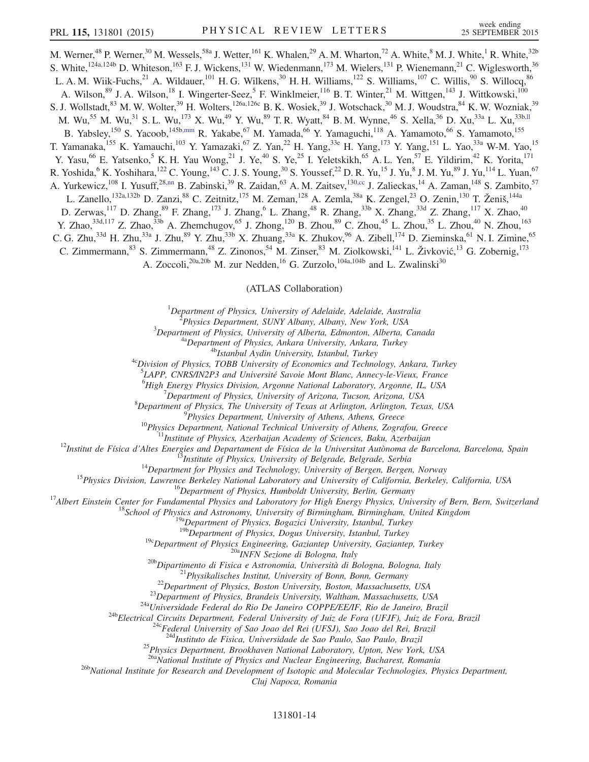<span id="page-13-2"></span><span id="page-13-1"></span><span id="page-13-0"></span>M. Werner,<sup>48</sup> P. Werner,<sup>30</sup> M. Wessels,<sup>58a</sup> J. Wetter,<sup>161</sup> K. Whalen,<sup>29</sup> A. M. Wharton,<sup>72</sup> A. White,<sup>8</sup> M. J. White,<sup>1</sup> R. White,<sup>32b</sup> S. White,<sup>124a,124b</sup> D. Whiteson,<sup>163</sup> F. J. Wickens,<sup>131</sup> W. Wiedenmann,<sup>173</sup> M. Wielers,<sup>131</sup> P. Wienemann,<sup>21</sup> C. Wiglesworth,<sup>36</sup> L. A. M. Wiik-Fuchs,<sup>21</sup> A. Wildauer,<sup>101</sup> H. G. Wilkens,<sup>30</sup> H. H. Williams,<sup>122</sup> S. Williams,<sup>107</sup> C. Willis,<sup>90</sup> S. Willocq,<sup>86</sup> A. Wilson,<sup>89</sup> J. A. Wilson,<sup>18</sup> I. Wingerter-Seez,<sup>5</sup> F. Winklmeier,<sup>116</sup> B. T. Winter,<sup>21</sup> M. Wittgen,<sup>143</sup> J. Wittkowski,<sup>100</sup> S. J. Wollstadt,<sup>83</sup> M. W. Wolter,<sup>39</sup> H. Wolters,<sup>126a,126c</sup> B. K. Wosiek,<sup>39</sup> J. Wotschack,<sup>30</sup> M. J. Woudstra,<sup>84</sup> K. W. Wozniak,<sup>39</sup> M. Wu,<sup>55</sup> M. Wu,<sup>31</sup> S. L. Wu,<sup>173</sup> X. Wu,<sup>49</sup> Y. Wu,<sup>89</sup> T. R. Wyatt,<sup>84</sup> B. M. Wynne,<sup>46</sup> S. Xella,<sup>36</sup> D. Xu,<sup>33a</sup> L. Xu,<sup>33b,11</sup> B. Yabsley,<sup>150</sup> S. Yacoob,<sup>145b[,mm](#page-18-3)</sup> R. Yakabe,<sup>67</sup> M. Yamada,<sup>66</sup> Y. Yamaguchi,<sup>118</sup> A. Yamamoto,<sup>66</sup> S. Yamamoto,<sup>155</sup> T. Yamanaka,<sup>155</sup> K. Yamauchi,<sup>103</sup> Y. Yamazaki,<sup>67</sup> Z. Yan,<sup>22</sup> H. Yang,<sup>33e</sup> H. Yang,<sup>173</sup> Y. Yang,<sup>151</sup> L. Yao,<sup>33a</sup> W-M. Yao,<sup>15</sup> Y. Yasu,<sup>66</sup> E. Yatsenko,<sup>5</sup> K. H. Yau Wong,<sup>21</sup> J. Ye,<sup>40</sup> S. Ye,<sup>25</sup> I. Yeletskikh,<sup>65</sup> A. L. Yen,<sup>57</sup> E. Yildirim,<sup>42</sup> K. Yorita,<sup>171</sup> R. Yoshida,  $6$  K. Yoshihara,  $^{122}$  C. Young,  $^{143}$  C. J. S. Young,  $^{30}$  S. Youssef,  $^{22}$  D. R. Yu,  $^{15}$  J. Yu,  $8$  J. M. Yu,  $^{89}$  J. Yu,  $^{114}$  L. Yuan,  $^{67}$ A. Yurkewicz, <sup>108</sup> I. Yusuff,<sup>2[8,nn](#page-18-4)</sup> B. Zabinski,<sup>39</sup> R. Zaidan,<sup>63</sup> A. M. Zaitsev, <sup>13[0,cc](#page-17-28)</sup> J. Zalieckas, <sup>14</sup> A. Zaman, <sup>148</sup> S. Zambito, <sup>57</sup> L. Zanello,<sup>132a,132b</sup> D. Zanzi,<sup>88</sup> C. Zeitnitz,<sup>175</sup> M. Zeman,<sup>128</sup> A. Zemla,<sup>38a</sup> K. Zengel,<sup>23</sup> O. Zenin,<sup>130</sup> T. Ženiš,<sup>144a</sup> D. Zerwas,<sup>117</sup> D. Zhang,<sup>89</sup> F. Zhang,<sup>173</sup> J. Zhang,<sup>6</sup> L. Zhang,<sup>48</sup> R. Zhang,<sup>33b</sup> X. Zhang,<sup>33d</sup> Z. Zhang,<sup>117</sup> X. Zhao,<sup>40</sup> Y. Zhao,<sup>33d,117</sup> Z. Zhao,<sup>33b</sup> A. Zhemchugov,<sup>65</sup> J. Zhong,<sup>120</sup> B. Zhou,<sup>89</sup> C. Zhou,<sup>45</sup> L. Zhou,<sup>35</sup> L. Zhou,<sup>40</sup> N. Zhou,<sup>163</sup> C. G. Zhu,<sup>33d</sup> H. Zhu,<sup>33a</sup> J. Zhu,<sup>89</sup> Y. Zhu,<sup>33b</sup> X. Zhuang,<sup>33a</sup> K. Zhukov,<sup>96</sup> A. Zibell,<sup>174</sup> D. Zieminska,<sup>61</sup> N. I. Zimine,<sup>65</sup> C. Zimmermann, <sup>83</sup> S. Zimmermann, <sup>48</sup> Z. Zinonos, <sup>54</sup> M. Zinser, <sup>83</sup> M. Ziolkowski, <sup>141</sup> L. Živković, <sup>13</sup> G. Zobernig, <sup>173</sup> A. Zoccoli,<sup>20a,20b</sup> M. zur Nedden,<sup>16</sup> G. Zurzolo,<sup>104a,104b</sup> and L. Zwalinski<sup>30</sup>

(ATLAS Collaboration)

<sup>1</sup>Department of Physics, University of Adelaide, Adelaide, Australia<br><sup>2</sup> Physics Department, SUNY Albany, Albany, New York, USA

 $^{2}$ Physics Department, SUNY Albany, Albany, New York, USA  $^{3}$ Department of Physics, University of Alberta, Edmonton, Alberta, Canada

<sup>4a</sup>Department of Physics, Ankara University, Ankara, Turkey<br><sup>4b</sup>Istanbul Aydin University, Istanbul, Turkey<sup>4c</sup>Division of Physics, TOBB University of Economics and Technology, Ankara, Turkey

<sup>5</sup>LAPP, CNRS/IN2P3 and Université Savoie Mont Blanc, Annecy-le-Vieux, France

<sup>6</sup>High Energy Physics Division, Argonne National Laboratory, Argonne, IL, USA

 $^7$ Department of Physics, University of Arizona, Tucson, Arizona, USA

 ${}^8$ Department of Physics, The University of Texas at Arlington, Arlington, Texas, USA  ${}^9$ Physics Department, University of Athens, Athens, Greece

<sup>2</sup>Physics Department, University of Athens, Athens, Greece<br><sup>10</sup>Physics Department, National Technical University of Athens, Zografou, Greece<br><sup>11</sup>Institut de Física d'Altes Energies and Departament de Física de la Universi

<sup>19a</sup>Department of Physics, Bogazici University, Istanbul, Turkey<br><sup>19b</sup>Department of Physics, Dogus University, Istanbul, Turkey<br><sup>19b</sup>Department of Physics Engineering, Gaziantep University, Gaziantep, Turkey<br><sup>20b</sup>Diparti

<sup>25</sup>Physics Department, Brookhaven National Laboratory, Upton, New York, USA<br><sup>26a</sup>National Institute of Physics and Nuclear Engineering, Bucharest, Romania

<sup>26b</sup>National Institute for Research and Development of Isotopic and Molecular Technologies, Physics Department,

Cluj Napoca, Romania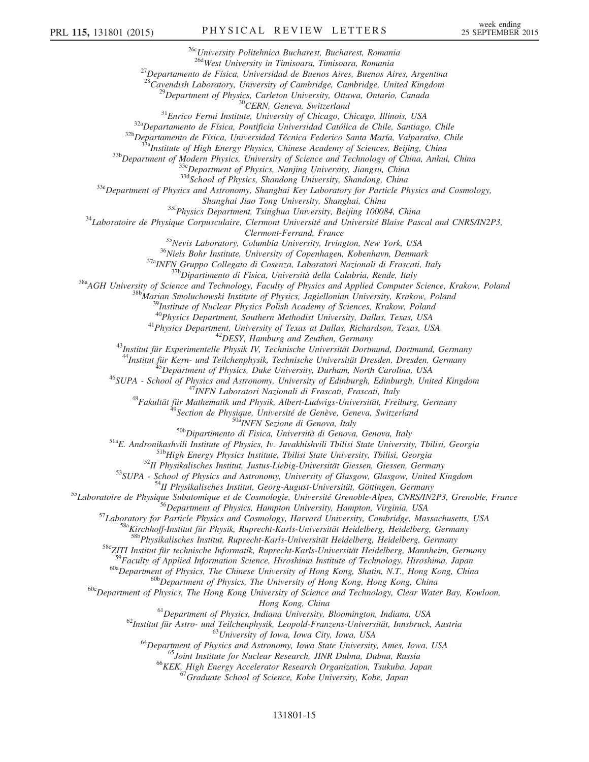<sup>26c</sup>University Politehnica Bucharest, Bucharest, Romania<br><sup>26d</sup>West University in Timisoara, Timisoara, Romania <sup>27</sup>Departamento de Física, Universidad de Buenos Aires, Buenos Aires, Argentina<br><sup>28</sup>Cavendish Laboratory, University of Cambridge, Cambridge, United Kingdom <sup>29</sup>Department of Physics, Carleton University, Ottawa, Ontario, Canada<br><sup>31</sup>Enrico Fermi Institute, University of Chicago, Chicago, Illinois, USA<br><sup>312</sup>Departamento de Física, Pontificia Universidad Católica de Chile, Sant Shanghai Jiao Tong University, Shanghai, China<br><sup>34</sup>Laboratoire de Physique Corpusculaire, Clermont Université and Université Blaise Pascal and CNRS/IN2P3,<br><sup>34</sup>Laboratoire de Physique Corpusculaire, Clermont Université and Clermont-Ferrand, France<br><sup>35</sup>Nevis Laboratory, Columbia University, Irvington, New York, USA<br><sup>36</sup>Niels Bohr Institute, University of Copenhagen, Kobenhavn, Denmark<br><sup>37a</sup>INFN Gruppo Collegato di Cosenza, Laboratori Nazional <sup>41</sup>Physics Department, University of Texas at Dallas, Richardson, Texas, USA<br><sup>42</sup>DESY, Hamburg and Zeuthen, Germany<br><sup>43</sup>Institut für Experimentelle Physik IV, Technische Universität Dortmund, Dortmund, Germany<br><sup>44</sup>Instit <sup>44</sup>Institut für Kern- und Teilchenphysik, Technische Universität Dresden, Dresden, Germany <sup>45</sup>Department of Physics, Duke University, Durham, North Carolina, USA <sup>46</sup>SUPA - School of Physics and Astronomy, University of Edinburgh, Edinburgh, United Kingdom <sup>47</sup>INFN Laboratori Nazionali di Frascati, Frascati, Italy <sup>48</sup>Fakultät für Mathematik und Physik, Albert-Ludwigs-Universität, Freiburg, Germany <sup>49</sup>Section de Physique, Université de Genève, Geneva, Switzerland 50aINFN Sezione di Genova, Italy 50bDipartimento di Fisica, Università di Genova, Genova, Italy 51aE. Andronikashvili Institute of Physics, Iv. Javakhishvili Tbilisi State University, Tbilisi, Georgia 51bHigh Energy Physics Institute, Tbilisi State University, Tbilisi, Georgia <sup>52</sup>II Physikalisches Institut, Justus-Liebig-Universität Giessen, Giessen, Germany <sup>53</sup>SUPA - School of Physics and Astronomy, University of Glasgow, Glasgow, United Kingdom <sup>54</sup>II Physikalisches Institut, Georg-August-Universität, Göttingen, Germany <sup>55</sup>Laboratoire de Physique Subatomique et de Cosmologie, Université Grenoble-Alpes, CNRS/IN2P3, Grenoble, France <sup>56</sup>Department of Physics, Hampton University, Hampton, Virginia, USA <sup>57</sup>Laboratory for Particle Physics and Cosmology, Harvard University, Cambridge, Massachusetts, USA 58aKirchhoff-Institut für Physik, Ruprecht-Karls-Universität Heidelberg, Heidelberg, Germany <sup>58b</sup>Physikalisches Institut, Ruprecht-Karls-Universität Heidelberg, Heidelberg, Germany<br><sup>58c</sup>ZITI Institut für technische Informatik, Ruprecht-Karls-Universität Heidelberg, Mannheim, Germany<br><sup>59</sup>Faculty of Applied Inform <sup>60a</sup>Department of Physics, The Chinese University of Hong Kong, Shatin, N.T., Hong Kong, China<br><sup>60b</sup>Department of Physics, The University of Hong Kong, Hong Kong, China<br><sup>60c</sup>Department of Physics, The Hong Kong Universit <sup>61</sup>Department of Physics, Indiana University, Bloomington, Indiana, USA<br><sup>62</sup>Institut für Astro- und Teilchenphysik, Leopold-Franzens-Universität, Innsbruck, Austria<br><sup>63</sup>University of Iowa, Iowa City, Iowa, USA<br><sup>64</sup>Depart

## 131801-15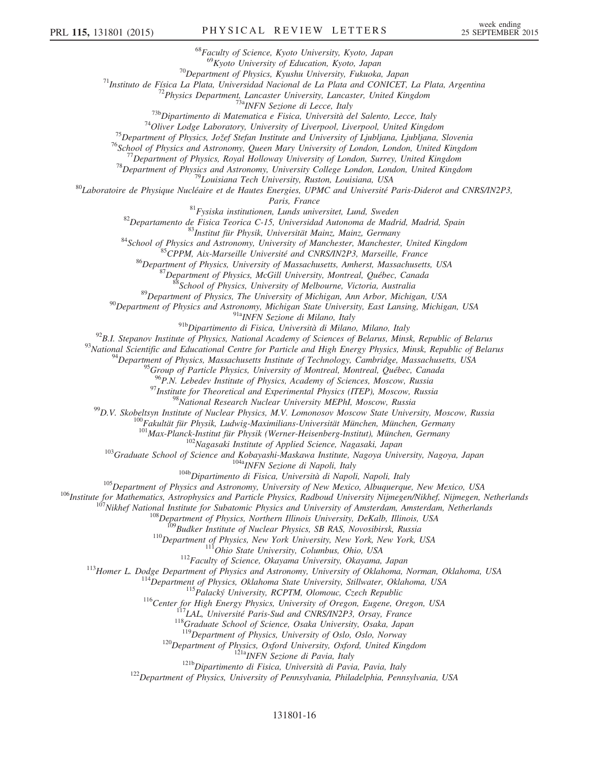$^{68}$ Faculty of Science, Kyoto University, Kyoto, Japan<br> $^{69}$ Kyoto University of Education, Kyoto, Japan

<sup>69</sup>Kyoto University of Education, Kyoto, Japan<br><sup>70</sup>Instituto de Física La Plata, Universidad Nacional de La Plata and CONICET, La Plata, Argentina<br><sup>71</sup>Instituto de Física La Plata, Universidad Nacional de La Plata and CO

<sup>81</sup> Fysiska institutionen, Lunds universitet, Lund, Sweden<br><sup>82</sup> Departamento de Fisica Teorica C-15, Universidad Autonoma de Madrid, Madrid, Spain<br><sup>83</sup> Institut für Physik, Universität Mainz, Mainz, Germany<br><sup>84</sup> School o

<sup>91a</sup> INFN Sezione di Milano, Italy<br><sup>91</sup>B.I. Stepanov Institute of Physics, National Academy of Sciences of Belarus, Minsk, Republic of Belarus<br><sup>92</sup>B.I. Stepanov Institute of Physics, National Academy of Sciences of Belar

<sup>95</sup>Group of Particle Physics, University of Montreal, Montreal, Québec, Canada<br><sup>96</sup>P.N. Lebedev Institute of Physics, Academy of Sciences, Moscow, Russia

<sup>97</sup>Institute for Theoretical and Experimental Physics (ITEP), Moscow, Russia<br><sup>98</sup>National Research Nuclear University MEPhI, Moscow, Russia<br><sup>99</sup>D.V. Skobeltsyn Institute of Nuclear Physics, M.V. Lomonosov Moscow State Un

<sup>103</sup>Graduate School of Science and Nobayashi Institute of Applied Science, Nagasaki, Japan<br>
<sup>103</sup>Graduate School of Science and Kobayashi-Maskawa Institute, Nagoya, Japan<br>
<sup>1043</sup>USF Dipartimento di Fisica, Università di

<sup>120</sup>Department of Physics, Oxford University, Oxford, United Kingdom<br><sup>121b</sup>Dipartimento di Fisica, Università di Pavia, Pavia, Italy<br><sup>121b</sup>Dipartimento di Fisica, Università di Pavia, Pavia, Italy<br><sup>122</sup>Department of Phys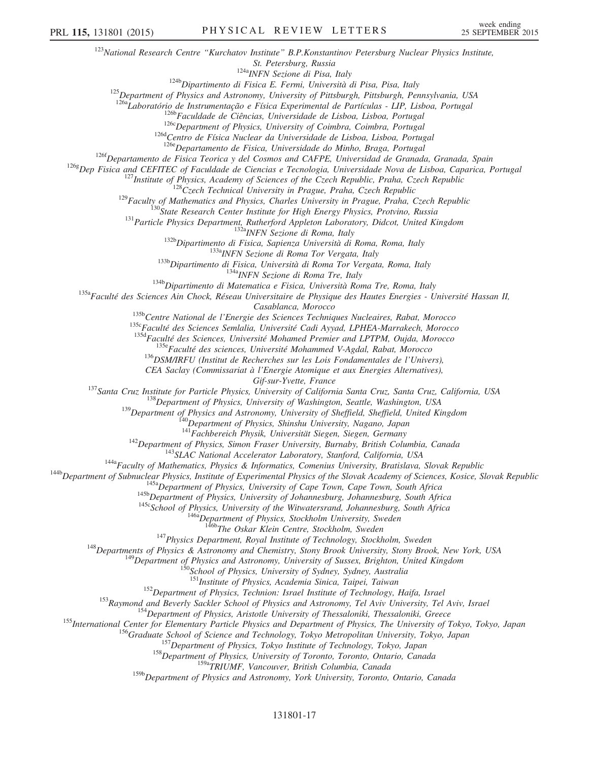<sup>123</sup>National Research Centre "Kurchatov Institute" B.P.Konstantinov Petersburg Nuclear Physics Institute,

St. Petersburg, Russia<br><sup>124</sup>aINFN Sezione di Pisa, Italy<br><sup>125</sup>Department of Physics and Astronomy, University of Pittsburgh, Pittsburgh, Pennsylvania, USA<br><sup>125</sup>Department of Physics and Astronomy, University of Pittsburgh,

<sup>126a</sup>Laboratório de Instrumentação e Física Experimental de Partículas - LIP, Lisboa, Portugal<br><sup>126b</sup>Faculdade de Ciências, Universidade de Lisboa, Lisboa, Portugal<br><sup>126</sup>Centro de Física Nuclear da Universidade de Lisboa

<sup>126f</sup>Departamento de Fisica Teorica y del Cosmos and CAFPE, Universidad de Granada, Granada, Spain<br><sup>126g</sup>Dep Fisica and CEFITEC of Faculdade de Ciencias e Tecnologia, Universidade Nova de Lisboa, Caparica, Portugal

<sup>127</sup>Institute of Physics, Academy of Sciences of the Czech Republic, Praha, Czech Republic<br><sup>128</sup>Czech Technical University in Prague, Praha, Czech Republic<br><sup>129</sup>Faculty of Mathematics and Physics, Charles University in P

<sup>135b</sup>Centre National de l'Energie des Sciences Techniques Nucleaires, Rabat, Morocco<br><sup>1356</sup>Faculté des Sciences Semlalia, Université Cadi Ayyad, LPHEA-Marrakech, Morocco<br><sup>135d</sup>Faculté des Sciences, Université Mohamed Pre

CEA Saclay (Commissariat à l'Energie Atomique et aux Energies Alternatives),

Gif-sur-Yvette, France<br>
<sup>137</sup>Santa Cruz, Institute for Particle Physics, University of California Santa Cruz, Santa Cruz, California, USA<br>
<sup>138</sup>Department of Physics, University of Washington, Seattle, Washington, USA<br>
<sup>13</sup>

<sup>142</sup>Department of Physics, Simon Fraser University, Burnaby, British Columbia, Canada<br><sup>142</sup>Department of Subnuclear Physics, Simon Fraser University, Stanford, California, USA<br><sup>144</sup><sub>B</sub> Faculty of Mathematics, Physics & I

<sup>148</sup>Departments of Physics Department, Royal Institute of Technology, Stockholm, Sweden<br><sup>148</sup>Departments of Physics & Astronomy and Chemistry, Stony Brook University, Stony Brook, New York, USA<br><sup>149</sup>Department of Physics

<sup>152</sup>Department of Physics, Technion: Israel Institute of Technology, Haifa, Israel<br><sup>153</sup>Raymond and Beverly Sackler School of Physics and Astronomy, Tel Aviv University, Tel Aviv, Israel<br><sup>154</sup>Department of Physics, Aristo

159aTRIUMF, Vancouver, British Columbia, Canada

<sup>159b</sup>Department of Physics and Astronomy, York University, Toronto, Ontario, Canada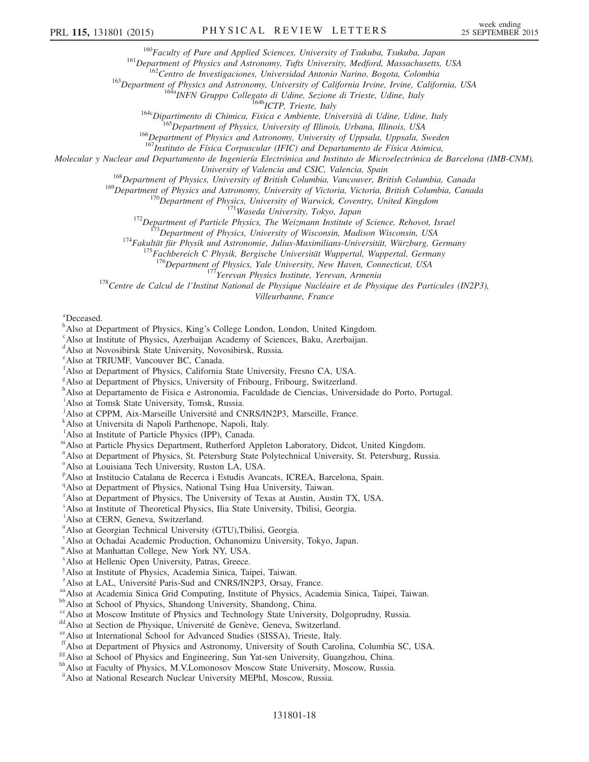<sup>160</sup>Faculty of Pure and Applied Sciences, University of Tsukuba, Tsukuba, Japan<br><sup>161</sup>Department of Physics and Astronomy, Tufts University, Medford, Massachusetts, USA<br><sup>162</sup>Centro de Investigaciones, Universidad Antonio

<sup>167</sup>Instituto de Física Corpuscular (IFIC) and Departamento de Física Atómica,

Molecular y Nuclear and Departamento de Ingeniería Electrónica and Instituto de Microelectrónica de Barcelona (IMB-CNM),

University of Valencia and CSIC, Valencia, Spain<br><sup>168</sup>Department of Physics, University of British Columbia, Vancouver, British Columbia, Canada<br><sup>169</sup>Department of Physics and Astronomy, University of Victoria, Victoria, B

<sup>170</sup>Department of Physics, University of Warwick, Coventry, United Kingdom<br><sup>171</sup>Waseda University, Tokyo, Japan<br><sup>172</sup>Department of Particle Physics, The Weizmann Institute of Science, Rehovot, Israel<br><sup>173</sup>Department of P

<sup>176</sup>Department of Physics, Yale University, New Haven, Connecticut, USA<br><sup>177</sup>Yerevan Physics Institute, Yerevan, Armenia<br><sup>178</sup>Centre de Calcul de l'Institut National de Physique Nucléaire et de Physique des Particules (I

Villeurbanne, France

<span id="page-17-6"></span>[a](#page-6-0) Deceased.

<span id="page-17-0"></span> $\mu^b$  $\mu^b$ Also at Department of Physi[c](#page-5-31)s, King's College London, London, United Kingdom.

<span id="page-17-1"></span>Also at Institute of Physics, Azerbaijan Academy of Sciences, Baku, Azerbaijan.

<span id="page-17-2"></span>[d](#page-5-32) Also at Novosibirsk State University, Novosibirsk, Russia.

<span id="page-17-3"></span>[e](#page-5-33) Also at TRIUMF, Vancouver BC, Canada.

<span id="page-17-4"></span>[f](#page-6-1) Also at Department of Physics, California State University, Fresno CA, USA.

- <span id="page-17-5"></span><sup>[g](#page-6-2)</sup> Also at Department of Physics, University of Fribourg, Fribourg, Switzerland.
- <span id="page-17-7"></span>[h](#page-6-3) Also at Departamento de Fisica e Astronomia, Faculdade de Ciencias, Universidade do Porto, Portugal.

<span id="page-17-8"></span>[i](#page-6-4) Also at Tomsk State University, Tomsk, Russia.

- <span id="page-17-9"></span>[j](#page-6-5) Also at CPPM, Aix-Marseille Université and CNRS/IN2P3, Marseille, France.
- <span id="page-17-10"></span>[k](#page-7-0) Also at Universita di Napoli Parthenope, Napoli, Italy.
- <span id="page-17-11"></span><sup>1</sup>A[l](#page-7-1)so at Institute of Particle Physics (IPP), Canada.
- <span id="page-17-12"></span>[m](#page-7-2)Also at Particle Physics Department, Rutherford Appleton Laboratory, Didcot, United Kingdom.
- <span id="page-17-13"></span><sup>[n](#page-7-3)</sup>Also at Department of Physics, St. Petersburg State Polytechnical University, St. Petersburg, Russia.
- <span id="page-17-14"></span><sup>[o](#page-8-0)</sup>Also at Louisiana Tech University, Ruston LA, USA.

<span id="page-17-15"></span><su[p](#page-8-1)>p</sup>Also at Institucio Catalana de Recerca i Estudis Avancats, ICREA, Barcelona, Spain.

- <span id="page-17-16"></span><sup>[q](#page-8-2)</sup>Also at Department of Physics, National Tsing Hua University, Taiwan.
- <span id="page-17-17"></span><sup>[r](#page-8-3)</sup> Also at Department of Physics, The University of Texas at Austin, Austin TX, USA.
- <span id="page-17-18"></span>[s](#page-8-4) Also at Institute of Theoretical Physics, Ilia State University, Tbilisi, Georgia.

<span id="page-17-19"></span>[t](#page-8-5) Also at CERN, Geneva, Switzerland.

- <span id="page-17-20"></span><s[u](#page-9-0)p>u</sup>Also at Georgian Technical University (GTU),Tbilisi, Georgia.
- <span id="page-17-21"></span>[v](#page-9-1) Also at Ochadai Academic Production, Ochanomizu University, Tokyo, Japan.
- <span id="page-17-22"></span>[w](#page-9-1)Also at Manhattan College, New York NY, USA.
- <span id="page-17-23"></span>[x](#page-9-2) Also at Hellenic Open University, Patras, Greece.
- <span id="page-17-24"></span>[y](#page-9-3) Also at Institute of Physics, Academia Sinica, Taipei, Taiwan.
- <span id="page-17-25"></span><sup>[z](#page-9-3)</sup>Also at LAL, Université Paris-Sud and CNRS/IN2P3, Orsay, France.
- <span id="page-17-26"></span>[aa](#page-9-4) Also at Academia Sinica Grid Computing, Institute of Physics, Academia Sinica, Taipei, Taiwan. [bb](#page-9-5) Also at School of Physics, Shandong University, Shandong, China.
- <span id="page-17-27"></span>
- <span id="page-17-28"></span><sup>[cc](#page-10-0)</sup>Also at Moscow Institute of Physics and Technology State University, Dolgoprudny, Russia. [dd](#page-10-1) Also at Section de Physique, Université de Genève, Geneva, Switzerland.
- <span id="page-17-29"></span>
- <span id="page-17-30"></span>[ee](#page-10-2) Also at International School for Advanced Studies (SISSA), Trieste, Italy.
- <span id="page-17-31"></span> $H$  Also at Department of Physics and Astronomy, University of South Carolina, Columbia SC, USA.<br><sup>[gg](#page-11-1)</sup> Also at School of Physics and Engineering, Sun Yat-sen University, Guangzhou, China.<br><sup>[hh](#page-11-2)</sup> Also at Faculty of Physics, M
- <span id="page-17-33"></span><span id="page-17-32"></span>
- 
- <span id="page-17-34"></span>[ii](#page-12-0)Also at National Research Nuclear University MEPhI, Moscow, Russia.